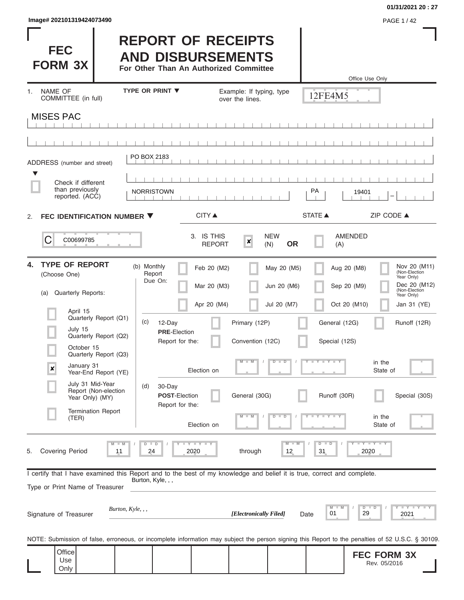| lmage# 202101319424073490 | <b>PAGE 1/42</b> |
|---------------------------|------------------|
|---------------------------|------------------|

Only

# **01/31/2021 20 : 27**

| <b>FEC</b><br><b>FORM 3X</b>                                                                                                                                                    |                                                | <b>REPORT OF RECEIPTS</b><br><b>AND DISBURSEMENTS</b><br>For Other Than An Authorized Committee |                                                 |                                           |                                        | Office Use Only                                                                                                                                   |                                                                                                                                                                         |
|---------------------------------------------------------------------------------------------------------------------------------------------------------------------------------|------------------------------------------------|-------------------------------------------------------------------------------------------------|-------------------------------------------------|-------------------------------------------|----------------------------------------|---------------------------------------------------------------------------------------------------------------------------------------------------|-------------------------------------------------------------------------------------------------------------------------------------------------------------------------|
| <b>NAME OF</b><br>$1_{-}$<br>COMMITTEE (in full)                                                                                                                                |                                                | <b>TYPE OR PRINT ▼</b>                                                                          | over the lines.                                 | Example: If typing, type                  | 12FE4M5                                |                                                                                                                                                   |                                                                                                                                                                         |
| <b>MISES PAC</b>                                                                                                                                                                |                                                |                                                                                                 |                                                 |                                           |                                        |                                                                                                                                                   |                                                                                                                                                                         |
|                                                                                                                                                                                 |                                                |                                                                                                 |                                                 |                                           |                                        |                                                                                                                                                   |                                                                                                                                                                         |
| ADDRESS (number and street)                                                                                                                                                     |                                                | PO BOX 2183                                                                                     |                                                 |                                           |                                        |                                                                                                                                                   |                                                                                                                                                                         |
| ▼<br>Check if different                                                                                                                                                         |                                                |                                                                                                 |                                                 |                                           |                                        |                                                                                                                                                   |                                                                                                                                                                         |
| than previously<br>reported. (ACC)                                                                                                                                              |                                                | <b>NORRISTOWN</b>                                                                               |                                                 |                                           | PA                                     | 19401                                                                                                                                             |                                                                                                                                                                         |
| FEC IDENTIFICATION NUMBER ▼<br>2.                                                                                                                                               |                                                |                                                                                                 | <b>CITY</b> ▲                                   |                                           | <b>STATE ▲</b>                         | ZIP CODE ▲                                                                                                                                        |                                                                                                                                                                         |
| C<br>C00699785                                                                                                                                                                  |                                                |                                                                                                 | 3. IS THIS<br>$\boldsymbol{x}$<br><b>REPORT</b> | <b>NEW</b><br><b>OR</b><br>(N)            | (A)                                    | <b>AMENDED</b>                                                                                                                                    |                                                                                                                                                                         |
| <b>TYPE OF REPORT</b><br>4.<br>(Choose One)<br><b>Quarterly Reports:</b><br>(a)                                                                                                 |                                                | (b) Monthly<br>Report<br>Due On:                                                                | Feb 20 (M2)<br>Mar 20 (M3)<br>Apr 20 (M4)       | May 20 (M5)<br>Jun 20 (M6)<br>Jul 20 (M7) |                                        | Aug 20 (M8)<br>Year Only)<br>Sep 20 (M9)<br>(Non-Election<br>Year Only)<br>Oct 20 (M10)                                                           | Nov 20 (M11)<br>(Non-Election<br>Dec 20 (M12)<br>Jan 31 (YE)                                                                                                            |
| April 15<br>July 15                                                                                                                                                             | Quarterly Report (Q1)<br>Quarterly Report (Q2) | (c)<br>12-Day<br><b>PRE-Election</b><br>Report for the:                                         |                                                 | Primary (12P)<br>Convention (12C)         | General (12G)<br>Special (12S)         |                                                                                                                                                   | Runoff (12R)                                                                                                                                                            |
| October 15<br>January 31<br>×                                                                                                                                                   | Quarterly Report (Q3)<br>Year-End Report (YE)  |                                                                                                 | $M - M$<br>Election on                          | $D$ $D$                                   | Y L Y L Y                              | in the<br>State of                                                                                                                                |                                                                                                                                                                         |
| July 31 Mid-Year<br>Year Only) (MY)                                                                                                                                             | Report (Non-election                           | 30-Day<br>(d)<br><b>POST-Election</b><br>Report for the:                                        |                                                 | General (30G)                             | Runoff (30R)                           |                                                                                                                                                   | Special (30S)                                                                                                                                                           |
| (TER)                                                                                                                                                                           | <b>Termination Report</b>                      |                                                                                                 | Election on                                     | M<br>D<br>$\overline{\mathbb{D}}$         | $-1$ $-1$                              | in the<br>State of                                                                                                                                |                                                                                                                                                                         |
| <b>Covering Period</b><br>5.                                                                                                                                                    | 11                                             | $D$ $D$<br>24<br>2020                                                                           | Y I Y I Y                                       | $M - M$<br>through<br>12                  | $\overline{D}$<br>$\blacksquare$<br>31 | $Y$ $Y$ $Y$ $Y$<br>2020                                                                                                                           |                                                                                                                                                                         |
| I certify that I have examined this Report and to the best of my knowledge and belief it is true, correct and complete.<br>Burton, Kyle, , ,<br>Type or Print Name of Treasurer |                                                |                                                                                                 |                                                 |                                           |                                        |                                                                                                                                                   |                                                                                                                                                                         |
| Signature of Treasurer                                                                                                                                                          | Burton, Kyle, , ,                              |                                                                                                 |                                                 | [Electronically Filed]                    | M<br>01<br>Date                        | $D$ $D$<br>29<br>2021                                                                                                                             | $\frac{1}{2}$ $\frac{1}{2}$ $\frac{1}{2}$ $\frac{1}{2}$ $\frac{1}{2}$ $\frac{1}{2}$ $\frac{1}{2}$ $\frac{1}{2}$ $\frac{1}{2}$ $\frac{1}{2}$ $\frac{1}{2}$ $\frac{1}{2}$ |
|                                                                                                                                                                                 |                                                |                                                                                                 |                                                 |                                           |                                        | NOTE: Submission of false, erroneous, or incomplete information may subject the person signing this Report to the penalties of 52 U.S.C. § 30109. |                                                                                                                                                                         |
| Office<br>Use<br>Only                                                                                                                                                           |                                                |                                                                                                 |                                                 |                                           |                                        | <b>FEC FORM 3X</b><br>Rev. 05/2016                                                                                                                |                                                                                                                                                                         |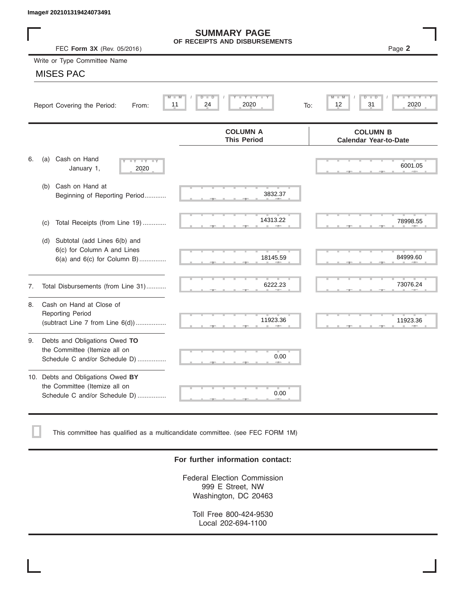|    | Image# 202101319424073491                                                                             |                                                      |                                                 |
|----|-------------------------------------------------------------------------------------------------------|------------------------------------------------------|-------------------------------------------------|
|    | FEC Form 3X (Rev. 05/2016)                                                                            | <b>SUMMARY PAGE</b><br>OF RECEIPTS AND DISBURSEMENTS | Page 2                                          |
|    | Write or Type Committee Name                                                                          |                                                      |                                                 |
|    | <b>MISES PAC</b>                                                                                      |                                                      |                                                 |
|    | Report Covering the Period:<br>From:                                                                  | Y LY L<br>$D$ $D$<br>24<br>2020<br>11                | D<br>31<br>2020<br>12<br>To:                    |
|    |                                                                                                       | <b>COLUMN A</b><br><b>This Period</b>                | <b>COLUMN B</b><br><b>Calendar Year-to-Date</b> |
| 6. | Cash on Hand<br>(a)<br>$-Y - Y - IY$<br>January 1,<br>2020                                            |                                                      | 6001.05                                         |
|    | Cash on Hand at<br>(b)<br>Beginning of Reporting Period                                               | 3832.37                                              |                                                 |
|    | Total Receipts (from Line 19)<br>(c)                                                                  | 14313.22                                             | 78998.55                                        |
|    | Subtotal (add Lines 6(b) and<br>(d)<br>6(c) for Column A and Lines<br>$6(a)$ and $6(c)$ for Column B) | 18145.59                                             | 84999.60                                        |
| 7. | Total Disbursements (from Line 31)                                                                    | 6222.23                                              | 73076.24                                        |
| 8. | Cash on Hand at Close of<br><b>Reporting Period</b><br>(subtract Line $7$ from Line $6(d)$ )          | 11923.36                                             | 11923.36                                        |
| 9. | Debts and Obligations Owed TO<br>the Committee (Itemize all on<br>Schedule C and/or Schedule D)       | 0.00                                                 |                                                 |
|    | 10. Debts and Obligations Owed BY<br>the Committee (Itemize all on<br>Schedule C and/or Schedule D)   | T.<br>0.00                                           |                                                 |

This committee has qualified as a multicandidate committee. (see FEC FORM 1M)

# **For further information contact:**

Federal Election Commission 999 E Street, NW Washington, DC 20463

Toll Free 800-424-9530 Local 202-694-1100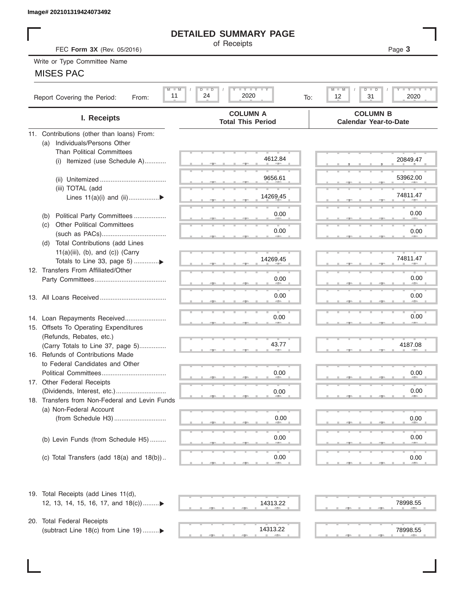# **DETAILED SUMMARY PAGE**

# MISES PAC

|                                                       | <b>DETAILED SUMMARY PAGE</b>                                                                                  |                                                                   |
|-------------------------------------------------------|---------------------------------------------------------------------------------------------------------------|-------------------------------------------------------------------|
| FEC Form 3X (Rev. 05/2016)                            | of Receipts                                                                                                   | Page 3                                                            |
| Write or Type Committee Name                          |                                                                                                               |                                                                   |
| <b>MISES PAC</b>                                      |                                                                                                               |                                                                   |
|                                                       |                                                                                                               |                                                                   |
| $M$ $M$<br>11<br>Report Covering the Period:<br>From: | $\mathbf{I}$ $\mathbf{Y}$ $\mathbf{I}$ $\mathbf{Y}$ $\mathbf{I}$ $\mathbf{Y}$<br>$D$ $D$<br>24<br>2020<br>To: | $I - Y - I - Y - I - Y$<br>$M$ $M$<br>$D$ $D$<br>12<br>31<br>2020 |
| I. Receipts                                           | <b>COLUMN A</b><br><b>Total This Period</b>                                                                   | <b>COLUMN B</b><br><b>Calendar Year-to-Date</b>                   |
| 11. Contributions (other than loans) From:            |                                                                                                               |                                                                   |
| Individuals/Persons Other<br>(a)                      |                                                                                                               |                                                                   |
| <b>Than Political Committees</b>                      | 4612.84                                                                                                       |                                                                   |
| Itemized (use Schedule A)<br>(i)                      |                                                                                                               | 20849.47                                                          |
|                                                       | 9656.61                                                                                                       |                                                                   |
|                                                       |                                                                                                               | 53962.00                                                          |
| (iii) TOTAL (add                                      | 14269.45                                                                                                      | 74811.47                                                          |
| Lines $11(a)(i)$ and $(ii)$                           |                                                                                                               |                                                                   |
| Political Party Committees                            | 0.00                                                                                                          | 0.00                                                              |
| (b)<br><b>Other Political Committees</b><br>(C)       |                                                                                                               |                                                                   |
|                                                       | 0.00                                                                                                          | 0.00                                                              |
| Total Contributions (add Lines<br>(d)                 |                                                                                                               |                                                                   |
| $11(a)(iii)$ , (b), and (c)) (Carry                   |                                                                                                               |                                                                   |
|                                                       | 14269.45                                                                                                      | 74811.47                                                          |
| 12. Transfers From Affiliated/Other                   |                                                                                                               |                                                                   |
|                                                       | 0.00                                                                                                          | 0.00                                                              |
|                                                       |                                                                                                               |                                                                   |
|                                                       | 0.00                                                                                                          | 0.00                                                              |
|                                                       |                                                                                                               |                                                                   |
| 14. Loan Repayments Received                          | 0.00                                                                                                          | 0.00                                                              |
| 15. Offsets To Operating Expenditures                 |                                                                                                               |                                                                   |
| (Refunds, Rebates, etc.)                              |                                                                                                               |                                                                   |
| (Carry Totals to Line 37, page 5)                     | 43.77                                                                                                         | 4187.08                                                           |
| 16. Refunds of Contributions Made                     |                                                                                                               |                                                                   |
| to Federal Candidates and Other                       |                                                                                                               |                                                                   |
| Political Committees                                  | 0.00                                                                                                          | 0.00                                                              |
| 17. Other Federal Receipts                            |                                                                                                               |                                                                   |
| (Dividends, Interest, etc.)                           | 0.00                                                                                                          | 0.00                                                              |
| 18. Transfers from Non-Federal and Levin Funds        |                                                                                                               |                                                                   |
| (a) Non-Federal Account                               |                                                                                                               |                                                                   |
|                                                       | 0.00                                                                                                          | 0.00                                                              |
|                                                       |                                                                                                               |                                                                   |
| (b) Levin Funds (from Schedule H5)                    | 0.00                                                                                                          | 0.00                                                              |
|                                                       |                                                                                                               |                                                                   |
| (c) Total Transfers (add $18(a)$ and $18(b)$ )        | 0.00                                                                                                          | 0.00                                                              |
| 19. Total Receipts (add Lines 11(d),                  |                                                                                                               |                                                                   |
| 12, 13, 14, 15, 16, 17, and 18(c)                     | 14313.22                                                                                                      | 78998.55                                                          |
|                                                       |                                                                                                               |                                                                   |
| 20. Total Federal Receipts                            |                                                                                                               |                                                                   |
| (subtract Line 18(c) from Line 19) ▶                  | 14313.22                                                                                                      | 78998.55                                                          |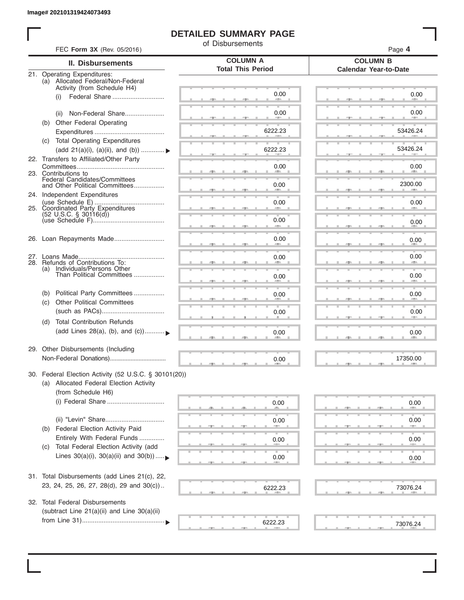# **DETAILED SUMMARY PAGE**

of Disbursements

| FEC Form 3X (Rev. 05/2016)                                                                                             |                                             | Page 4<br><b>COLUMN B</b>      |  |  |  |  |
|------------------------------------------------------------------------------------------------------------------------|---------------------------------------------|--------------------------------|--|--|--|--|
| II. Disbursements                                                                                                      | <b>COLUMN A</b><br><b>Total This Period</b> |                                |  |  |  |  |
| 21. Operating Expenditures:<br>(a) Allocated Federal/Non-Federal<br>Activity (from Schedule H4)                        |                                             | <b>Calendar Year-to-Date</b>   |  |  |  |  |
| Federal Share<br>(i)                                                                                                   | 0.00                                        | 0.00                           |  |  |  |  |
| Non-Federal Share<br>(ii)<br>(b) Other Federal Operating                                                               | 0.00                                        | 0.00                           |  |  |  |  |
|                                                                                                                        | 6222.23                                     | 53426.24                       |  |  |  |  |
| (c) Total Operating Expenditures<br>(add 21(a)(i), (a)(ii), and (b))  ▶                                                | 6222.23                                     | 53426.24                       |  |  |  |  |
| 22. Transfers to Affiliated/Other Party                                                                                | 0.00                                        | 0.00                           |  |  |  |  |
| 23. Contributions to<br>Federal Candidates/Committees<br>and Other Political Committees                                | 0.00                                        | and the contract of<br>2300.00 |  |  |  |  |
| 24. Independent Expenditures                                                                                           |                                             |                                |  |  |  |  |
| 25. Coordinated Party Expenditures<br>$(52 \text{ U.S.C. }$ § 30116(d))                                                | 0.00                                        | 0.00                           |  |  |  |  |
|                                                                                                                        | 0.00<br>an a                                | 0.00                           |  |  |  |  |
| 26. Loan Repayments Made                                                                                               | 0.00                                        | 0.00                           |  |  |  |  |
| 28. Refunds of Contributions To:                                                                                       | 0.00                                        | 0.00                           |  |  |  |  |
| (a) Individuals/Persons Other<br>Than Political Committees                                                             | 0.00                                        | 0.00                           |  |  |  |  |
| Political Party Committees<br>(b)                                                                                      | 0.00                                        | 0.00                           |  |  |  |  |
| <b>Other Political Committees</b><br>(c)                                                                               | 0.00                                        | 0.00                           |  |  |  |  |
| <b>Total Contribution Refunds</b><br>(d)<br>(add Lines 28(a), (b), and (c))                                            | 0.00                                        | 0.00                           |  |  |  |  |
| 29. Other Disbursements (Including                                                                                     | 0.00                                        | 17350.00                       |  |  |  |  |
| 30. Federal Election Activity (52 U.S.C. § 30101(20))<br>(a) Allocated Federal Election Activity<br>(from Schedule H6) |                                             |                                |  |  |  |  |
|                                                                                                                        | 0.00                                        | 0.00                           |  |  |  |  |
| Federal Election Activity Paid<br>(b)                                                                                  | 0.00                                        | 0.00                           |  |  |  |  |
| Entirely With Federal Funds<br>Total Federal Election Activity (add                                                    | 0.00                                        | 0.00                           |  |  |  |  |
| (C)<br>Lines $30(a)(i)$ , $30(a)(ii)$ and $30(b))$                                                                     | 0.00                                        | 0.00                           |  |  |  |  |
| 31. Total Disbursements (add Lines 21(c), 22,                                                                          |                                             |                                |  |  |  |  |
| 23, 24, 25, 26, 27, 28(d), 29 and 30(c))                                                                               | 6222.23                                     | 73076.24                       |  |  |  |  |
| 32. Total Federal Disbursements<br>(subtract Line 21(a)(ii) and Line 30(a)(ii)                                         |                                             |                                |  |  |  |  |
|                                                                                                                        | 6222.23                                     | 73076.24                       |  |  |  |  |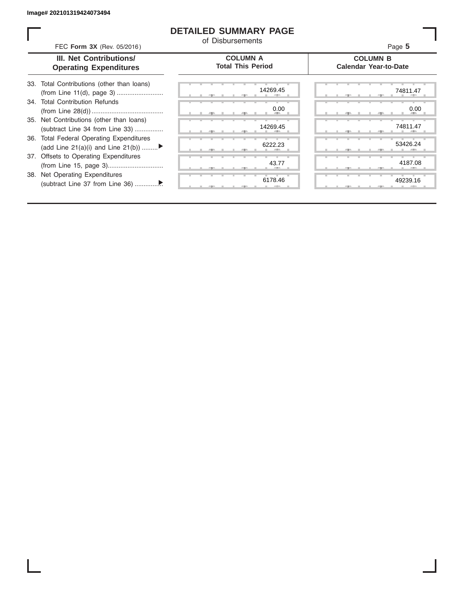ı

# **DETAILED SUMMARY PAGE**

of Disbursements

FEC **Form 3X** (Rev. 05/2016) Page **5**

|  | <b>III. Net Contributions/</b> |
|--|--------------------------------|
|  | <b>Operating Expenditures</b>  |

**COLUMN A Total This Period**

#### **COLUMN B Calendar Year-to-Date**

| 33. Total Contributions (other than loans) |  |
|--------------------------------------------|--|
|                                            |  |
| 34. Total Contribution Refunds             |  |
|                                            |  |
| 35. Net Contributions (other than loans)   |  |
| (subtract Line 34 from Line 33)            |  |
| 36. Total Federal Operating Expenditures   |  |
| (add Line 21(a)(i) and Line 21(b))         |  |
| 37. Offsets to Operating Expenditures      |  |
|                                            |  |
| 38. Net Operating Expenditures             |  |
|                                            |  |
|                                            |  |

|  | 一生     |   |   | $-7-$ | 14269.45          |
|--|--------|---|---|-------|-------------------|
|  |        |   |   |       | ъ<br>0.00         |
|  | -91    |   | ٠ | - 7 - | m<br>٠<br>٠<br>٠  |
|  |        |   |   |       | 14269.45          |
|  | 胆      |   |   | - 9   | $\mathbb{R}$      |
|  |        |   |   |       | 6222.23           |
|  | 一<br>A |   |   | $-7-$ | п                 |
|  |        |   | ٠ | ٠     | т<br>٠<br>43.77   |
|  | -      |   |   | "     |                   |
|  |        | т | т |       | т<br>т<br>6178.46 |
|  |        |   |   | э     | п                 |

|  |  | 14269.45   | 74811.47                |
|--|--|------------|-------------------------|
|  |  | 0.00       | 0.00                    |
|  |  | <b>ALL</b> | <b>All Street</b><br>49 |
|  |  | 14269.45   | 74811.47                |
|  |  | -          |                         |
|  |  | 6222.23    | 53426.24                |
|  |  |            |                         |
|  |  |            |                         |
|  |  | 43.77      | 4187.08                 |
|  |  |            |                         |
|  |  | 6178.46    | 49239.16                |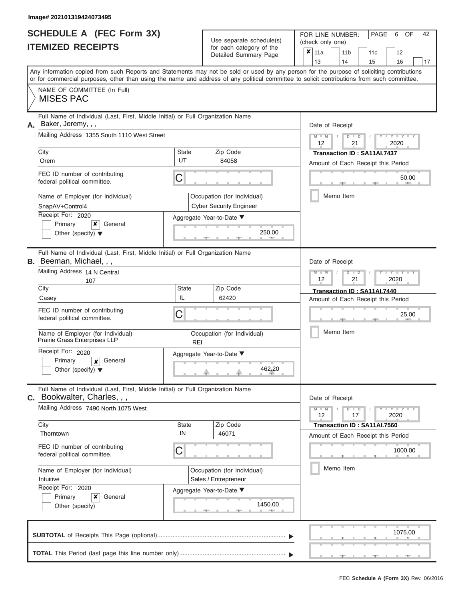|                          | <b>SCHEDULE A (FEC Form 3X)</b> |
|--------------------------|---------------------------------|
| <b>ITEMIZED RECEIPTS</b> |                                 |

Use separate schedule $(s)$  for each category of the

FOR LINE NUMBER: PAGE<br>
(check only one)

|                                                                                                                            | IIEMILED REVEIFIJ                                                                                                                                                                                                                                                                       |                                                     |  | ior each category of the<br>Detailed Summary Page             | ×                                                                 | 11a                                               |           |  | 11 <sub>b</sub>                                                    |  | 11c                         |  | 12                    |    |  |  |  |
|----------------------------------------------------------------------------------------------------------------------------|-----------------------------------------------------------------------------------------------------------------------------------------------------------------------------------------------------------------------------------------------------------------------------------------|-----------------------------------------------------|--|---------------------------------------------------------------|-------------------------------------------------------------------|---------------------------------------------------|-----------|--|--------------------------------------------------------------------|--|-----------------------------|--|-----------------------|----|--|--|--|
|                                                                                                                            |                                                                                                                                                                                                                                                                                         |                                                     |  |                                                               |                                                                   | 13                                                |           |  | 14                                                                 |  | 15                          |  | 16                    | 17 |  |  |  |
|                                                                                                                            | Any information copied from such Reports and Statements may not be sold or used by any person for the purpose of soliciting contributions<br>or for commercial purposes, other than using the name and address of any political committee to solicit contributions from such committee. |                                                     |  |                                                               |                                                                   |                                                   |           |  |                                                                    |  |                             |  |                       |    |  |  |  |
|                                                                                                                            | NAME OF COMMITTEE (In Full)<br><b>MISES PAC</b>                                                                                                                                                                                                                                         |                                                     |  |                                                               |                                                                   |                                                   |           |  |                                                                    |  |                             |  |                       |    |  |  |  |
| А.                                                                                                                         | Full Name of Individual (Last, First, Middle Initial) or Full Organization Name<br>Baker, Jeremy, , ,                                                                                                                                                                                   | Date of Receipt                                     |  |                                                               |                                                                   |                                                   |           |  |                                                                    |  |                             |  |                       |    |  |  |  |
|                                                                                                                            | Mailing Address 1355 South 1110 West Street                                                                                                                                                                                                                                             |                                                     |  |                                                               |                                                                   | $M - M$<br>$D$ $D$<br>$Y = Y$<br>12<br>21<br>2020 |           |  |                                                                    |  |                             |  |                       |    |  |  |  |
|                                                                                                                            | City<br>Orem                                                                                                                                                                                                                                                                            | State<br>UT                                         |  | Zip Code<br>84058                                             | Transaction ID: SA11AI.7437<br>Amount of Each Receipt this Period |                                                   |           |  |                                                                    |  |                             |  |                       |    |  |  |  |
|                                                                                                                            | FEC ID number of contributing<br>federal political committee.                                                                                                                                                                                                                           | С                                                   |  |                                                               | 50.00                                                             |                                                   |           |  |                                                                    |  |                             |  |                       |    |  |  |  |
|                                                                                                                            | Name of Employer (for Individual)<br>SnapAV+Control4                                                                                                                                                                                                                                    |                                                     |  | Occupation (for Individual)<br><b>Cyber Security Engineer</b> |                                                                   |                                                   | Memo Item |  |                                                                    |  |                             |  |                       |    |  |  |  |
| Receipt For: 2020<br>Aggregate Year-to-Date ▼<br>General<br>Primary<br>x<br>250.00<br>Other (specify) $\blacktriangledown$ |                                                                                                                                                                                                                                                                                         |                                                     |  |                                                               |                                                                   |                                                   |           |  |                                                                    |  |                             |  |                       |    |  |  |  |
|                                                                                                                            | Full Name of Individual (Last, First, Middle Initial) or Full Organization Name<br><b>B.</b> Beeman, Michael, , ,                                                                                                                                                                       |                                                     |  |                                                               |                                                                   | Date of Receipt                                   |           |  |                                                                    |  |                             |  |                       |    |  |  |  |
|                                                                                                                            | Mailing Address 14 N Central<br>107                                                                                                                                                                                                                                                     |                                                     |  |                                                               |                                                                   |                                                   |           |  | $M - M$<br>$D$ $D$<br>$\overline{\phantom{a}}$<br>12<br>21<br>2020 |  |                             |  |                       |    |  |  |  |
|                                                                                                                            | City<br>Casey                                                                                                                                                                                                                                                                           | State<br>IL                                         |  | Zip Code<br>62420                                             |                                                                   | Amount of Each Receipt this Period                |           |  |                                                                    |  | Transaction ID: SA11AI.7440 |  |                       |    |  |  |  |
|                                                                                                                            | FEC ID number of contributing<br>federal political committee.                                                                                                                                                                                                                           | С<br>Occupation (for Individual)<br><b>REI</b>      |  |                                                               |                                                                   | 25.00                                             |           |  |                                                                    |  |                             |  |                       |    |  |  |  |
|                                                                                                                            | Name of Employer (for Individual)<br>Prairie Grass Enterprises LLP                                                                                                                                                                                                                      |                                                     |  |                                                               |                                                                   | Memo Item                                         |           |  |                                                                    |  |                             |  |                       |    |  |  |  |
|                                                                                                                            | Receipt For: 2020<br>Primary<br>General<br>$\boldsymbol{x}$<br>Other (specify) $\blacktriangledown$                                                                                                                                                                                     |                                                     |  | Aggregate Year-to-Date ▼<br>462.20                            |                                                                   |                                                   |           |  |                                                                    |  |                             |  |                       |    |  |  |  |
| С.                                                                                                                         | Full Name of Individual (Last, First, Middle Initial) or Full Organization Name<br>Bookwalter, Charles, , ,                                                                                                                                                                             |                                                     |  |                                                               |                                                                   | Date of Receipt                                   |           |  |                                                                    |  |                             |  |                       |    |  |  |  |
|                                                                                                                            | Mailing Address 7490 North 1075 West                                                                                                                                                                                                                                                    |                                                     |  |                                                               |                                                                   | $M - M$<br>12                                     |           |  | $D$ $D$<br>17                                                      |  |                             |  | Y - Y - Y - Y<br>2020 |    |  |  |  |
|                                                                                                                            | City<br>Thorntown                                                                                                                                                                                                                                                                       | State<br>IN                                         |  | Zip Code<br>46071                                             |                                                                   | Amount of Each Receipt this Period                |           |  |                                                                    |  | Transaction ID: SA11AI.7560 |  |                       |    |  |  |  |
|                                                                                                                            | FEC ID number of contributing<br>federal political committee.                                                                                                                                                                                                                           | C                                                   |  |                                                               |                                                                   |                                                   | 1000.00   |  |                                                                    |  |                             |  |                       |    |  |  |  |
|                                                                                                                            | Name of Employer (for Individual)<br>Intuitive                                                                                                                                                                                                                                          | Occupation (for Individual)<br>Sales / Entrepreneur |  |                                                               | Memo Item                                                         |                                                   |           |  |                                                                    |  |                             |  |                       |    |  |  |  |
|                                                                                                                            | Receipt For: 2020<br>General<br>Primary<br>x<br>Other (specify)                                                                                                                                                                                                                         | Aggregate Year-to-Date ▼<br>1450.00                 |  |                                                               |                                                                   |                                                   |           |  |                                                                    |  |                             |  |                       |    |  |  |  |
|                                                                                                                            |                                                                                                                                                                                                                                                                                         |                                                     |  |                                                               |                                                                   |                                                   |           |  |                                                                    |  |                             |  | 1075.00               |    |  |  |  |
|                                                                                                                            |                                                                                                                                                                                                                                                                                         |                                                     |  |                                                               |                                                                   |                                                   |           |  |                                                                    |  |                             |  |                       |    |  |  |  |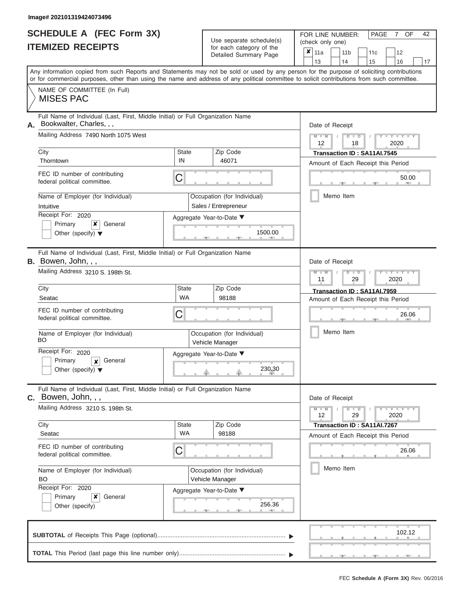|                          | <b>SCHEDULE A (FEC Form 3X)</b> |
|--------------------------|---------------------------------|
| <b>ITEMIZED RECEIPTS</b> |                                 |

| SCHEDULE A (FEC Form 3X)<br><b>ITEMIZED RECEIPTS</b>                                                                                                                                                                                                                                                                                                                                      |                                                                                                                                                                        | Use separate schedule(s)<br>for each category of the<br>Detailed Summary Page                                   | 42<br>FOR LINE NUMBER:<br>PAGE<br>OF<br>7<br>(check only one)<br>$\overline{\mathbf{x}}$   11a<br>11 <sub>b</sub><br>11c<br>12                                                                    |
|-------------------------------------------------------------------------------------------------------------------------------------------------------------------------------------------------------------------------------------------------------------------------------------------------------------------------------------------------------------------------------------------|------------------------------------------------------------------------------------------------------------------------------------------------------------------------|-----------------------------------------------------------------------------------------------------------------|---------------------------------------------------------------------------------------------------------------------------------------------------------------------------------------------------|
| Any information copied from such Reports and Statements may not be sold or used by any person for the purpose of soliciting contributions<br>or for commercial purposes, other than using the name and address of any political committee to solicit contributions from such committee.<br>NAME OF COMMITTEE (In Full)<br><b>MISES PAC</b>                                                |                                                                                                                                                                        |                                                                                                                 | 13<br>14<br>15<br>16<br>17                                                                                                                                                                        |
| Full Name of Individual (Last, First, Middle Initial) or Full Organization Name<br>Bookwalter, Charles, , ,<br>А.<br>Mailing Address 7490 North 1075 West<br>City<br>Thorntown<br>FEC ID number of contributing<br>federal political committee.<br>Name of Employer (for Individual)<br>Intuitive<br>Receipt For: 2020<br>Primary<br>×<br>General<br>Other (specify) $\blacktriangledown$ | <b>State</b><br>IN<br>C                                                                                                                                                | Zip Code<br>46071<br>Occupation (for Individual)<br>Sales / Entrepreneur<br>Aggregate Year-to-Date ▼<br>1500.00 | Date of Receipt<br>$M - M$<br>$D$ $D$<br>$Y - Y$<br>$\sqrt{2}$<br>12<br>18<br>2020<br>Transaction ID: SA11AI.7545<br>Amount of Each Receipt this Period<br>50.00<br><b>ARCHITECT</b><br>Memo Item |
| Full Name of Individual (Last, First, Middle Initial) or Full Organization Name<br>B. Bowen, John, , ,<br>Mailing Address 3210 S. 198th St.<br>City<br>Seatac<br>FEC ID number of contributing<br>federal political committee.<br>Name of Employer (for Individual)<br><b>BO</b><br>Receipt For: 2020<br>Primary<br>General<br>$\boldsymbol{x}$<br>Other (specify) $\blacktriangledown$   | Date of Receipt<br>$M - M$<br>$D$ $\Box$ $D$<br>$Y - Y$<br>11<br>2020<br>29<br>Transaction ID: SA11AI.7959<br>Amount of Each Receipt this Period<br>26.06<br>Memo Item |                                                                                                                 |                                                                                                                                                                                                   |
| Full Name of Individual (Last, First, Middle Initial) or Full Organization Name<br>C. Bowen, John, , ,<br>Mailing Address 3210 S. 198th St.<br>City<br>Seatac<br>FEC ID number of contributing<br>federal political committee.<br>Name of Employer (for Individual)<br><b>BO</b><br>Receipt For: 2020<br>×<br>Primary<br>General<br>Other (specify)                                       | State<br><b>WA</b><br>С                                                                                                                                                | Zip Code<br>98188<br>Occupation (for Individual)<br>Vehicle Manager<br>Aggregate Year-to-Date ▼<br>256.36       | Date of Receipt<br>$M - M$<br>$D$ $D$<br>$T - Y = Y - T Y$<br>12<br>29<br>2020<br>Transaction ID: SA11AI.7267<br>Amount of Each Receipt this Period<br>26.06<br>Memo Item                         |
|                                                                                                                                                                                                                                                                                                                                                                                           |                                                                                                                                                                        |                                                                                                                 | 102.12                                                                                                                                                                                            |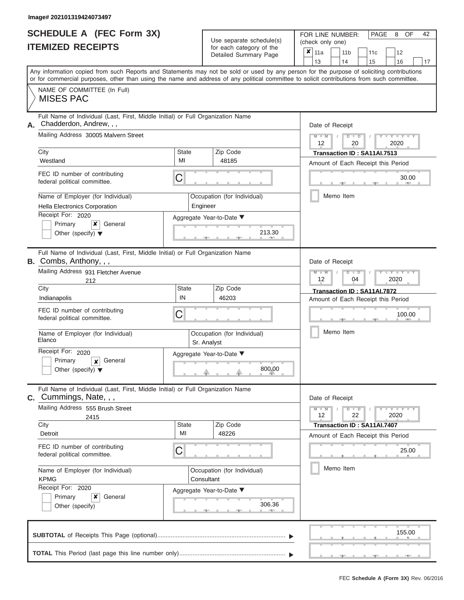|                          | <b>SCHEDULE A (FEC Form 3X)</b> |
|--------------------------|---------------------------------|
| <b>ITEMIZED RECEIPTS</b> |                                 |

| SCHEDULE A (FEC Form 3X)<br><b>ITEMIZED RECEIPTS</b>                                                                                                                                                                                                                                                                                                                                                                                    | Use separate schedule(s)<br>for each category of the<br>Detailed Summary Page                         | 42<br>FOR LINE NUMBER:<br>PAGE<br>8<br>OF<br>(check only one)<br>$\overline{\mathbf{x}}$   11a<br>11 <sub>b</sub><br>11c<br>12<br>13<br>14<br>15<br>16<br>17                     |
|-----------------------------------------------------------------------------------------------------------------------------------------------------------------------------------------------------------------------------------------------------------------------------------------------------------------------------------------------------------------------------------------------------------------------------------------|-------------------------------------------------------------------------------------------------------|----------------------------------------------------------------------------------------------------------------------------------------------------------------------------------|
| Any information copied from such Reports and Statements may not be sold or used by any person for the purpose of soliciting contributions<br>or for commercial purposes, other than using the name and address of any political committee to solicit contributions from such committee.<br>NAME OF COMMITTEE (In Full)<br><b>MISES PAC</b>                                                                                              |                                                                                                       |                                                                                                                                                                                  |
| Full Name of Individual (Last, First, Middle Initial) or Full Organization Name<br>Chadderdon, Andrew, , ,<br>А.<br>Mailing Address 30005 Malvern Street<br>City<br><b>State</b><br>MI<br>Westland<br>FEC ID number of contributing<br>C<br>federal political committee.<br>Name of Employer (for Individual)<br>Hella Electronics Corporation<br>Receipt For: 2020<br>X.<br>General<br>Primary<br>Other (specify) $\blacktriangledown$ | Zip Code<br>48185<br>Occupation (for Individual)<br>Engineer<br>Aggregate Year-to-Date ▼<br>213.30    | Date of Receipt<br>$M = M$ /<br>$D$ $D$<br>Y TY T<br>12<br>20<br>2020<br>Transaction ID: SA11AI.7513<br>Amount of Each Receipt this Period<br>30.00<br><b>AND A</b><br>Memo Item |
| Full Name of Individual (Last, First, Middle Initial) or Full Organization Name<br>B. Combs, Anthony, , ,<br>Mailing Address 931 Fletcher Avenue<br>212<br>City<br>State<br>IN<br>Indianapolis<br>FEC ID number of contributing<br>С<br>federal political committee.<br>Name of Employer (for Individual)<br>Elanco<br>Receipt For: 2020<br>Primary<br>General<br>$\boldsymbol{x}$<br>Other (specify) $\blacktriangledown$              | Zip Code<br>46203<br>Occupation (for Individual)<br>Sr. Analyst<br>Aggregate Year-to-Date ▼<br>800.00 | Date of Receipt<br>$M - M$<br>$D$ $\Box$ $D$<br>Y TYT<br>12<br>2020<br>04<br>Transaction ID: SA11AI.7872<br>Amount of Each Receipt this Period<br>100.00<br>Memo Item            |
| Full Name of Individual (Last, First, Middle Initial) or Full Organization Name<br><b>C.</b> Cummings, Nate, $,$ ,<br>Mailing Address 555 Brush Street<br>2415<br>State<br>City<br>MI<br>Detroit<br>FEC ID number of contributing<br>С<br>federal political committee.<br>Name of Employer (for Individual)<br><b>KPMG</b><br>Receipt For: 2020<br>×<br>Primary<br>General<br>Other (specify)                                           | Zip Code<br>48226<br>Occupation (for Individual)<br>Consultant<br>Aggregate Year-to-Date ▼<br>306.36  | Date of Receipt<br>$M - M$<br>$D$ $D$<br>$T - Y = Y - T Y$<br>12<br>22<br>2020<br>Transaction ID: SA11AI.7407<br>Amount of Each Receipt this Period<br>25.00<br>Memo Item        |
|                                                                                                                                                                                                                                                                                                                                                                                                                                         |                                                                                                       | 155.00                                                                                                                                                                           |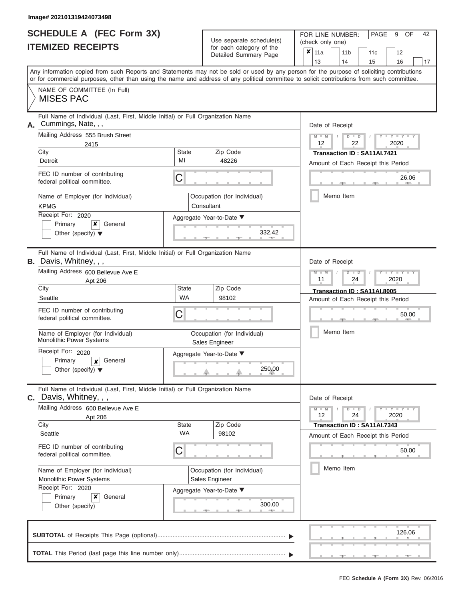|                          | <b>SCHEDULE A (FEC Form 3X)</b> |
|--------------------------|---------------------------------|
| <b>ITEMIZED RECEIPTS</b> |                                 |

Use separate schedule(s)

FOR LINE NUMBER: PAGE<br>
(check only one)

| IIEMIZED KEUEIPIS                                                                                                                                                           |                    | for each category of the<br>Detailed Summary Page                                                                                                 | $\pmb{\times}$<br>12<br>11a<br>11 <sub>b</sub><br>11c<br>13<br>14<br>15<br>16<br>17                                                                                                                                                                                                     |  |  |  |  |  |
|-----------------------------------------------------------------------------------------------------------------------------------------------------------------------------|--------------------|---------------------------------------------------------------------------------------------------------------------------------------------------|-----------------------------------------------------------------------------------------------------------------------------------------------------------------------------------------------------------------------------------------------------------------------------------------|--|--|--|--|--|
|                                                                                                                                                                             |                    |                                                                                                                                                   | Any information copied from such Reports and Statements may not be sold or used by any person for the purpose of soliciting contributions<br>or for commercial purposes, other than using the name and address of any political committee to solicit contributions from such committee. |  |  |  |  |  |
| NAME OF COMMITTEE (In Full)<br><b>MISES PAC</b>                                                                                                                             |                    |                                                                                                                                                   |                                                                                                                                                                                                                                                                                         |  |  |  |  |  |
| Full Name of Individual (Last, First, Middle Initial) or Full Organization Name<br>Cummings, Nate, , ,<br>А.<br>Mailing Address 555 Brush Street<br>2415<br>City<br>Detroit | Zip Code<br>48226  | Date of Receipt<br>$+Y+Y+Y$<br>$M - M$<br>$D$ $\Box$ $D$<br>12<br>22<br>2020<br>Transaction ID: SA11AI.7421<br>Amount of Each Receipt this Period |                                                                                                                                                                                                                                                                                         |  |  |  |  |  |
| FEC ID number of contributing<br>federal political committee.<br>Name of Employer (for Individual)<br><b>KPMG</b>                                                           | 26.06<br>Memo Item |                                                                                                                                                   |                                                                                                                                                                                                                                                                                         |  |  |  |  |  |
| Receipt For: 2020<br>Primary<br>x<br>General<br>Other (specify) $\blacktriangledown$                                                                                        |                    | Aggregate Year-to-Date ▼<br>332.42                                                                                                                |                                                                                                                                                                                                                                                                                         |  |  |  |  |  |
| Full Name of Individual (Last, First, Middle Initial) or Full Organization Name<br><b>B.</b> Davis, Whitney, , ,<br>Mailing Address 600 Bellevue Ave E                      |                    |                                                                                                                                                   | Date of Receipt<br>$M - M$<br>$T - Y = Y - T Y$<br>$D$ $\Box$ $D$                                                                                                                                                                                                                       |  |  |  |  |  |
| Apt 206<br>City<br>Seattle                                                                                                                                                  | State<br>WA        | Zip Code<br>98102                                                                                                                                 | 11<br>24<br>2020<br>Transaction ID: SA11AI.8005<br>Amount of Each Receipt this Period                                                                                                                                                                                                   |  |  |  |  |  |
| FEC ID number of contributing<br>federal political committee.                                                                                                               | C                  |                                                                                                                                                   | 50.00<br>Memo Item                                                                                                                                                                                                                                                                      |  |  |  |  |  |
| Name of Employer (for Individual)<br>Monolithic Power Systems<br>Receipt For: 2020<br>Primary<br>General                                                                    |                    | Occupation (for Individual)<br>Sales Engineer<br>Aggregate Year-to-Date ▼                                                                         |                                                                                                                                                                                                                                                                                         |  |  |  |  |  |
| $\boldsymbol{x}$<br>Other (specify) $\blacktriangledown$                                                                                                                    |                    |                                                                                                                                                   |                                                                                                                                                                                                                                                                                         |  |  |  |  |  |
| Full Name of Individual (Last, First, Middle Initial) or Full Organization Name<br>$c.$ Davis, Whitney, , ,<br>Mailing Address 600 Bellevue Ave E<br>Apt 206                |                    |                                                                                                                                                   | Date of Receipt<br>$-Y - Y - Y - Y$<br>$M - M$<br>$D$ $D$<br>24<br>12<br>2020                                                                                                                                                                                                           |  |  |  |  |  |
| City                                                                                                                                                                        | <b>State</b>       | Zip Code                                                                                                                                          | Transaction ID: SA11AI.7343                                                                                                                                                                                                                                                             |  |  |  |  |  |
| Seattle<br>FEC ID number of contributing<br>federal political committee.                                                                                                    | <b>WA</b><br>C     | 98102                                                                                                                                             | Amount of Each Receipt this Period<br>50.00                                                                                                                                                                                                                                             |  |  |  |  |  |
| Name of Employer (for Individual)<br>Monolithic Power Systems<br>Receipt For: 2020                                                                                          |                    | Occupation (for Individual)<br>Sales Engineer                                                                                                     | Memo Item                                                                                                                                                                                                                                                                               |  |  |  |  |  |
| Primary<br>×<br>General<br>Other (specify)                                                                                                                                  |                    | Aggregate Year-to-Date ▼<br>300.00<br><b>CONTRACTOR</b>                                                                                           |                                                                                                                                                                                                                                                                                         |  |  |  |  |  |
|                                                                                                                                                                             |                    |                                                                                                                                                   | 126.06                                                                                                                                                                                                                                                                                  |  |  |  |  |  |
|                                                                                                                                                                             |                    |                                                                                                                                                   |                                                                                                                                                                                                                                                                                         |  |  |  |  |  |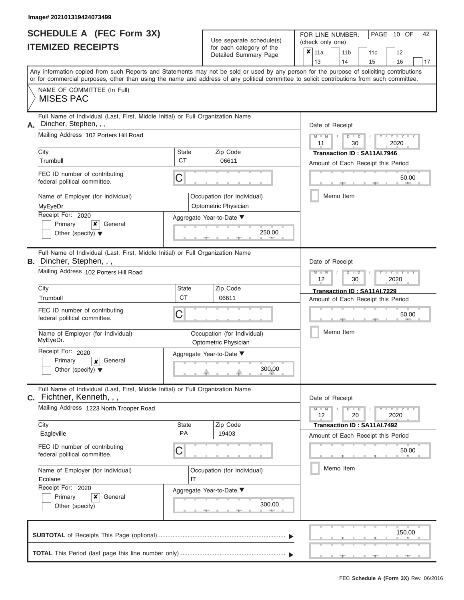|                          | <b>SCHEDULE A (FEC Form 3X)</b> |
|--------------------------|---------------------------------|
| <b>ITEMIZED RECEIPTS</b> |                                 |

Use separate schedule(s)

FOR LINE NUMBER:<br>(check only one)

PAGE 10 OF 42

|                                                                                                                | IIEMIZEU REVEIFIJ                                                                                                                                                                                                                                                                       |                                                     |  | for each category of the<br>Detailed Summary Page   | ×                           | 11a                                                        |                                                 |           | 11 <sub>b</sub> |                                                                   |    | 11c |      | 12                  |    |
|----------------------------------------------------------------------------------------------------------------|-----------------------------------------------------------------------------------------------------------------------------------------------------------------------------------------------------------------------------------------------------------------------------------------|-----------------------------------------------------|--|-----------------------------------------------------|-----------------------------|------------------------------------------------------------|-------------------------------------------------|-----------|-----------------|-------------------------------------------------------------------|----|-----|------|---------------------|----|
|                                                                                                                |                                                                                                                                                                                                                                                                                         |                                                     |  |                                                     |                             | 13                                                         |                                                 |           | 14              |                                                                   | 15 |     |      | 16                  | 17 |
|                                                                                                                | Any information copied from such Reports and Statements may not be sold or used by any person for the purpose of soliciting contributions<br>or for commercial purposes, other than using the name and address of any political committee to solicit contributions from such committee. |                                                     |  |                                                     |                             |                                                            |                                                 |           |                 |                                                                   |    |     |      |                     |    |
|                                                                                                                | NAME OF COMMITTEE (In Full)<br><b>MISES PAC</b>                                                                                                                                                                                                                                         |                                                     |  |                                                     |                             |                                                            |                                                 |           |                 |                                                                   |    |     |      |                     |    |
| Full Name of Individual (Last, First, Middle Initial) or Full Organization Name<br>Dincher, Stephen, , ,<br>Α. |                                                                                                                                                                                                                                                                                         |                                                     |  |                                                     |                             |                                                            | Date of Receipt                                 |           |                 |                                                                   |    |     |      |                     |    |
| Mailing Address 102 Porters Hill Road                                                                          |                                                                                                                                                                                                                                                                                         |                                                     |  |                                                     |                             |                                                            | Y TYT<br>$M - M$<br>$D$ $D$<br>2020<br>11<br>30 |           |                 |                                                                   |    |     |      |                     |    |
|                                                                                                                | City<br>Trumbull                                                                                                                                                                                                                                                                        | <b>State</b><br>СT                                  |  | Zip Code<br>06611                                   | Transaction ID: SA11AI.7946 |                                                            |                                                 |           |                 |                                                                   |    |     |      |                     |    |
|                                                                                                                | FEC ID number of contributing<br>federal political committee.                                                                                                                                                                                                                           | С                                                   |  |                                                     |                             | Amount of Each Receipt this Period<br>50.00<br><b>COLL</b> |                                                 |           |                 |                                                                   |    |     |      |                     |    |
|                                                                                                                | Name of Employer (for Individual)<br>MyEyeDr.                                                                                                                                                                                                                                           |                                                     |  | Occupation (for Individual)<br>Optometric Physician |                             |                                                            |                                                 | Memo Item |                 |                                                                   |    |     |      |                     |    |
|                                                                                                                | Receipt For: 2020<br>Primary<br>x<br>General<br>Other (specify) $\blacktriangledown$                                                                                                                                                                                                    | Aggregate Year-to-Date ▼                            |  | 250.00                                              |                             |                                                            |                                                 |           |                 |                                                                   |    |     |      |                     |    |
|                                                                                                                | Full Name of Individual (Last, First, Middle Initial) or Full Organization Name<br><b>B.</b> Dincher, Stephen, , ,                                                                                                                                                                      |                                                     |  |                                                     |                             | Date of Receipt                                            |                                                 |           |                 |                                                                   |    |     |      |                     |    |
| Mailing Address 102 Porters Hill Road                                                                          |                                                                                                                                                                                                                                                                                         |                                                     |  |                                                     |                             | $M - M$<br>Y TYT<br>$D$ $\Box$ $D$<br>2020<br>12<br>30     |                                                 |           |                 |                                                                   |    |     |      |                     |    |
|                                                                                                                | City<br>Trumbull                                                                                                                                                                                                                                                                        | <b>State</b><br><b>CT</b>                           |  | Zip Code<br>06611                                   |                             |                                                            |                                                 |           |                 | Transaction ID: SA11AI.7229<br>Amount of Each Receipt this Period |    |     |      |                     |    |
|                                                                                                                | FEC ID number of contributing<br>federal political committee.                                                                                                                                                                                                                           | С                                                   |  |                                                     |                             |                                                            |                                                 |           |                 |                                                                   |    |     |      | 50.00               |    |
|                                                                                                                | Name of Employer (for Individual)<br>MyEyeDr.                                                                                                                                                                                                                                           | Occupation (for Individual)<br>Optometric Physician |  |                                                     |                             |                                                            |                                                 | Memo Item |                 |                                                                   |    |     |      |                     |    |
|                                                                                                                | Receipt For: 2020<br>Primary<br>General<br>$\boldsymbol{x}$<br>Other (specify) $\blacktriangledown$                                                                                                                                                                                     | Aggregate Year-to-Date ▼<br>300.00                  |  |                                                     |                             |                                                            |                                                 |           |                 |                                                                   |    |     |      |                     |    |
|                                                                                                                | Full Name of Individual (Last, First, Middle Initial) or Full Organization Name<br>$C.$ Fichtner, Kenneth, , ,                                                                                                                                                                          |                                                     |  |                                                     |                             | Date of Receipt                                            |                                                 |           |                 |                                                                   |    |     |      |                     |    |
|                                                                                                                | Mailing Address 1223 North Trooper Road                                                                                                                                                                                                                                                 |                                                     |  |                                                     |                             | $M - M$<br>12                                              |                                                 |           |                 | $D$ $D$<br>20                                                     |    |     | 2020 | $Y - Y - Y - Y - Y$ |    |
|                                                                                                                | City<br>Eagleville                                                                                                                                                                                                                                                                      | <b>State</b><br>PA                                  |  | Zip Code<br>19403                                   |                             |                                                            |                                                 |           |                 | Transaction ID: SA11AI.7492                                       |    |     |      |                     |    |
|                                                                                                                | FEC ID number of contributing<br>C<br>federal political committee.                                                                                                                                                                                                                      |                                                     |  |                                                     |                             | Amount of Each Receipt this Period<br>50.00                |                                                 |           |                 |                                                                   |    |     |      |                     |    |
| Name of Employer (for Individual)<br>Occupation (for Individual)<br>Ecolane<br>IT                              |                                                                                                                                                                                                                                                                                         |                                                     |  |                                                     | Memo Item                   |                                                            |                                                 |           |                 |                                                                   |    |     |      |                     |    |
|                                                                                                                | Receipt For: 2020<br>Primary<br>x<br>General<br>Other (specify)                                                                                                                                                                                                                         | Aggregate Year-to-Date ▼                            |  | 300.00<br>A                                         |                             |                                                            |                                                 |           |                 |                                                                   |    |     |      |                     |    |
|                                                                                                                |                                                                                                                                                                                                                                                                                         |                                                     |  |                                                     |                             |                                                            |                                                 |           |                 |                                                                   |    |     |      | 150.00              |    |
|                                                                                                                |                                                                                                                                                                                                                                                                                         |                                                     |  |                                                     |                             |                                                            |                                                 |           |                 |                                                                   |    |     |      |                     |    |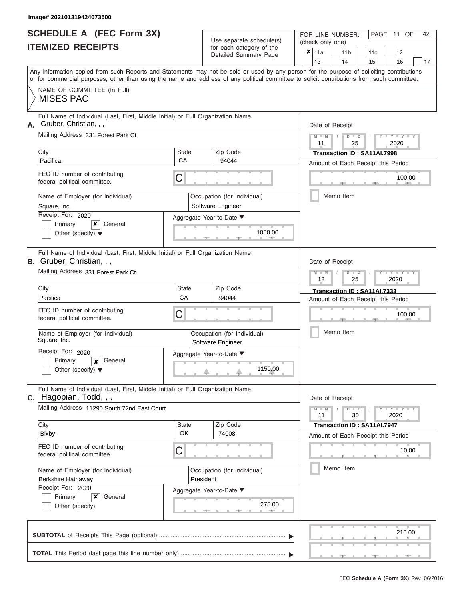|                          | <b>SCHEDULE A (FEC Form 3X)</b> |
|--------------------------|---------------------------------|
| <b>ITEMIZED RECEIPTS</b> |                                 |

| SCHEDULE A (FEC Form 3X)<br><b>ITEMIZED RECEIPTS</b>                                                                                                                                                                                                                                                                                                                                                       |                                                                                                                                                                       | Use separate schedule(s)<br>for each category of the<br>Detailed Summary Page                                | 42<br>FOR LINE NUMBER:<br>PAGE 11 OF<br>(check only one)<br>$\overline{\mathbf{x}}$   11a<br>11 <sub>b</sub><br>12<br>11c<br>13<br>14<br>15<br>16<br>17                                 |
|------------------------------------------------------------------------------------------------------------------------------------------------------------------------------------------------------------------------------------------------------------------------------------------------------------------------------------------------------------------------------------------------------------|-----------------------------------------------------------------------------------------------------------------------------------------------------------------------|--------------------------------------------------------------------------------------------------------------|-----------------------------------------------------------------------------------------------------------------------------------------------------------------------------------------|
| Any information copied from such Reports and Statements may not be sold or used by any person for the purpose of soliciting contributions<br>or for commercial purposes, other than using the name and address of any political committee to solicit contributions from such committee.<br>NAME OF COMMITTEE (In Full)<br><b>MISES PAC</b>                                                                 |                                                                                                                                                                       |                                                                                                              |                                                                                                                                                                                         |
| Full Name of Individual (Last, First, Middle Initial) or Full Organization Name<br>Gruber, Christian, , ,<br>А.<br>Mailing Address 331 Forest Park Ct<br>City<br>Pacifica<br>FEC ID number of contributing<br>federal political committee.<br>Name of Employer (for Individual)<br>Square, Inc.<br>Receipt For: 2020<br>Primary<br>×<br>General<br>Other (specify) $\blacktriangledown$                    | State<br>CA<br>С                                                                                                                                                      | Zip Code<br>94044<br>Occupation (for Individual)<br>Software Engineer<br>Aggregate Year-to-Date ▼<br>1050.00 | Date of Receipt<br>$M = M$ /<br>$D$ $D$<br>$Y - Y$<br>11<br>25<br>2020<br>Transaction ID: SA11AI.7998<br>Amount of Each Receipt this Period<br>100.00<br><b>COLLECTIVE</b><br>Memo Item |
| Full Name of Individual (Last, First, Middle Initial) or Full Organization Name<br><b>B.</b> Gruber, Christian, , ,<br>Mailing Address 331 Forest Park Ct<br>City<br>Pacifica<br>FEC ID number of contributing<br>federal political committee.<br>Name of Employer (for Individual)<br>Square, Inc.<br>Receipt For: 2020<br>Primary<br>General<br>$\boldsymbol{x}$<br>Other (specify) $\blacktriangledown$ | Date of Receipt<br>$M - M$<br>$D$ $\Box$ $D$<br>Y TYT<br>12<br>2020<br>25<br>Transaction ID: SA11AI.7333<br>Amount of Each Receipt this Period<br>100.00<br>Memo Item |                                                                                                              |                                                                                                                                                                                         |
| Full Name of Individual (Last, First, Middle Initial) or Full Organization Name<br>C. Hagopian, Todd, , ,<br>Mailing Address 11290 South 72nd East Court<br>City<br>Bixby<br>FEC ID number of contributing<br>federal political committee.<br>Name of Employer (for Individual)<br>Berkshire Hathaway<br>Receipt For: 2020<br>Primary<br>×<br>General<br>Other (specify)                                   | State<br><b>OK</b><br>С                                                                                                                                               | Zip Code<br>74008<br>Occupation (for Individual)<br>President<br>Aggregate Year-to-Date ▼<br>275.00          | Date of Receipt<br>$M - M$<br>$D$ $D$<br>$T - Y = Y - T Y$<br>11<br>30<br>2020<br>Transaction ID: SA11AI.7947<br>Amount of Each Receipt this Period<br>10.00<br>Memo Item               |
|                                                                                                                                                                                                                                                                                                                                                                                                            |                                                                                                                                                                       |                                                                                                              | 210.00                                                                                                                                                                                  |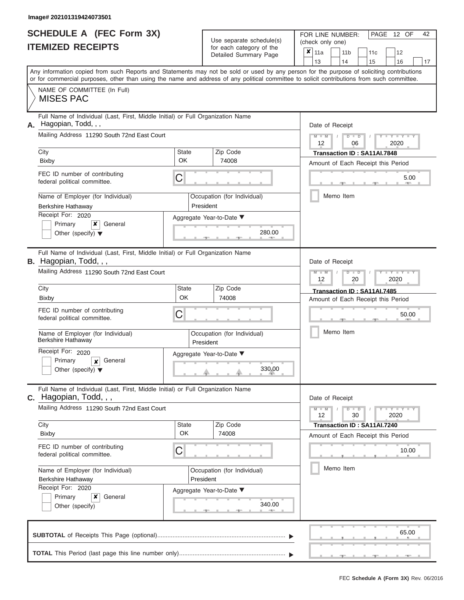|                          | SCHEDULE A (FEC Form 3X) |
|--------------------------|--------------------------|
| <b>ITEMIZED RECEIPTS</b> |                          |

Use separate schedule(s) (check only one) for each category of the

FOR LINE NUMBER:<br>(check only one)

PAGE 12 OF 42

| IIEMIZED RECEIPIS                                                    |                                                                                                                                |                                                                                            | for each category of the<br>Detailed Summary Page | ×<br>11a<br>12<br>11 <sub>b</sub><br>11c<br>13<br>14<br>15<br>16<br>17                                                                                                                                                                                                                  |  |  |  |  |  |  |  |
|----------------------------------------------------------------------|--------------------------------------------------------------------------------------------------------------------------------|--------------------------------------------------------------------------------------------|---------------------------------------------------|-----------------------------------------------------------------------------------------------------------------------------------------------------------------------------------------------------------------------------------------------------------------------------------------|--|--|--|--|--|--|--|
|                                                                      |                                                                                                                                |                                                                                            |                                                   | Any information copied from such Reports and Statements may not be sold or used by any person for the purpose of soliciting contributions<br>or for commercial purposes, other than using the name and address of any political committee to solicit contributions from such committee. |  |  |  |  |  |  |  |
| <b>MISES PAC</b>                                                     | NAME OF COMMITTEE (In Full)                                                                                                    |                                                                                            |                                                   |                                                                                                                                                                                                                                                                                         |  |  |  |  |  |  |  |
| A. Hagopian, Todd, , ,                                               | Full Name of Individual (Last, First, Middle Initial) or Full Organization Name<br>Mailing Address 11290 South 72nd East Court | Date of Receipt<br>$M -$<br>$Y = Y$<br>$\overline{\mathbf{M}}$<br>$\overline{D}$<br>$\Box$ |                                                   |                                                                                                                                                                                                                                                                                         |  |  |  |  |  |  |  |
| City                                                                 |                                                                                                                                | <b>State</b><br>OK                                                                         | Zip Code<br>74008                                 | 2020<br>12<br>06<br>Transaction ID: SA11AI.7848                                                                                                                                                                                                                                         |  |  |  |  |  |  |  |
| <b>Bixby</b><br>federal political committee.                         | FEC ID number of contributing                                                                                                  | C                                                                                          |                                                   | Amount of Each Receipt this Period<br>5.00                                                                                                                                                                                                                                              |  |  |  |  |  |  |  |
| <b>Berkshire Hathaway</b>                                            | Name of Employer (for Individual)                                                                                              | Memo Item                                                                                  |                                                   |                                                                                                                                                                                                                                                                                         |  |  |  |  |  |  |  |
| Receipt For: 2020<br>Primary<br>Other (specify) $\blacktriangledown$ | x<br>General                                                                                                                   |                                                                                            | Aggregate Year-to-Date ▼<br>280.00                |                                                                                                                                                                                                                                                                                         |  |  |  |  |  |  |  |
| B. Hagopian, Todd, , ,                                               | Full Name of Individual (Last, First, Middle Initial) or Full Organization Name                                                |                                                                                            |                                                   | Date of Receipt                                                                                                                                                                                                                                                                         |  |  |  |  |  |  |  |
|                                                                      | Mailing Address 11290 South 72nd East Court                                                                                    | $M - M$<br>Y TY<br>₽<br>D<br>2020<br>12<br>20                                              |                                                   |                                                                                                                                                                                                                                                                                         |  |  |  |  |  |  |  |
| City<br><b>Bixby</b>                                                 |                                                                                                                                | <b>State</b><br>OK                                                                         | Zip Code<br>74008                                 | Transaction ID: SA11AI.7485<br>Amount of Each Receipt this Period                                                                                                                                                                                                                       |  |  |  |  |  |  |  |
| federal political committee.                                         | FEC ID number of contributing                                                                                                  | C                                                                                          |                                                   | 50.00                                                                                                                                                                                                                                                                                   |  |  |  |  |  |  |  |
| Berkshire Hathaway                                                   | Name of Employer (for Individual)                                                                                              |                                                                                            | Occupation (for Individual)<br>President          | Memo Item                                                                                                                                                                                                                                                                               |  |  |  |  |  |  |  |
| Receipt For: 2020<br>Primary<br>Other (specify) $\blacktriangledown$ | General<br>$\boldsymbol{x}$                                                                                                    |                                                                                            | Aggregate Year-to-Date ▼<br>330.00                |                                                                                                                                                                                                                                                                                         |  |  |  |  |  |  |  |
| $c.$ Hagopian, Todd, $, ,$                                           | Full Name of Individual (Last, First, Middle Initial) or Full Organization Name                                                |                                                                                            |                                                   | Date of Receipt                                                                                                                                                                                                                                                                         |  |  |  |  |  |  |  |
|                                                                      | Mailing Address 11290 South 72nd East Court                                                                                    |                                                                                            |                                                   | $Y = Y$<br>$D$ $D$<br>$M - M$<br>30<br>2020<br>12                                                                                                                                                                                                                                       |  |  |  |  |  |  |  |
| City<br><b>Bixby</b>                                                 |                                                                                                                                | <b>State</b><br>OK                                                                         | Zip Code<br>74008                                 | Transaction ID: SA11AI.7240<br>Amount of Each Receipt this Period                                                                                                                                                                                                                       |  |  |  |  |  |  |  |
| federal political committee.                                         | FEC ID number of contributing                                                                                                  | 10.00                                                                                      |                                                   |                                                                                                                                                                                                                                                                                         |  |  |  |  |  |  |  |
| Berkshire Hathaway                                                   | Name of Employer (for Individual)                                                                                              | Memo Item                                                                                  |                                                   |                                                                                                                                                                                                                                                                                         |  |  |  |  |  |  |  |
| Receipt For: 2020<br>Primary<br>Other (specify)                      | ×<br>General                                                                                                                   |                                                                                            | Aggregate Year-to-Date ▼<br>340.00                |                                                                                                                                                                                                                                                                                         |  |  |  |  |  |  |  |
|                                                                      |                                                                                                                                |                                                                                            |                                                   | 65.00                                                                                                                                                                                                                                                                                   |  |  |  |  |  |  |  |
|                                                                      |                                                                                                                                |                                                                                            |                                                   |                                                                                                                                                                                                                                                                                         |  |  |  |  |  |  |  |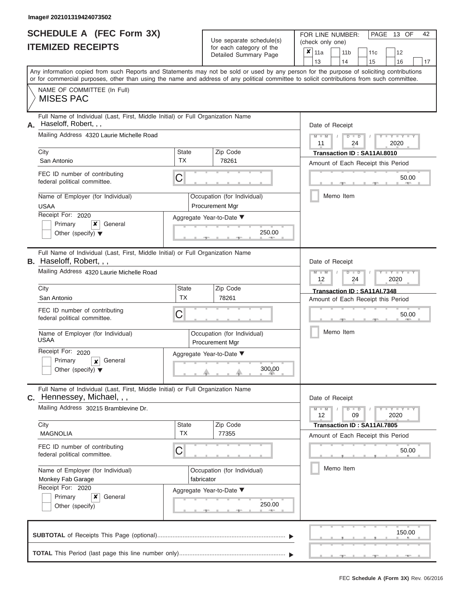|                          | <b>SCHEDULE A (FEC Form 3X)</b> |
|--------------------------|---------------------------------|
| <b>ITEMIZED RECEIPTS</b> |                                 |

Use separate schedule(s)<br>for each category of the

FOR LINE NUMBER:<br>(check only one)

PAGE 13 OF 42

|    |                                                                                                                                            |              | $0.0011$ $0.000$<br>Detailed Summary Page      | x     | 11a                                                 |  | 11 <sub>b</sub> |                             | 11c                         | 12                                 |       |
|----|--------------------------------------------------------------------------------------------------------------------------------------------|--------------|------------------------------------------------|-------|-----------------------------------------------------|--|-----------------|-----------------------------|-----------------------------|------------------------------------|-------|
|    | Any information copied from such Reports and Statements may not be sold or used by any person for the purpose of soliciting contributions  |              |                                                |       | 13                                                  |  | 14              |                             | 15                          | 16                                 | 17    |
|    | or for commercial purposes, other than using the name and address of any political committee to solicit contributions from such committee. |              |                                                |       |                                                     |  |                 |                             |                             |                                    |       |
|    | NAME OF COMMITTEE (In Full)<br><b>MISES PAC</b>                                                                                            |              |                                                |       |                                                     |  |                 |                             |                             |                                    |       |
| А. | Full Name of Individual (Last, First, Middle Initial) or Full Organization Name<br>Haseloff, Robert, , ,                                   |              |                                                |       | Date of Receipt                                     |  |                 |                             |                             |                                    |       |
|    | Mailing Address 4320 Laurie Michelle Road                                                                                                  |              |                                                |       | $M - M$<br>$D$ $D$<br>$Y - Y -$<br>11<br>24<br>2020 |  |                 |                             |                             |                                    |       |
|    | City                                                                                                                                       | <b>State</b> | Zip Code                                       |       |                                                     |  |                 |                             | Transaction ID: SA11AI.8010 |                                    |       |
|    | San Antonio                                                                                                                                | <b>TX</b>    | 78261                                          |       |                                                     |  |                 |                             |                             | Amount of Each Receipt this Period |       |
|    | FEC ID number of contributing<br>federal political committee.                                                                              | С            |                                                |       |                                                     |  |                 |                             |                             | 50.00                              |       |
|    | Name of Employer (for Individual)<br><b>USAA</b>                                                                                           |              | Occupation (for Individual)<br>Procurement Mgr |       |                                                     |  | Memo Item       |                             |                             |                                    |       |
|    | Receipt For: 2020                                                                                                                          |              | Aggregate Year-to-Date ▼                       |       |                                                     |  |                 |                             |                             |                                    |       |
|    | Primary<br>x<br>General<br>Other (specify) $\blacktriangledown$                                                                            |              | 250.00                                         |       |                                                     |  |                 |                             |                             |                                    |       |
|    | Full Name of Individual (Last, First, Middle Initial) or Full Organization Name<br><b>B.</b> Haseloff, Robert, , ,                         |              |                                                |       | Date of Receipt                                     |  |                 |                             |                             |                                    |       |
|    | Mailing Address 4320 Laurie Michelle Road                                                                                                  |              | $M - M$<br>$D$ $D$<br>Y TY<br>2020<br>12<br>24 |       |                                                     |  |                 |                             |                             |                                    |       |
|    | City                                                                                                                                       | <b>State</b> |                                                |       |                                                     |  |                 | Transaction ID: SA11AI.7348 |                             |                                    |       |
|    | San Antonio                                                                                                                                | <b>TX</b>    | 78261                                          |       | Amount of Each Receipt this Period                  |  |                 |                             |                             |                                    |       |
|    | FEC ID number of contributing<br>federal political committee.                                                                              | С            |                                                | 50.00 |                                                     |  |                 |                             |                             |                                    |       |
|    | Name of Employer (for Individual)<br>USAA                                                                                                  |              | Occupation (for Individual)<br>Procurement Mgr |       | Memo Item                                           |  |                 |                             |                             |                                    |       |
|    | Receipt For: 2020<br>Primary<br>General<br>$\boldsymbol{x}$<br>Other (specify) $\blacktriangledown$                                        |              | Aggregate Year-to-Date ▼<br>300.00             |       |                                                     |  |                 |                             |                             |                                    |       |
|    | Full Name of Individual (Last, First, Middle Initial) or Full Organization Name                                                            |              |                                                |       |                                                     |  |                 |                             |                             |                                    |       |
|    | C. Hennessey, Michael, , ,<br>Mailing Address 30215 Bramblevine Dr.                                                                        |              |                                                |       | Date of Receipt<br>$M - M$<br>12                    |  | $D$ $D$<br>09   |                             |                             | Y - Y - Y - Y<br>2020              |       |
|    | City                                                                                                                                       | <b>State</b> | Zip Code                                       |       |                                                     |  |                 |                             | Transaction ID: SA11AI.7805 |                                    |       |
|    | <b>MAGNOLIA</b>                                                                                                                            | <b>TX</b>    | 77355                                          |       |                                                     |  |                 |                             |                             | Amount of Each Receipt this Period |       |
|    | FEC ID number of contributing<br>federal political committee.                                                                              | С            |                                                |       |                                                     |  |                 |                             |                             |                                    | 50.00 |
|    | Name of Employer (for Individual)<br>Monkey Fab Garage                                                                                     | fabricator   | Occupation (for Individual)                    |       |                                                     |  | Memo Item       |                             |                             |                                    |       |
|    | Receipt For: 2020                                                                                                                          |              | Aggregate Year-to-Date ▼                       |       |                                                     |  |                 |                             |                             |                                    |       |
|    | Primary<br>x<br>General<br>Other (specify)                                                                                                 |              | 250.00                                         |       |                                                     |  |                 |                             |                             |                                    |       |
|    |                                                                                                                                            |              |                                                |       |                                                     |  |                 |                             |                             | 150.00                             |       |
|    |                                                                                                                                            |              |                                                |       |                                                     |  |                 |                             |                             |                                    |       |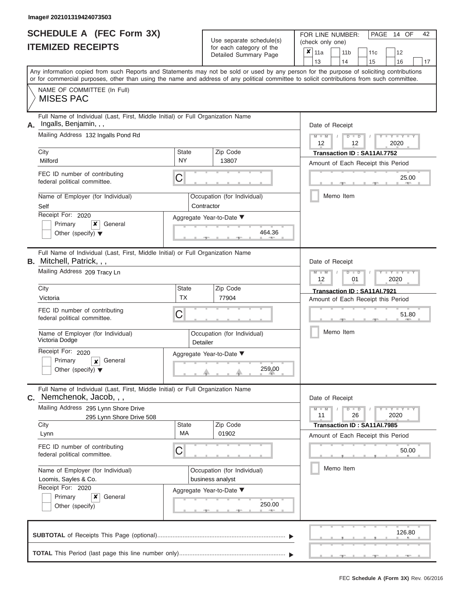ı

|                          | <b>SCHEDULE A (FEC Form 3X)</b> |
|--------------------------|---------------------------------|
| <b>ITEMIZED RECEIPTS</b> |                                 |

Use separate schedule(s)<br>for each category of the

FOR LINE NUMBER:<br>(check only one)

PAGE 14 OF 42

|    | IILMILLV IILVLII I                                                                                                                                                                                                                                                                      |                                           |  | iui cauli ualcyuly ul lilc<br>Detailed Summary Page | ×                                                                 | 11a                                           |  |    | 11 <sub>b</sub> |  | 11c                         | 12                                 |    |
|----|-----------------------------------------------------------------------------------------------------------------------------------------------------------------------------------------------------------------------------------------------------------------------------------------|-------------------------------------------|--|-----------------------------------------------------|-------------------------------------------------------------------|-----------------------------------------------|--|----|-----------------|--|-----------------------------|------------------------------------|----|
|    |                                                                                                                                                                                                                                                                                         |                                           |  |                                                     |                                                                   | 13                                            |  | 14 |                 |  | 15                          | 16                                 | 17 |
|    | Any information copied from such Reports and Statements may not be sold or used by any person for the purpose of soliciting contributions<br>or for commercial purposes, other than using the name and address of any political committee to solicit contributions from such committee. |                                           |  |                                                     |                                                                   |                                               |  |    |                 |  |                             |                                    |    |
|    | NAME OF COMMITTEE (In Full)<br><b>MISES PAC</b>                                                                                                                                                                                                                                         |                                           |  |                                                     |                                                                   |                                               |  |    |                 |  |                             |                                    |    |
| А. | Full Name of Individual (Last, First, Middle Initial) or Full Organization Name<br>Ingalls, Benjamin, , ,                                                                                                                                                                               |                                           |  |                                                     |                                                                   | Date of Receipt                               |  |    |                 |  |                             |                                    |    |
|    | Mailing Address 132 Ingalls Pond Rd                                                                                                                                                                                                                                                     |                                           |  |                                                     |                                                                   | $M - M$<br>12                                 |  |    | $D$ $D$<br>12   |  |                             | 2020                               |    |
|    | City<br>Milford                                                                                                                                                                                                                                                                         | State<br><b>NY</b>                        |  | Zip Code<br>13807                                   |                                                                   |                                               |  |    |                 |  | Transaction ID: SA11AI.7752 | Amount of Each Receipt this Period |    |
|    | FEC ID number of contributing<br>federal political committee.                                                                                                                                                                                                                           | C                                         |  |                                                     |                                                                   |                                               |  |    |                 |  |                             | 25.00<br><b>COLL</b>               |    |
|    | Name of Employer (for Individual)<br>Self                                                                                                                                                                                                                                               | Occupation (for Individual)<br>Contractor |  |                                                     | Memo Item                                                         |                                               |  |    |                 |  |                             |                                    |    |
|    | Receipt For: 2020<br>General<br>Primary<br>x<br>Other (specify) $\blacktriangledown$                                                                                                                                                                                                    | Aggregate Year-to-Date ▼<br>464.36        |  |                                                     |                                                                   |                                               |  |    |                 |  |                             |                                    |    |
|    | Full Name of Individual (Last, First, Middle Initial) or Full Organization Name<br><b>B.</b> Mitchell, Patrick, , ,                                                                                                                                                                     |                                           |  |                                                     | Date of Receipt                                                   |                                               |  |    |                 |  |                             |                                    |    |
|    | Mailing Address 209 Tracy Ln                                                                                                                                                                                                                                                            |                                           |  |                                                     |                                                                   | $M - M$<br>$D$ $\Box$ $D$<br>12<br>01<br>2020 |  |    |                 |  |                             |                                    |    |
|    | City<br>Victoria                                                                                                                                                                                                                                                                        | State<br><b>TX</b>                        |  | Zip Code<br>77904                                   | Transaction ID: SA11AI.7921<br>Amount of Each Receipt this Period |                                               |  |    |                 |  |                             |                                    |    |
|    | FEC ID number of contributing<br>federal political committee.                                                                                                                                                                                                                           | C                                         |  |                                                     |                                                                   | 51.80                                         |  |    |                 |  |                             |                                    |    |
|    | Name of Employer (for Individual)<br>Victoria Dodge                                                                                                                                                                                                                                     | Detailer                                  |  | Occupation (for Individual)                         |                                                                   | Memo Item                                     |  |    |                 |  |                             |                                    |    |
|    | Receipt For: 2020<br>Primary<br>General<br>$\boldsymbol{x}$<br>Other (specify) $\blacktriangledown$                                                                                                                                                                                     |                                           |  | Aggregate Year-to-Date ▼<br>259.00                  |                                                                   |                                               |  |    |                 |  |                             |                                    |    |
| С. | Full Name of Individual (Last, First, Middle Initial) or Full Organization Name<br>Nemchenok, Jacob, , ,                                                                                                                                                                                |                                           |  |                                                     |                                                                   | Date of Receipt                               |  |    |                 |  |                             |                                    |    |
|    | Mailing Address 295 Lynn Shore Drive<br>295 Lynn Shore Drive 508                                                                                                                                                                                                                        |                                           |  |                                                     |                                                                   | $M - M$<br>11                                 |  |    | $D$ $D$<br>26   |  |                             | $I - Y - I - Y - I - Y$<br>2020    |    |
|    | City<br>Lynn                                                                                                                                                                                                                                                                            | State<br>МA                               |  | Zip Code<br>01902                                   |                                                                   |                                               |  |    |                 |  | Transaction ID: SA11AI.7985 | Amount of Each Receipt this Period |    |
|    | FEC ID number of contributing<br>federal political committee.                                                                                                                                                                                                                           | С                                         |  |                                                     |                                                                   |                                               |  |    |                 |  |                             | 50.00                              |    |
|    | Name of Employer (for Individual)<br>Loomis, Sayles & Co.                                                                                                                                                                                                                               |                                           |  | Occupation (for Individual)<br>business analyst     |                                                                   |                                               |  |    | Memo Item       |  |                             |                                    |    |
|    | Receipt For: 2020<br>Primary<br>×<br>General<br>Other (specify)                                                                                                                                                                                                                         |                                           |  | Aggregate Year-to-Date ▼<br>250.00                  |                                                                   |                                               |  |    |                 |  |                             |                                    |    |
|    |                                                                                                                                                                                                                                                                                         |                                           |  |                                                     |                                                                   |                                               |  |    |                 |  |                             | 126.80                             |    |
|    |                                                                                                                                                                                                                                                                                         |                                           |  |                                                     |                                                                   |                                               |  |    |                 |  |                             |                                    |    |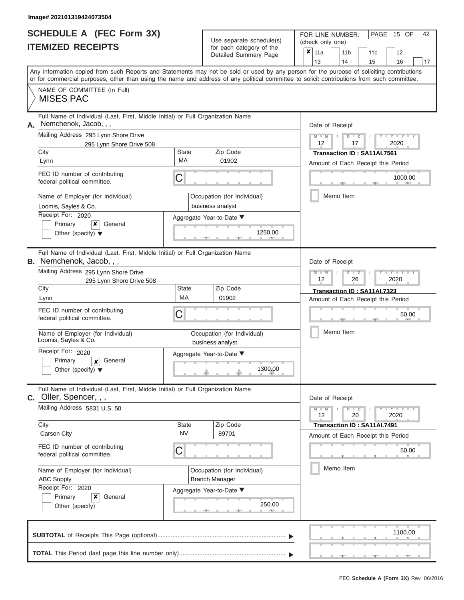# **SCHEDULE A (FEC Form 3X)**

| SCHEDULE A (FEC Form 3X)<br><b>ITEMIZED RECEIPTS</b>                                                                                                                                                                                                                                                                                                                                                                                    |                                | Use separate schedule(s)<br>for each category of the<br>Detailed Summary Page                                   | FOR LINE NUMBER:<br>PAGE 15 OF<br>42<br>(check only one)<br>$\overline{\mathbf{x}}$   11a<br>11 <sub>b</sub><br>11 <sub>c</sub><br>12<br>13<br>14<br>15<br>16<br>17                                                                   |
|-----------------------------------------------------------------------------------------------------------------------------------------------------------------------------------------------------------------------------------------------------------------------------------------------------------------------------------------------------------------------------------------------------------------------------------------|--------------------------------|-----------------------------------------------------------------------------------------------------------------|---------------------------------------------------------------------------------------------------------------------------------------------------------------------------------------------------------------------------------------|
| Any information copied from such Reports and Statements may not be sold or used by any person for the purpose of soliciting contributions<br>or for commercial purposes, other than using the name and address of any political committee to solicit contributions from such committee.<br>NAME OF COMMITTEE (In Full)<br><b>MISES PAC</b>                                                                                              |                                |                                                                                                                 |                                                                                                                                                                                                                                       |
| Full Name of Individual (Last, First, Middle Initial) or Full Organization Name<br>Nemchenok, Jacob, , ,<br>А.<br>Mailing Address 295 Lynn Shore Drive<br>295 Lynn Shore Drive 508<br>City<br>Lynn<br>FEC ID number of contributing<br>federal political committee.<br>Name of Employer (for Individual)<br>Loomis, Sayles & Co.<br>Receipt For: 2020<br>$\boldsymbol{x}$<br>Primary<br>General<br>Other (specify) $\blacktriangledown$ | <b>State</b><br>MA<br>C        | Zip Code<br>01902<br>Occupation (for Individual)<br>business analyst<br>Aggregate Year-to-Date ▼<br>1250.00     | Date of Receipt<br>$M - M$<br>$D$ $D$<br>$Y - Y - I$<br>$\sqrt{ }$<br>12<br>2020<br>17<br>Transaction ID: SA11AI.7561<br>Amount of Each Receipt this Period<br>1000.00<br>$\mathbb{R}$ and $\mathbb{R}$ and $\mathbb{R}$<br>Memo Item |
| Full Name of Individual (Last, First, Middle Initial) or Full Organization Name<br><b>B.</b> Nemchenok, Jacob, , ,<br>Mailing Address 295 Lynn Shore Drive<br>295 Lynn Shore Drive 508<br>City<br>Lynn<br>FEC ID number of contributing<br>federal political committee.<br>Name of Employer (for Individual)<br>Loomis, Sayles & Co.<br>Receipt For: 2020<br>Primary<br>General<br>x<br>Other (specify) $\blacktriangledown$            | <b>State</b><br>MA<br>С        | Zip Code<br>01902<br>Occupation (for Individual)<br>business analyst<br>Aggregate Year-to-Date ▼<br>1300.00     | Date of Receipt<br>$M - M$<br>$D$ $D$<br>Y TYT<br>12<br>2020<br>26<br>Transaction ID: SA11AI.7323<br>Amount of Each Receipt this Period<br>50.00<br>Memo Item                                                                         |
| Full Name of Individual (Last, First, Middle Initial) or Full Organization Name<br>c. Oller, Spencer, , ,<br>Mailing Address 5831 U.S. 50<br>City<br>Carson City<br>FEC ID number of contributing<br>federal political committee.<br>Name of Employer (for Individual)<br><b>ABC Supply</b><br>Receipt For: 2020<br>×<br>Primary<br>General<br>Other (specify)                                                                          | <b>State</b><br><b>NV</b><br>С | Zip Code<br>89701<br>Occupation (for Individual)<br><b>Branch Manager</b><br>Aggregate Year-to-Date ▼<br>250.00 | Date of Receipt<br>$M - M$<br>$D$ $D$<br>$+Y+Y+Y$<br>12<br>20<br>2020<br>Transaction ID: SA11AI.7491<br>Amount of Each Receipt this Period<br>50.00<br>Memo Item                                                                      |
|                                                                                                                                                                                                                                                                                                                                                                                                                                         |                                |                                                                                                                 | 1100.00                                                                                                                                                                                                                               |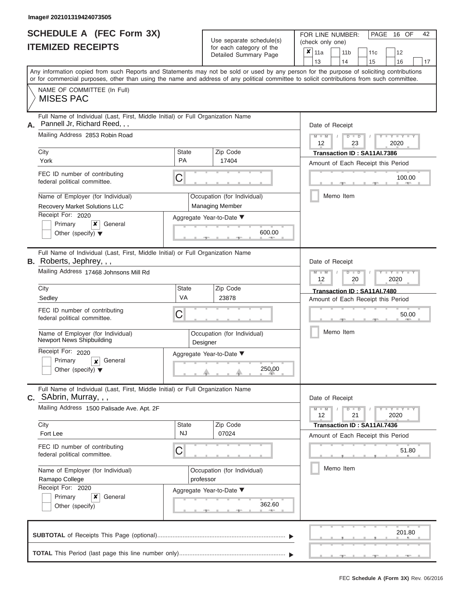# **SCHEDULE A (FEC Form 3X)**

| SCHEDULE A (FEC Form 3X)<br><b>ITEMIZED RECEIPTS</b>                                                                                                                                                                                                                                                                                                                                                                     |                         | Use separate schedule(s)<br>for each category of the<br>Detailed Summary Page                             | 42<br>FOR LINE NUMBER:<br>PAGE 16 OF<br>(check only one)<br>$\overline{\mathbf{x}}$   11a<br>11 <sub>b</sub><br>12<br>11c<br>13<br>14<br>15<br>16<br>17                                                        |
|--------------------------------------------------------------------------------------------------------------------------------------------------------------------------------------------------------------------------------------------------------------------------------------------------------------------------------------------------------------------------------------------------------------------------|-------------------------|-----------------------------------------------------------------------------------------------------------|----------------------------------------------------------------------------------------------------------------------------------------------------------------------------------------------------------------|
| Any information copied from such Reports and Statements may not be sold or used by any person for the purpose of soliciting contributions<br>or for commercial purposes, other than using the name and address of any political committee to solicit contributions from such committee.<br>NAME OF COMMITTEE (In Full)<br><b>MISES PAC</b>                                                                               |                         |                                                                                                           |                                                                                                                                                                                                                |
| Full Name of Individual (Last, First, Middle Initial) or Full Organization Name<br>Pannell Jr, Richard Reed, , ,<br>А.<br>Mailing Address 2853 Robin Road<br>City<br>York<br>FEC ID number of contributing<br>federal political committee.<br>Name of Employer (for Individual)<br>Recovery Market Solutions LLC<br>Receipt For: 2020<br>General<br>Primary<br>×<br>Other (specify) $\blacktriangledown$                 | State<br><b>PA</b><br>C | Zip Code<br>17404<br>Occupation (for Individual)<br>Managing Member<br>Aggregate Year-to-Date ▼<br>600.00 | Date of Receipt<br>$M - M$<br>$D$ $D$<br>$Y - Y - I$<br>$\sqrt{2}$<br>12<br>23<br>2020<br>Transaction ID: SA11AI.7386<br>Amount of Each Receipt this Period<br>100.00<br><b>Contract Contract</b><br>Memo Item |
| Full Name of Individual (Last, First, Middle Initial) or Full Organization Name<br><b>B.</b> Roberts, Jephrey, , ,<br>Mailing Address 17468 Johnsons Mill Rd<br>City<br>Sedley<br>FEC ID number of contributing<br>federal political committee.<br>Name of Employer (for Individual)<br>Newport News Shipbuilding<br>Receipt For: 2020<br>Primary<br>General<br>$\boldsymbol{x}$<br>Other (specify) $\blacktriangledown$ | State<br>VA<br>С        | Zip Code<br>23878<br>Occupation (for Individual)<br>Designer<br>Aggregate Year-to-Date ▼<br>250.00        | Date of Receipt<br>$M - M$<br>$D$ $\Box$ $D$<br>Y TYT<br>12<br>2020<br>20<br>Transaction ID: SA11AI.7480<br>Amount of Each Receipt this Period<br>50.00<br>Memo Item                                           |
| Full Name of Individual (Last, First, Middle Initial) or Full Organization Name<br><b>C.</b> SAbrin, Murray, , ,<br>Mailing Address 1500 Palisade Ave. Apt. 2F<br>City<br>Fort Lee<br>FEC ID number of contributing<br>federal political committee.<br>Name of Employer (for Individual)<br>Ramapo College<br>Receipt For: 2020<br>Primary<br>×<br>General<br>Other (specify)                                            | State<br><b>NJ</b><br>С | Zip Code<br>07024<br>Occupation (for Individual)<br>professor<br>Aggregate Year-to-Date ▼<br>362.60       | Date of Receipt<br>$M - M$<br>$D$ $D$<br>$T - Y = Y - T Y$<br>12<br>21<br>2020<br>Transaction ID: SA11AI.7436<br>Amount of Each Receipt this Period<br>51.80<br>Memo Item                                      |
|                                                                                                                                                                                                                                                                                                                                                                                                                          |                         |                                                                                                           | 201.80                                                                                                                                                                                                         |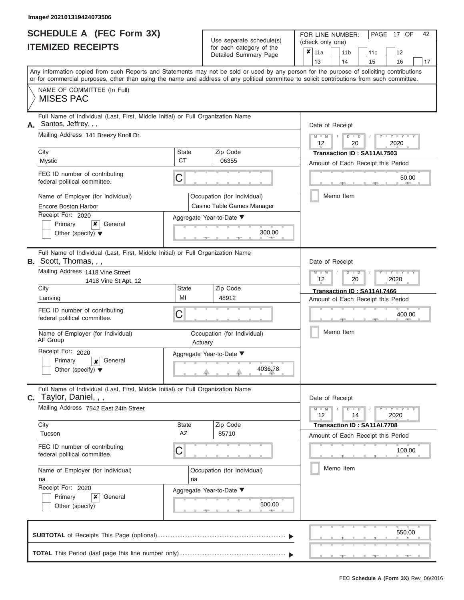|                          | <b>SCHEDULE A (FEC Form 3X)</b> |
|--------------------------|---------------------------------|
| <b>ITEMIZED RECEIPTS</b> |                                 |

Use separate schedule(s) (check only one)<br>for each category of the  $\begin{array}{|c|c|c|c|c|}\hline \textbf{X} & 11a & 1\end{array}$ 

FOR LINE NUMBER:

PAGE 17 OF 42

| IIEMIZED RECEIPIS                                                                                                                                                                                                                                                                                                                                                                                    |                                    | for each category of the<br>Detailed Summary Page                                                                    | ×<br>11 <sub>b</sub><br>12<br>11a<br>11c<br>13<br>14<br>15<br>16<br>17                                                                                                           |
|------------------------------------------------------------------------------------------------------------------------------------------------------------------------------------------------------------------------------------------------------------------------------------------------------------------------------------------------------------------------------------------------------|------------------------------------|----------------------------------------------------------------------------------------------------------------------|----------------------------------------------------------------------------------------------------------------------------------------------------------------------------------|
| or for commercial purposes, other than using the name and address of any political committee to solicit contributions from such committee.                                                                                                                                                                                                                                                           |                                    |                                                                                                                      | Any information copied from such Reports and Statements may not be sold or used by any person for the purpose of soliciting contributions                                        |
| NAME OF COMMITTEE (In Full)<br><b>MISES PAC</b>                                                                                                                                                                                                                                                                                                                                                      |                                    |                                                                                                                      |                                                                                                                                                                                  |
| Full Name of Individual (Last, First, Middle Initial) or Full Organization Name<br>Santos, Jeffrey, , ,<br>А.<br>Mailing Address 141 Breezy Knoll Dr.<br>City<br>Mystic<br>FEC ID number of contributing<br>federal political committee.<br>Name of Employer (for Individual)<br><b>Encore Boston Harbor</b><br>Receipt For: 2020<br>Primary<br>x<br>General<br>Other (specify) $\blacktriangledown$ | State<br>СT<br>C                   | Zip Code<br>06355<br>Occupation (for Individual)<br>Casino Table Games Manager<br>Aggregate Year-to-Date ▼<br>300.00 | Date of Receipt<br>$M - M$<br>$Y = Y$<br>$\overline{D}$<br>$\Box$<br>2020<br>12<br>20<br>Transaction ID: SA11AI.7503<br>Amount of Each Receipt this Period<br>50.00<br>Memo Item |
| Full Name of Individual (Last, First, Middle Initial) or Full Organization Name<br><b>B.</b> Scott, Thomas, , ,<br>Mailing Address 1418 Vine Street<br>1418 Vine St Apt. 12<br>City<br>Lansing<br>FEC ID number of contributing<br>federal political committee.<br>Name of Employer (for Individual)<br>AF Group<br>Receipt For: 2020                                                                | <b>State</b><br>MI<br>C<br>Actuary | Zip Code<br>48912<br>Occupation (for Individual)<br>Aggregate Year-to-Date ▼                                         | Date of Receipt<br>Y LTY L<br>$M - M$<br>$\Box$<br>ъ<br>2020<br>12<br>20<br>Transaction ID: SA11AI.7466<br>Amount of Each Receipt this Period<br>400.00<br>Memo Item             |
| General<br>Primary<br>x<br>Other (specify) $\blacktriangledown$<br>Full Name of Individual (Last, First, Middle Initial) or Full Organization Name<br><b>C.</b> Taylor, Daniel, , ,                                                                                                                                                                                                                  |                                    | 4036.78                                                                                                              | Date of Receipt                                                                                                                                                                  |
| Mailing Address 7542 East 24th Street<br>City<br>Tucson<br>FEC ID number of contributing<br>federal political committee.<br>Name of Employer (for Individual)<br>na<br>Receipt For: 2020<br>Primary<br>×<br>General<br>Other (specify)                                                                                                                                                               | <b>State</b><br>AZ<br>С<br>na      | Zip Code<br>85710<br>Occupation (for Individual)<br>Aggregate Year-to-Date ▼<br>500.00                               | $Y = Y =$<br>$M - M$<br>$\Box$<br>$\overline{D}$<br>14<br>2020<br>12<br>Transaction ID: SA11AI.7708<br>Amount of Each Receipt this Period<br>100.00<br>Memo Item                 |
|                                                                                                                                                                                                                                                                                                                                                                                                      |                                    |                                                                                                                      | 550.00                                                                                                                                                                           |
|                                                                                                                                                                                                                                                                                                                                                                                                      |                                    |                                                                                                                      |                                                                                                                                                                                  |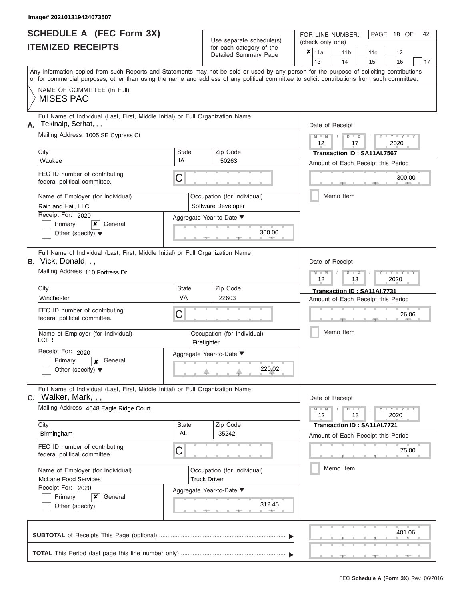ı

|                          | <b>SCHEDULE A (FEC Form 3X)</b> |
|--------------------------|---------------------------------|
| <b>ITEMIZED RECEIPTS</b> |                                 |

Use separate schedule(s)

FOR LINE NUMBER:<br>(check only one)

PAGE 18 OF 42

|    | IIEMILEU REVEIFIJ                                                                                              |                                                               | for each category of the<br>Detailed Summary Page | $\pmb{\times}$<br>11a<br>11 <sub>b</sub><br>11c<br>12                                                                                                                                                                                                                                   |
|----|----------------------------------------------------------------------------------------------------------------|---------------------------------------------------------------|---------------------------------------------------|-----------------------------------------------------------------------------------------------------------------------------------------------------------------------------------------------------------------------------------------------------------------------------------------|
|    |                                                                                                                |                                                               |                                                   | 13<br>14<br>15<br>16<br>17                                                                                                                                                                                                                                                              |
|    |                                                                                                                |                                                               |                                                   | Any information copied from such Reports and Statements may not be sold or used by any person for the purpose of soliciting contributions<br>or for commercial purposes, other than using the name and address of any political committee to solicit contributions from such committee. |
|    | NAME OF COMMITTEE (In Full)<br><b>MISES PAC</b>                                                                |                                                               |                                                   |                                                                                                                                                                                                                                                                                         |
| А. | Full Name of Individual (Last, First, Middle Initial) or Full Organization Name<br>Tekinalp, Serhat, , ,       | Date of Receipt                                               |                                                   |                                                                                                                                                                                                                                                                                         |
|    | Mailing Address 1005 SE Cypress Ct                                                                             | $Y - Y - Y - Y - Y$<br>$M - M$<br>$D$ $D$<br>2020<br>12<br>17 |                                                   |                                                                                                                                                                                                                                                                                         |
|    | City                                                                                                           | State                                                         | Zip Code                                          | Transaction ID: SA11AI.7567                                                                                                                                                                                                                                                             |
|    | Waukee                                                                                                         | IA                                                            | 50263                                             | Amount of Each Receipt this Period                                                                                                                                                                                                                                                      |
|    | FEC ID number of contributing<br>federal political committee.                                                  | С                                                             |                                                   | 300.00                                                                                                                                                                                                                                                                                  |
|    | Name of Employer (for Individual)<br>Rain and Hail, LLC                                                        |                                                               | Occupation (for Individual)<br>Software Developer | Memo Item                                                                                                                                                                                                                                                                               |
|    | Receipt For: 2020                                                                                              |                                                               |                                                   |                                                                                                                                                                                                                                                                                         |
|    | x<br>Primary<br>General<br>Other (specify) $\blacktriangledown$                                                |                                                               | Aggregate Year-to-Date ▼<br>300.00                |                                                                                                                                                                                                                                                                                         |
|    | Full Name of Individual (Last, First, Middle Initial) or Full Organization Name<br><b>B.</b> Vick, Donald, , , |                                                               |                                                   | Date of Receipt                                                                                                                                                                                                                                                                         |
|    | Mailing Address 110 Fortress Dr                                                                                | $M - M$<br>Y TY TY<br>$D$ $\Box$ $D$<br>2020<br>12<br>13      |                                                   |                                                                                                                                                                                                                                                                                         |
|    | City                                                                                                           | State                                                         | Zip Code                                          | Transaction ID: SA11AI.7731                                                                                                                                                                                                                                                             |
|    | Winchester                                                                                                     | VA                                                            | 22603                                             | Amount of Each Receipt this Period                                                                                                                                                                                                                                                      |
|    | FEC ID number of contributing<br>federal political committee.                                                  | 26.06                                                         |                                                   |                                                                                                                                                                                                                                                                                         |
|    | Name of Employer (for Individual)<br><b>LCFR</b>                                                               |                                                               | Occupation (for Individual)<br>Firefighter        | Memo Item                                                                                                                                                                                                                                                                               |
|    | Receipt For: 2020<br>Primary<br>General<br>$\boldsymbol{x}$<br>Other (specify) $\blacktriangledown$            |                                                               | Aggregate Year-to-Date ▼<br>220.02                |                                                                                                                                                                                                                                                                                         |
|    | Full Name of Individual (Last, First, Middle Initial) or Full Organization Name<br>$c.$ Walker, Mark, , ,      |                                                               |                                                   | Date of Receipt                                                                                                                                                                                                                                                                         |
|    | Mailing Address 4048 Eagle Ridge Court                                                                         |                                                               |                                                   | $M - M$<br>$D$ $\Box$ $D$<br>$Y - Y - Y - Y - Y$<br>12<br>13<br>2020                                                                                                                                                                                                                    |
|    | City                                                                                                           | State                                                         | Zip Code                                          | Transaction ID: SA11AI.7721                                                                                                                                                                                                                                                             |
|    | Birmingham                                                                                                     | AL                                                            | 35242                                             | Amount of Each Receipt this Period                                                                                                                                                                                                                                                      |
|    | FEC ID number of contributing<br>federal political committee.                                                  | C                                                             |                                                   | 75.00                                                                                                                                                                                                                                                                                   |
|    | Name of Employer (for Individual)                                                                              |                                                               | Occupation (for Individual)                       | Memo Item                                                                                                                                                                                                                                                                               |
|    | <b>McLane Food Services</b>                                                                                    |                                                               | <b>Truck Driver</b>                               |                                                                                                                                                                                                                                                                                         |
|    | Receipt For: 2020                                                                                              |                                                               | Aggregate Year-to-Date ▼                          |                                                                                                                                                                                                                                                                                         |
|    | ×<br>Primary<br>General                                                                                        |                                                               |                                                   |                                                                                                                                                                                                                                                                                         |
|    | Other (specify)                                                                                                |                                                               |                                                   |                                                                                                                                                                                                                                                                                         |
|    |                                                                                                                |                                                               |                                                   | 401.06                                                                                                                                                                                                                                                                                  |
|    |                                                                                                                |                                                               |                                                   |                                                                                                                                                                                                                                                                                         |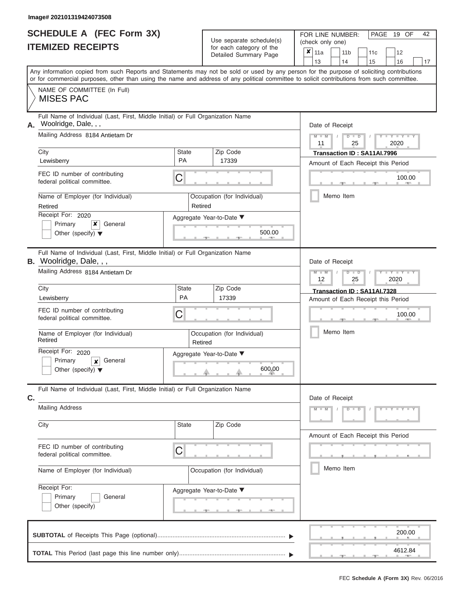|                          | <b>SCHEDULE A (FEC Form 3X)</b> |
|--------------------------|---------------------------------|
| <b>ITEMIZED RECEIPTS</b> |                                 |

| SCHEDULE A (FEC Form 3X)<br><b>ITEMIZED RECEIPTS</b>                                                              | Use separate schedule(s)<br>for each category of the<br>Detailed Summary Page | 42<br>FOR LINE NUMBER:<br>PAGE 19 OF<br>(check only one)<br>$\overline{\mathbf{x}}$   11a<br>11 <sub>b</sub><br>12<br>11c                                               |
|-------------------------------------------------------------------------------------------------------------------|-------------------------------------------------------------------------------|-------------------------------------------------------------------------------------------------------------------------------------------------------------------------|
|                                                                                                                   |                                                                               | 13<br>14<br>15<br>16<br>17<br>Any information copied from such Reports and Statements may not be sold or used by any person for the purpose of soliciting contributions |
|                                                                                                                   |                                                                               | or for commercial purposes, other than using the name and address of any political committee to solicit contributions from such committee.                              |
| NAME OF COMMITTEE (In Full)<br><b>MISES PAC</b>                                                                   |                                                                               |                                                                                                                                                                         |
| Full Name of Individual (Last, First, Middle Initial) or Full Organization Name<br>Woolridge, Dale, , ,<br>А.     |                                                                               | Date of Receipt                                                                                                                                                         |
| Mailing Address 8184 Antietam Dr                                                                                  |                                                                               | $M = M$ /<br>$D$ $D$<br>$Y - Y - I$<br>11<br>25<br>2020                                                                                                                 |
| City<br>Lewisberry                                                                                                | Zip Code<br>State<br><b>PA</b><br>17339                                       | Transaction ID: SA11AI.7996<br>Amount of Each Receipt this Period                                                                                                       |
| FEC ID number of contributing<br>federal political committee.                                                     | С                                                                             | 100.00<br><b>COLLEGE</b>                                                                                                                                                |
| Name of Employer (for Individual)<br>Retired                                                                      | Occupation (for Individual)<br>Retired                                        | Memo Item                                                                                                                                                               |
| Receipt For: 2020                                                                                                 | Aggregate Year-to-Date ▼                                                      |                                                                                                                                                                         |
| Primary<br>×<br>General<br>Other (specify) $\blacktriangledown$                                                   | 500.00                                                                        |                                                                                                                                                                         |
| Full Name of Individual (Last, First, Middle Initial) or Full Organization Name<br><b>B.</b> Woolridge, Dale, , , |                                                                               | Date of Receipt                                                                                                                                                         |
| Mailing Address 8184 Antietam Dr                                                                                  |                                                                               | $M - M$<br>$D$ $\Box$ $D$<br>$+Y+Y+$<br>12<br>2020<br>25                                                                                                                |
| City                                                                                                              | Zip Code<br>State<br>PA                                                       | Transaction ID: SA11AI.7328                                                                                                                                             |
| Lewisberry<br>FEC ID number of contributing                                                                       | 17339                                                                         | Amount of Each Receipt this Period                                                                                                                                      |
| federal political committee.                                                                                      | С                                                                             | 100.00                                                                                                                                                                  |
| Name of Employer (for Individual)<br>Retired                                                                      | Occupation (for Individual)<br>Retired                                        | Memo Item                                                                                                                                                               |
| Receipt For: 2020                                                                                                 | Aggregate Year-to-Date ▼                                                      |                                                                                                                                                                         |
| Primary<br>General<br>x<br>Other (specify) $\blacktriangledown$                                                   | 600.00                                                                        |                                                                                                                                                                         |
| Full Name of Individual (Last, First, Middle Initial) or Full Organization Name<br>C.                             |                                                                               | Date of Receipt                                                                                                                                                         |
| <b>Mailing Address</b>                                                                                            |                                                                               | $M - M$<br>$D$ $D$<br>$Y - Y - Y - Y - Y$                                                                                                                               |
| City                                                                                                              | Zip Code<br>State                                                             | Amount of Each Receipt this Period                                                                                                                                      |
| FEC ID number of contributing<br>federal political committee.                                                     | С                                                                             |                                                                                                                                                                         |
| Name of Employer (for Individual)                                                                                 | Occupation (for Individual)                                                   | Memo Item                                                                                                                                                               |
| Receipt For:<br>Primary<br>General                                                                                | Aggregate Year-to-Date ▼                                                      |                                                                                                                                                                         |
| Other (specify)                                                                                                   |                                                                               |                                                                                                                                                                         |
|                                                                                                                   |                                                                               | 200.00                                                                                                                                                                  |
|                                                                                                                   |                                                                               | 4612.84<br>$-1$                                                                                                                                                         |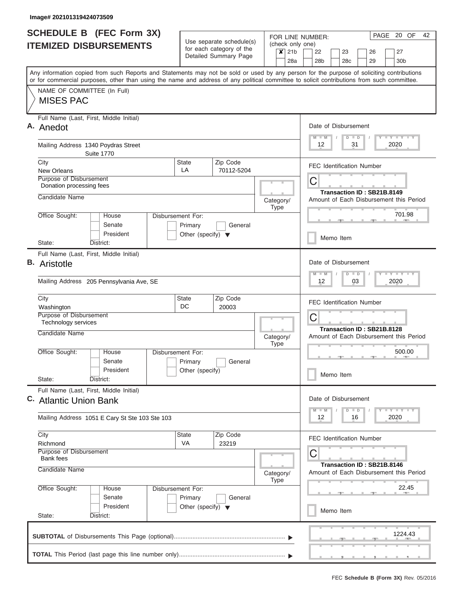| <b>SCHEDULE B</b> (FEC Form 3X)                                                                                                                                                                                                                                                         |                                                      |                          |                          |                                                                       | PAGE 20 OF<br>FOR LINE NUMBER:                                        | 42 |
|-----------------------------------------------------------------------------------------------------------------------------------------------------------------------------------------------------------------------------------------------------------------------------------------|------------------------------------------------------|--------------------------|--------------------------|-----------------------------------------------------------------------|-----------------------------------------------------------------------|----|
| <b>ITEMIZED DISBURSEMENTS</b>                                                                                                                                                                                                                                                           | Use separate schedule(s)<br>for each category of the |                          |                          | $x$ 21b                                                               | (check only one)<br>22<br>23<br>27<br>26                              |    |
|                                                                                                                                                                                                                                                                                         |                                                      | Detailed Summary Page    |                          |                                                                       | 28a<br>28b<br>28c<br>29<br>30b                                        |    |
| Any information copied from such Reports and Statements may not be sold or used by any person for the purpose of soliciting contributions<br>or for commercial purposes, other than using the name and address of any political committee to solicit contributions from such committee. |                                                      |                          |                          |                                                                       |                                                                       |    |
| NAME OF COMMITTEE (In Full)                                                                                                                                                                                                                                                             |                                                      |                          |                          |                                                                       |                                                                       |    |
| <b>MISES PAC</b>                                                                                                                                                                                                                                                                        |                                                      |                          |                          |                                                                       |                                                                       |    |
| Full Name (Last, First, Middle Initial)<br>A. Anedot                                                                                                                                                                                                                                    |                                                      |                          |                          |                                                                       | Date of Disbursement                                                  |    |
| Mailing Address 1340 Poydras Street<br><b>Suite 1770</b>                                                                                                                                                                                                                                |                                                      |                          |                          |                                                                       | Y LY LY LY<br>$M$ $M$<br>$D$ $D$<br>2020<br>12<br>31                  |    |
| City                                                                                                                                                                                                                                                                                    | State<br>LA                                          | Zip Code                 |                          |                                                                       | <b>FEC Identification Number</b>                                      |    |
| New Orleans<br>Purpose of Disbursement                                                                                                                                                                                                                                                  |                                                      | 70112-5204               |                          |                                                                       |                                                                       |    |
| Donation processing fees                                                                                                                                                                                                                                                                |                                                      |                          |                          |                                                                       | C                                                                     |    |
| Candidate Name                                                                                                                                                                                                                                                                          |                                                      |                          |                          | Category/<br>Type                                                     | Transaction ID: SB21B.8149<br>Amount of Each Disbursement this Period |    |
| Office Sought:<br>House                                                                                                                                                                                                                                                                 | Disbursement For:                                    |                          |                          |                                                                       | 701.98<br><b>AND</b>                                                  |    |
| Senate<br>President                                                                                                                                                                                                                                                                     | Primary<br>Other (specify) $\blacktriangledown$      | General                  |                          |                                                                       |                                                                       |    |
| State:<br>District:                                                                                                                                                                                                                                                                     |                                                      |                          |                          |                                                                       | Memo Item                                                             |    |
| Full Name (Last, First, Middle Initial)                                                                                                                                                                                                                                                 |                                                      |                          |                          |                                                                       |                                                                       |    |
| <b>B.</b> Aristotle                                                                                                                                                                                                                                                                     |                                                      |                          |                          |                                                                       | Date of Disbursement<br>$T - Y = T - Y = T - Y$<br>$D$ $D$<br>$M - M$ |    |
| Mailing Address 205 Pennsylvania Ave, SE                                                                                                                                                                                                                                                |                                                      |                          |                          |                                                                       | 2020<br>12<br>03                                                      |    |
| City                                                                                                                                                                                                                                                                                    | State                                                | Zip Code                 |                          |                                                                       | <b>FEC Identification Number</b>                                      |    |
| Washington<br>Purpose of Disbursement                                                                                                                                                                                                                                                   | DC                                                   | 20003                    |                          |                                                                       |                                                                       |    |
| <b>Technology services</b>                                                                                                                                                                                                                                                              |                                                      |                          |                          |                                                                       | C                                                                     |    |
| Candidate Name                                                                                                                                                                                                                                                                          |                                                      | Category/<br><b>Type</b> |                          |                                                                       | Transaction ID: SB21B.8128<br>Amount of Each Disbursement this Period |    |
| Office Sought:<br>House                                                                                                                                                                                                                                                                 | Disbursement For:                                    |                          |                          |                                                                       | 500.00<br><b>AND IN</b>                                               |    |
| Senate                                                                                                                                                                                                                                                                                  | Primary                                              | General                  |                          |                                                                       |                                                                       |    |
| President<br>State:<br>District:                                                                                                                                                                                                                                                        | Other (specify)                                      |                          |                          |                                                                       | Memo Item                                                             |    |
| Full Name (Last, First, Middle Initial)<br>C. Atlantic Union Bank                                                                                                                                                                                                                       |                                                      |                          |                          |                                                                       | Date of Disbursement                                                  |    |
|                                                                                                                                                                                                                                                                                         |                                                      |                          |                          |                                                                       | $T - Y = T - Y$<br>$M$ $M$<br>$D$ $D$                                 |    |
| Mailing Address 1051 E Cary St Ste 103 Ste 103                                                                                                                                                                                                                                          |                                                      |                          |                          |                                                                       | 12<br>2020<br>16                                                      |    |
| City<br>Richmond                                                                                                                                                                                                                                                                        | <b>State</b><br>VA                                   | Zip Code<br>23219        |                          |                                                                       | <b>FEC Identification Number</b>                                      |    |
| Purpose of Disbursement<br><b>Bank</b> fees                                                                                                                                                                                                                                             |                                                      |                          |                          |                                                                       | C                                                                     |    |
| Candidate Name                                                                                                                                                                                                                                                                          |                                                      |                          | Category/<br><b>Type</b> | Transaction ID: SB21B.8146<br>Amount of Each Disbursement this Period |                                                                       |    |
| Office Sought:<br>House<br>Senate                                                                                                                                                                                                                                                       | Disbursement For:<br>Primary                         | General                  |                          |                                                                       | 22.45                                                                 |    |
| President<br>State:<br>District:                                                                                                                                                                                                                                                        | Other (specify) $\blacktriangledown$                 |                          |                          |                                                                       | Memo Item                                                             |    |
|                                                                                                                                                                                                                                                                                         |                                                      |                          |                          |                                                                       | 1224.43                                                               |    |
|                                                                                                                                                                                                                                                                                         |                                                      |                          |                          |                                                                       |                                                                       |    |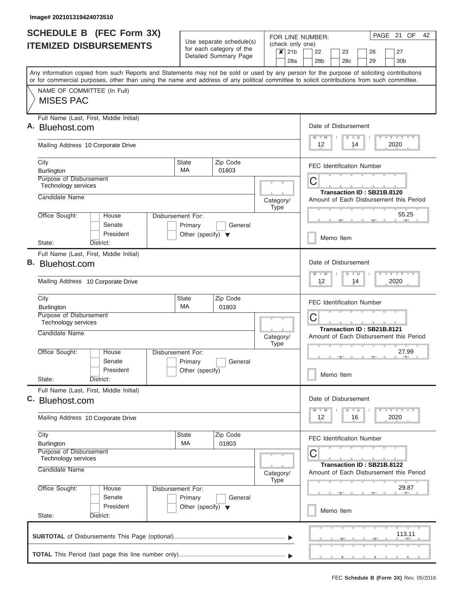$\overline{\phantom{a}}$ 

| <b>SCHEDULE B</b> (FEC Form 3X)                                                                                                                                                                                                                                                         |                                                                      | Use separate schedule(s)                          |           |             |                                                        | FOR LINE NUMBER:                      |           |                                |                            | PAGE 21 OF<br>42                        |
|-----------------------------------------------------------------------------------------------------------------------------------------------------------------------------------------------------------------------------------------------------------------------------------------|----------------------------------------------------------------------|---------------------------------------------------|-----------|-------------|--------------------------------------------------------|---------------------------------------|-----------|--------------------------------|----------------------------|-----------------------------------------|
| <b>ITEMIZED DISBURSEMENTS</b>                                                                                                                                                                                                                                                           |                                                                      | for each category of the<br>Detailed Summary Page |           |             | (check only one)<br>$\overline{\mathsf{x}}$ 21b<br>28a | 22<br>28 <sub>b</sub>                 |           | 23<br>28c                      | 26<br>29                   | 27<br>30 <sub>b</sub>                   |
| Any information copied from such Reports and Statements may not be sold or used by any person for the purpose of soliciting contributions<br>or for commercial purposes, other than using the name and address of any political committee to solicit contributions from such committee. |                                                                      |                                                   |           |             |                                                        |                                       |           |                                |                            |                                         |
| NAME OF COMMITTEE (In Full)<br><b>MISES PAC</b>                                                                                                                                                                                                                                         |                                                                      |                                                   |           |             |                                                        |                                       |           |                                |                            |                                         |
| Full Name (Last, First, Middle Initial)<br>A. Bluehost.com                                                                                                                                                                                                                              |                                                                      |                                                   |           |             |                                                        | Date of Disbursement<br>$M$ $M$       |           | $D$ $D$                        |                            | <b>LY LY LY</b>                         |
| Mailing Address 10 Corporate Drive                                                                                                                                                                                                                                                      |                                                                      |                                                   |           |             |                                                        | 12                                    |           | 14                             |                            | 2020                                    |
| City<br>Burlington                                                                                                                                                                                                                                                                      | State<br><b>MA</b>                                                   | Zip Code<br>01803                                 |           |             |                                                        | <b>FEC Identification Number</b>      |           |                                |                            |                                         |
| Purpose of Disbursement<br>Technology services                                                                                                                                                                                                                                          |                                                                      |                                                   |           |             |                                                        | C                                     |           |                                | Transaction ID: SB21B.8120 |                                         |
| Candidate Name                                                                                                                                                                                                                                                                          |                                                                      |                                                   | Category/ | <b>Type</b> |                                                        |                                       |           |                                |                            | Amount of Each Disbursement this Period |
| Office Sought:<br>House<br>Senate<br>President                                                                                                                                                                                                                                          | Disbursement For:<br>Primary<br>Other (specify) $\blacktriangledown$ | General                                           |           |             |                                                        |                                       | Memo Item |                                |                            | 55.25                                   |
| State:<br>District:<br>Full Name (Last, First, Middle Initial)                                                                                                                                                                                                                          |                                                                      |                                                   |           |             |                                                        |                                       |           |                                |                            |                                         |
| B. Bluehost.com<br>Mailing Address 10 Corporate Drive                                                                                                                                                                                                                                   |                                                                      |                                                   |           |             |                                                        | Date of Disbursement<br>$M - M$<br>12 |           | $\Box$<br>$\overline{D}$<br>14 |                            | $-Y - Y - I - Y$<br>2020                |
|                                                                                                                                                                                                                                                                                         | State                                                                |                                                   |           |             |                                                        |                                       |           |                                |                            |                                         |
| City<br><b>Burlington</b><br>Purpose of Disbursement<br>Technology services                                                                                                                                                                                                             | МA                                                                   | Zip Code<br>01803                                 |           |             |                                                        | <b>FEC Identification Number</b><br>C |           |                                |                            |                                         |
| Candidate Name                                                                                                                                                                                                                                                                          |                                                                      |                                                   | Category/ | <b>Type</b> |                                                        |                                       |           |                                | Transaction ID: SB21B.8121 | Amount of Each Disbursement this Period |
| Office Sought:<br>House<br>Senate<br>President                                                                                                                                                                                                                                          | Disbursement For:<br>Primary<br>Other (specify)                      | General                                           |           |             |                                                        |                                       |           |                                |                            | 27.99                                   |
| State:<br>District:                                                                                                                                                                                                                                                                     |                                                                      |                                                   |           |             |                                                        |                                       | Memo Item |                                |                            |                                         |
| Full Name (Last, First, Middle Initial)<br>C. Bluehost.com                                                                                                                                                                                                                              |                                                                      |                                                   |           |             |                                                        | Date of Disbursement                  |           |                                |                            | $T - Y = T - Y$                         |
| Mailing Address 10 Corporate Drive                                                                                                                                                                                                                                                      |                                                                      |                                                   |           |             |                                                        | $M - M$<br>12                         |           | $\overline{D}$<br>$\Box$<br>16 |                            | 2020                                    |
| City<br>Burlington                                                                                                                                                                                                                                                                      | State<br>МA                                                          | Zip Code<br>01803                                 |           |             |                                                        | <b>FEC Identification Number</b>      |           |                                |                            |                                         |
| Purpose of Disbursement<br>Technology services                                                                                                                                                                                                                                          |                                                                      |                                                   |           |             |                                                        | С                                     |           |                                | Transaction ID: SB21B.8122 |                                         |
| Candidate Name                                                                                                                                                                                                                                                                          |                                                                      |                                                   | Category/ | Type        |                                                        |                                       |           |                                |                            | Amount of Each Disbursement this Period |
| Office Sought:<br>House<br>Senate<br>President                                                                                                                                                                                                                                          | Disbursement For:<br>Primary<br>Other (specify) $\blacktriangledown$ | General                                           |           |             |                                                        |                                       |           |                                |                            | 29.87                                   |
| State:<br>District:                                                                                                                                                                                                                                                                     |                                                                      |                                                   |           |             |                                                        |                                       | Memo Item |                                |                            |                                         |
|                                                                                                                                                                                                                                                                                         |                                                                      |                                                   |           |             |                                                        |                                       |           |                                |                            | 113.11                                  |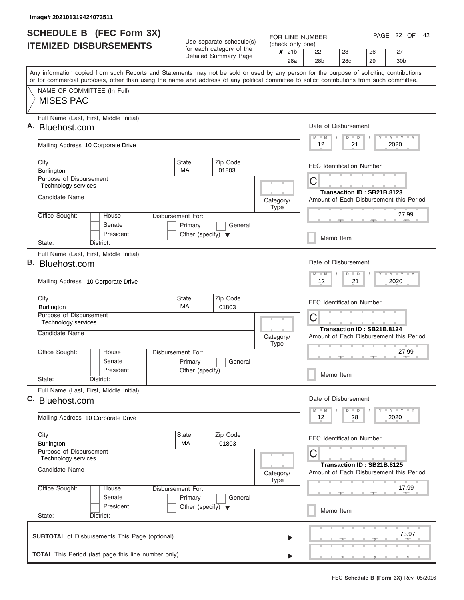|    | <b>SCHEDULE B</b> (FEC Form 3X)                                                                                                                                                                                                                                                         |                                      | Use separate schedule(s) | FOR LINE NUMBER:                                        | PAGE 22 OF<br>42                                                      |
|----|-----------------------------------------------------------------------------------------------------------------------------------------------------------------------------------------------------------------------------------------------------------------------------------------|--------------------------------------|--------------------------|---------------------------------------------------------|-----------------------------------------------------------------------|
|    | <b>ITEMIZED DISBURSEMENTS</b>                                                                                                                                                                                                                                                           |                                      | for each category of the | (check only one)<br>21 <sub>b</sub><br>$\boldsymbol{x}$ | 22<br>23<br>27<br>26                                                  |
|    |                                                                                                                                                                                                                                                                                         |                                      | Detailed Summary Page    | 28a                                                     | 28 <sub>b</sub><br>29<br>30 <sub>b</sub><br>28c                       |
|    | Any information copied from such Reports and Statements may not be sold or used by any person for the purpose of soliciting contributions<br>or for commercial purposes, other than using the name and address of any political committee to solicit contributions from such committee. |                                      |                          |                                                         |                                                                       |
|    | NAME OF COMMITTEE (In Full)                                                                                                                                                                                                                                                             |                                      |                          |                                                         |                                                                       |
|    | <b>MISES PAC</b>                                                                                                                                                                                                                                                                        |                                      |                          |                                                         |                                                                       |
|    | Full Name (Last, First, Middle Initial)<br>Bluehost.com                                                                                                                                                                                                                                 |                                      |                          |                                                         | Date of Disbursement                                                  |
|    |                                                                                                                                                                                                                                                                                         |                                      |                          |                                                         | Y LY LY LY<br>$M$ $M$<br>$D$ $D$                                      |
|    | Mailing Address 10 Corporate Drive                                                                                                                                                                                                                                                      |                                      |                          |                                                         | $12 \overline{ }$<br>21<br>2020                                       |
|    | City<br>Burlington                                                                                                                                                                                                                                                                      | <b>State</b><br>MA.                  | Zip Code<br>01803        |                                                         | <b>FEC Identification Number</b>                                      |
|    | Purpose of Disbursement<br>Technology services                                                                                                                                                                                                                                          |                                      |                          |                                                         | С                                                                     |
|    | Candidate Name                                                                                                                                                                                                                                                                          |                                      |                          |                                                         | Transaction ID: SB21B.8123<br>Amount of Each Disbursement this Period |
|    |                                                                                                                                                                                                                                                                                         |                                      |                          | Category/<br><b>Type</b>                                |                                                                       |
|    | Office Sought:<br>House<br>Senate                                                                                                                                                                                                                                                       | Disbursement For:<br>Primary         | General                  |                                                         | 27.99                                                                 |
|    | President                                                                                                                                                                                                                                                                               | Other (specify) $\blacktriangledown$ |                          |                                                         | Memo Item                                                             |
|    | State:<br>District:<br>Full Name (Last, First, Middle Initial)                                                                                                                                                                                                                          |                                      |                          |                                                         |                                                                       |
| В. | Bluehost.com                                                                                                                                                                                                                                                                            |                                      |                          |                                                         | Date of Disbursement                                                  |
|    | Mailing Address 10 Corporate Drive                                                                                                                                                                                                                                                      |                                      |                          |                                                         | $M - M$<br>$D$ $D$<br>21<br>2020<br>12                                |
|    |                                                                                                                                                                                                                                                                                         |                                      |                          |                                                         |                                                                       |
|    | City<br><b>Burlington</b>                                                                                                                                                                                                                                                               | State<br>МA                          | Zip Code<br>01803        |                                                         | <b>FEC Identification Number</b>                                      |
|    | Purpose of Disbursement<br>Technology services                                                                                                                                                                                                                                          |                                      |                          |                                                         | C                                                                     |
|    | Candidate Name                                                                                                                                                                                                                                                                          |                                      |                          | Category/                                               | Transaction ID: SB21B.8124<br>Amount of Each Disbursement this Period |
|    | Office Sought:<br>House                                                                                                                                                                                                                                                                 | Disbursement For:                    |                          | <b>Type</b>                                             | 27.99                                                                 |
|    | Senate                                                                                                                                                                                                                                                                                  | Primary                              | General                  |                                                         | <b>AND</b>                                                            |
|    | President<br>State:<br>District:                                                                                                                                                                                                                                                        | Other (specify)                      |                          |                                                         | Memo Item                                                             |
|    | Full Name (Last, First, Middle Initial)                                                                                                                                                                                                                                                 |                                      |                          |                                                         |                                                                       |
|    | C. Bluehost.com                                                                                                                                                                                                                                                                         |                                      |                          |                                                         | Date of Disbursement<br>Y TY TY TY<br>$M - M$<br>$D$ $D$              |
|    | Mailing Address 10 Corporate Drive                                                                                                                                                                                                                                                      |                                      |                          |                                                         | 2020<br>12<br>28                                                      |
|    | City<br><b>Burlington</b>                                                                                                                                                                                                                                                               | State<br>МA                          | Zip Code<br>01803        |                                                         | <b>FEC Identification Number</b>                                      |
|    | Purpose of Disbursement<br>Technology services                                                                                                                                                                                                                                          |                                      |                          |                                                         | C                                                                     |
|    | Candidate Name                                                                                                                                                                                                                                                                          |                                      |                          |                                                         | Transaction ID: SB21B.8125<br>Amount of Each Disbursement this Period |
|    |                                                                                                                                                                                                                                                                                         |                                      |                          | Category/<br><b>Type</b>                                |                                                                       |
|    | Office Sought:<br>House<br>Senate                                                                                                                                                                                                                                                       | Disbursement For:<br>Primary         | General                  |                                                         | 17.99                                                                 |
|    | President                                                                                                                                                                                                                                                                               | Other (specify) $\blacktriangledown$ |                          |                                                         | Memo Item                                                             |
|    | State:<br>District:                                                                                                                                                                                                                                                                     |                                      |                          |                                                         |                                                                       |
|    |                                                                                                                                                                                                                                                                                         |                                      |                          |                                                         | 73.97                                                                 |
|    |                                                                                                                                                                                                                                                                                         |                                      |                          |                                                         |                                                                       |
|    |                                                                                                                                                                                                                                                                                         |                                      |                          |                                                         |                                                                       |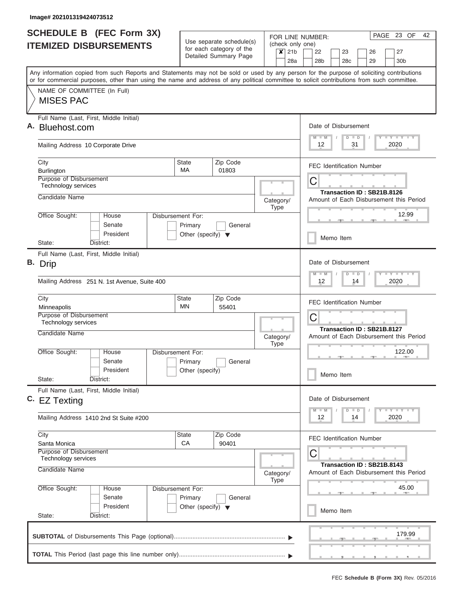| <b>SCHEDULE B (FEC Form 3X)</b>                                                                                                                                                                                                                                                         |                                      |                                                      |                          |                             | PAGE 23 OF<br>42<br>FOR LINE NUMBER:                                  |
|-----------------------------------------------------------------------------------------------------------------------------------------------------------------------------------------------------------------------------------------------------------------------------------------|--------------------------------------|------------------------------------------------------|--------------------------|-----------------------------|-----------------------------------------------------------------------|
| <b>ITEMIZED DISBURSEMENTS</b>                                                                                                                                                                                                                                                           |                                      | Use separate schedule(s)<br>for each category of the |                          | (check only one)            |                                                                       |
|                                                                                                                                                                                                                                                                                         |                                      | Detailed Summary Page                                |                          | $\overline{\mathsf{x}}$ 21b | 22<br>23<br>27<br>26                                                  |
|                                                                                                                                                                                                                                                                                         |                                      |                                                      |                          | 28a                         | 28 <sub>b</sub><br>28c<br>29<br>30 <sub>b</sub>                       |
| Any information copied from such Reports and Statements may not be sold or used by any person for the purpose of soliciting contributions<br>or for commercial purposes, other than using the name and address of any political committee to solicit contributions from such committee. |                                      |                                                      |                          |                             |                                                                       |
| NAME OF COMMITTEE (In Full)                                                                                                                                                                                                                                                             |                                      |                                                      |                          |                             |                                                                       |
| <b>MISES PAC</b>                                                                                                                                                                                                                                                                        |                                      |                                                      |                          |                             |                                                                       |
| Full Name (Last, First, Middle Initial)<br>A. Bluehost.com                                                                                                                                                                                                                              |                                      |                                                      |                          |                             | Date of Disbursement                                                  |
| Mailing Address 10 Corporate Drive                                                                                                                                                                                                                                                      |                                      |                                                      |                          |                             | Y I Y I Y I Y<br>$M$ $M$<br>$D$ $D$<br>31<br>2020<br>12               |
| City<br>Burlington                                                                                                                                                                                                                                                                      | <b>State</b><br>MA                   | Zip Code<br>01803                                    |                          |                             | <b>FEC Identification Number</b>                                      |
| Purpose of Disbursement<br>Technology services                                                                                                                                                                                                                                          |                                      |                                                      |                          |                             | C<br>Transaction ID: SB21B.8126                                       |
| Candidate Name                                                                                                                                                                                                                                                                          |                                      |                                                      | Category/<br><b>Type</b> |                             | Amount of Each Disbursement this Period                               |
| Office Sought:<br>House<br>Senate                                                                                                                                                                                                                                                       | Disbursement For:<br>Primary         | General                                              |                          |                             | 12.99<br><b>COLL</b>                                                  |
| President<br>State:<br>District:                                                                                                                                                                                                                                                        | Other (specify) $\blacktriangledown$ |                                                      |                          |                             | Memo Item                                                             |
| Full Name (Last, First, Middle Initial)                                                                                                                                                                                                                                                 |                                      |                                                      |                          |                             |                                                                       |
| B. Drip                                                                                                                                                                                                                                                                                 |                                      |                                                      |                          |                             | Date of Disbursement<br>Y FY FY FY<br>$M - M$<br>$D$ $D$              |
| Mailing Address 251 N. 1st Avenue, Suite 400                                                                                                                                                                                                                                            |                                      |                                                      |                          |                             | 2020<br>12<br>14                                                      |
| City                                                                                                                                                                                                                                                                                    | <b>State</b>                         | Zip Code                                             |                          |                             | <b>FEC Identification Number</b>                                      |
| Minneapolis<br>Purpose of Disbursement                                                                                                                                                                                                                                                  | MN                                   | 55401                                                |                          |                             |                                                                       |
| Technology services                                                                                                                                                                                                                                                                     |                                      |                                                      |                          |                             | C                                                                     |
| Candidate Name                                                                                                                                                                                                                                                                          |                                      |                                                      | Category/<br><b>Type</b> |                             | Transaction ID: SB21B.8127<br>Amount of Each Disbursement this Period |
| Office Sought:<br>House                                                                                                                                                                                                                                                                 | Disbursement For:                    |                                                      |                          |                             | 122.00<br><b>Barbara</b>                                              |
| Senate                                                                                                                                                                                                                                                                                  | Primary                              | General                                              |                          |                             |                                                                       |
| President<br>State:<br>District:                                                                                                                                                                                                                                                        | Other (specify)                      |                                                      |                          |                             | Memo Item                                                             |
| Full Name (Last, First, Middle Initial)<br>C. EZ Texting                                                                                                                                                                                                                                |                                      |                                                      |                          |                             | Date of Disbursement                                                  |
| Mailing Address 1410 2nd St Suite #200                                                                                                                                                                                                                                                  |                                      |                                                      |                          |                             | $Y$ $Y$ $Y$ $Y$ $Y$<br>$D$ $D$<br>$M - M$<br>2020<br>12<br>14         |
| City                                                                                                                                                                                                                                                                                    | <b>State</b><br>CA                   | Zip Code<br>90401                                    |                          |                             | <b>FEC Identification Number</b>                                      |
| Santa Monica<br>Purpose of Disbursement<br>Technology services                                                                                                                                                                                                                          |                                      |                                                      |                          |                             | С                                                                     |
| Candidate Name                                                                                                                                                                                                                                                                          |                                      |                                                      | Category/<br><b>Type</b> |                             | Transaction ID: SB21B.8143<br>Amount of Each Disbursement this Period |
| Office Sought:<br>House<br>Senate                                                                                                                                                                                                                                                       | Disbursement For:<br>Primary         | General                                              |                          |                             | 45.00                                                                 |
| President<br>State:<br>District:                                                                                                                                                                                                                                                        | Other (specify) $\blacktriangledown$ |                                                      |                          |                             | Memo Item                                                             |
|                                                                                                                                                                                                                                                                                         |                                      |                                                      |                          |                             | 179.99                                                                |
|                                                                                                                                                                                                                                                                                         |                                      |                                                      |                          |                             |                                                                       |
|                                                                                                                                                                                                                                                                                         |                                      |                                                      |                          |                             | <u>.</u>                                                              |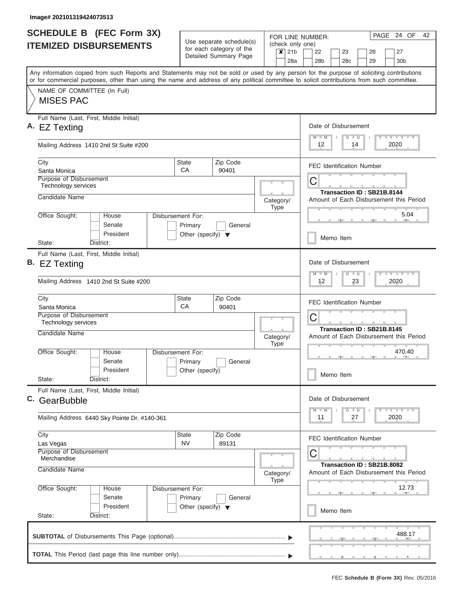| <b>SCHEDULE B</b> (FEC Form 3X)                                                                                                                                                                                                                                                         |                                                 | Use separate schedule(s)                          |           |             |     | FOR LINE NUMBER:                      |           |               |                                  | PAGE 24 OF                                      | 42 |
|-----------------------------------------------------------------------------------------------------------------------------------------------------------------------------------------------------------------------------------------------------------------------------------------|-------------------------------------------------|---------------------------------------------------|-----------|-------------|-----|---------------------------------------|-----------|---------------|----------------------------------|-------------------------------------------------|----|
| <b>ITEMIZED DISBURSEMENTS</b>                                                                                                                                                                                                                                                           |                                                 | for each category of the<br>Detailed Summary Page |           | $x$ 21b     | 28a | (check only one)<br>22<br>28b         | 23<br>28c |               | 26<br>29                         | 27<br>30b                                       |    |
| Any information copied from such Reports and Statements may not be sold or used by any person for the purpose of soliciting contributions<br>or for commercial purposes, other than using the name and address of any political committee to solicit contributions from such committee. |                                                 |                                                   |           |             |     |                                       |           |               |                                  |                                                 |    |
| NAME OF COMMITTEE (In Full)<br><b>MISES PAC</b>                                                                                                                                                                                                                                         |                                                 |                                                   |           |             |     |                                       |           |               |                                  |                                                 |    |
| Full Name (Last, First, Middle Initial)<br>A. EZ Texting                                                                                                                                                                                                                                |                                                 |                                                   |           |             |     | Date of Disbursement<br>$M$ $M$       |           | $D$ $D$       |                                  | Y LY LY LY                                      |    |
| Mailing Address 1410 2nd St Suite #200                                                                                                                                                                                                                                                  |                                                 |                                                   |           |             |     | 12                                    |           | 14            |                                  | 2020                                            |    |
| City<br>Santa Monica                                                                                                                                                                                                                                                                    | State<br>CA                                     | Zip Code<br>90401                                 |           |             |     |                                       |           |               | <b>FEC Identification Number</b> |                                                 |    |
| Purpose of Disbursement<br>Technology services                                                                                                                                                                                                                                          |                                                 |                                                   |           |             |     | C                                     |           |               | Transaction ID: SB21B.8144       |                                                 |    |
| Candidate Name<br>Office Sought:<br>House                                                                                                                                                                                                                                               | Disbursement For:                               |                                                   | Category/ | Type        |     |                                       |           |               |                                  | Amount of Each Disbursement this Period<br>5.04 |    |
| Senate<br>President<br>State:<br>District:                                                                                                                                                                                                                                              | Primary<br>Other (specify) $\blacktriangledown$ | General                                           |           |             |     |                                       | Memo Item |               |                                  | <b>COLLECTION</b>                               |    |
| Full Name (Last, First, Middle Initial)<br><b>B.</b> EZ Texting<br>Mailing Address 1410 2nd St Suite #200                                                                                                                                                                               |                                                 |                                                   |           |             |     | Date of Disbursement<br>$M - M$<br>12 |           | $D$ $D$<br>23 |                                  | $T = Y - T - Y - T - Y$<br>2020                 |    |
| City<br>Santa Monica<br>Purpose of Disbursement<br>Technology services                                                                                                                                                                                                                  | State<br>CA                                     | Zip Code<br>90401                                 |           |             |     | C                                     |           |               | <b>FEC Identification Number</b> |                                                 |    |
| Candidate Name                                                                                                                                                                                                                                                                          |                                                 |                                                   | Category/ | <b>Type</b> |     |                                       |           |               | Transaction ID: SB21B.8145       | Amount of Each Disbursement this Period         |    |
| Office Sought:<br>House<br>Senate<br>President<br>State:<br>District:                                                                                                                                                                                                                   | Disbursement For:<br>Primary<br>Other (specify) | General                                           |           |             |     |                                       | Memo Item |               |                                  | 470.40<br><b>AND</b>                            |    |
| Full Name (Last, First, Middle Initial)<br>C. GearBubble                                                                                                                                                                                                                                |                                                 |                                                   |           |             |     | Date of Disbursement                  |           |               |                                  |                                                 |    |
| Mailing Address 6440 Sky Pointe Dr. #140-361                                                                                                                                                                                                                                            |                                                 |                                                   |           |             |     | $M - M$<br>11                         |           | $D$ $D$<br>27 |                                  | $T - Y = T - Y$<br>2020                         |    |
| City<br>Las Vegas<br>Purpose of Disbursement<br>Merchandise                                                                                                                                                                                                                             | State<br><b>NV</b>                              | Zip Code<br>89131                                 |           |             |     | C                                     |           |               | <b>FEC Identification Number</b> |                                                 |    |
| Candidate Name                                                                                                                                                                                                                                                                          |                                                 |                                                   | Category/ | <b>Type</b> |     |                                       |           |               | Transaction ID: SB21B.8082       | Amount of Each Disbursement this Period         |    |
| Office Sought:<br>House<br>Senate                                                                                                                                                                                                                                                       | Disbursement For:<br>Primary                    | General                                           |           |             |     |                                       |           |               |                                  | 12.73                                           |    |
| President<br>State:<br>District:                                                                                                                                                                                                                                                        | Other (specify) $\blacktriangledown$            |                                                   |           |             |     |                                       | Memo Item |               |                                  |                                                 |    |
|                                                                                                                                                                                                                                                                                         |                                                 |                                                   |           |             |     |                                       |           |               |                                  | 488.17                                          |    |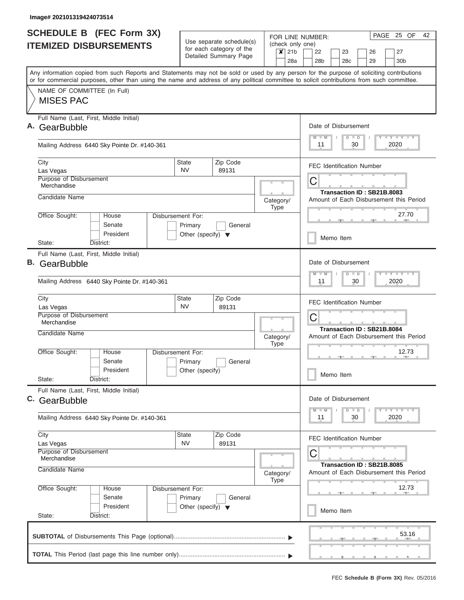|    | <b>SCHEDULE B</b> (FEC Form 3X)                                                                                                            |                                                 |                                                      |           |             | FOR LINE NUMBER:            |   |                 |                      |               |                                  | PAGE 25 OF                              |       | 42 |
|----|--------------------------------------------------------------------------------------------------------------------------------------------|-------------------------------------------------|------------------------------------------------------|-----------|-------------|-----------------------------|---|-----------------|----------------------|---------------|----------------------------------|-----------------------------------------|-------|----|
|    | <b>ITEMIZED DISBURSEMENTS</b>                                                                                                              |                                                 | Use separate schedule(s)<br>for each category of the |           |             | (check only one)<br>$x$ 21b |   | 22              | 23                   |               | 26                               | 27                                      |       |    |
|    |                                                                                                                                            |                                                 | Detailed Summary Page                                |           |             | 28a                         |   | 28 <sub>b</sub> | 28 <sub>c</sub>      |               | 29                               | 30 <sub>b</sub>                         |       |    |
|    | Any information copied from such Reports and Statements may not be sold or used by any person for the purpose of soliciting contributions  |                                                 |                                                      |           |             |                             |   |                 |                      |               |                                  |                                         |       |    |
|    | or for commercial purposes, other than using the name and address of any political committee to solicit contributions from such committee. |                                                 |                                                      |           |             |                             |   |                 |                      |               |                                  |                                         |       |    |
|    | NAME OF COMMITTEE (In Full)<br><b>MISES PAC</b>                                                                                            |                                                 |                                                      |           |             |                             |   |                 |                      |               |                                  |                                         |       |    |
|    |                                                                                                                                            |                                                 |                                                      |           |             |                             |   |                 |                      |               |                                  |                                         |       |    |
|    | Full Name (Last, First, Middle Initial)                                                                                                    |                                                 |                                                      |           |             |                             |   |                 |                      |               |                                  |                                         |       |    |
| Α. | GearBubble                                                                                                                                 |                                                 |                                                      |           |             |                             |   |                 | Date of Disbursement |               |                                  | Y I Y I Y I Y                           |       |    |
|    | Mailing Address 6440 Sky Pointe Dr. #140-361                                                                                               |                                                 |                                                      |           |             |                             |   | $M$ $M$<br>11   |                      | $D$ $D$<br>30 |                                  | 2020                                    |       |    |
|    | City                                                                                                                                       | <b>State</b>                                    | Zip Code                                             |           |             |                             |   |                 |                      |               | <b>FEC Identification Number</b> |                                         |       |    |
|    | Las Vegas                                                                                                                                  | <b>NV</b>                                       | 89131                                                |           |             |                             |   |                 |                      |               |                                  |                                         |       |    |
|    | Purpose of Disbursement<br>Merchandise                                                                                                     |                                                 |                                                      |           |             |                             | С |                 |                      |               |                                  |                                         |       |    |
|    | Candidate Name                                                                                                                             |                                                 |                                                      | Category/ |             |                             |   |                 |                      |               | Transaction ID: SB21B.8083       | Amount of Each Disbursement this Period |       |    |
|    |                                                                                                                                            |                                                 |                                                      |           | Type        |                             |   |                 |                      |               |                                  |                                         |       |    |
|    | Office Sought:<br>House<br>Disbursement For:<br>Senate                                                                                     |                                                 |                                                      |           |             |                             |   |                 |                      |               |                                  | 27.70                                   |       |    |
|    | President                                                                                                                                  | Primary<br>Other (specify) $\blacktriangledown$ | General                                              |           |             |                             |   |                 |                      |               |                                  |                                         |       |    |
|    | District:<br>State:                                                                                                                        |                                                 |                                                      |           |             |                             |   |                 | Memo Item            |               |                                  |                                         |       |    |
|    | Full Name (Last, First, Middle Initial)                                                                                                    |                                                 |                                                      |           |             |                             |   |                 |                      |               |                                  |                                         |       |    |
| В. | GearBubble                                                                                                                                 |                                                 |                                                      |           |             |                             |   |                 | Date of Disbursement |               |                                  |                                         |       |    |
|    | Mailing Address 6440 Sky Pointe Dr. #140-361                                                                                               |                                                 |                                                      |           |             |                             |   | $M - M$<br>11   |                      | $D$ $D$<br>30 |                                  | $T$ $Y$ $T$ $Y$ $T$<br>2020             |       |    |
|    | City                                                                                                                                       | <b>State</b>                                    | Zip Code                                             |           |             |                             |   |                 |                      |               | <b>FEC Identification Number</b> |                                         |       |    |
|    | Las Vegas                                                                                                                                  | <b>NV</b>                                       | 89131                                                |           |             |                             |   |                 |                      |               |                                  |                                         |       |    |
|    | Purpose of Disbursement<br>Merchandise                                                                                                     |                                                 |                                                      |           |             |                             | С |                 |                      |               |                                  |                                         |       |    |
|    | Candidate Name                                                                                                                             |                                                 |                                                      | Category/ |             |                             |   |                 |                      |               | Transaction ID: SB21B.8084       | Amount of Each Disbursement this Period |       |    |
|    |                                                                                                                                            |                                                 |                                                      |           | <b>Type</b> |                             |   |                 |                      |               |                                  |                                         |       |    |
|    | Office Sought:<br>House<br><b>Disbursement For:</b>                                                                                        |                                                 |                                                      |           |             |                             |   |                 |                      |               | $\rightarrow$                    | 12.73<br><b>AND IN</b>                  |       |    |
|    | Senate<br>President                                                                                                                        | Primary<br>Other (specify)                      | General                                              |           |             |                             |   |                 |                      |               |                                  |                                         |       |    |
|    | State:<br>District:                                                                                                                        |                                                 |                                                      |           |             |                             |   |                 | Memo Item            |               |                                  |                                         |       |    |
|    | Full Name (Last, First, Middle Initial)                                                                                                    |                                                 |                                                      |           |             |                             |   |                 |                      |               |                                  |                                         |       |    |
|    | C. GearBubble                                                                                                                              |                                                 |                                                      |           |             |                             |   |                 | Date of Disbursement |               |                                  |                                         |       |    |
|    | Mailing Address 6440 Sky Pointe Dr. #140-361                                                                                               |                                                 |                                                      |           |             |                             |   | $M - M$<br>11   |                      | $D$ $D$<br>30 |                                  | $T - Y$ $T - Y$ $T - Y$<br>2020         |       |    |
|    | City                                                                                                                                       | <b>State</b>                                    | Zip Code                                             |           |             |                             |   |                 |                      |               | FEC Identification Number        |                                         |       |    |
|    | Las Vegas<br>Purpose of Disbursement                                                                                                       | <b>NV</b>                                       | 89131                                                |           |             |                             |   |                 |                      |               |                                  |                                         |       |    |
|    | Merchandise                                                                                                                                |                                                 |                                                      |           |             |                             | С |                 |                      |               |                                  |                                         |       |    |
|    | Candidate Name                                                                                                                             |                                                 |                                                      | Category/ | Type        |                             |   |                 |                      |               | Transaction ID: SB21B.8085       | Amount of Each Disbursement this Period |       |    |
|    | Office Sought:<br>House<br>Disbursement For:                                                                                               |                                                 |                                                      |           |             |                             |   |                 |                      |               |                                  | 12.73                                   |       |    |
|    | Senate                                                                                                                                     | Primary                                         | General                                              |           |             |                             |   |                 |                      |               |                                  |                                         |       |    |
|    | President<br>State:<br>District:                                                                                                           | Other (specify) $\blacktriangledown$            |                                                      |           |             |                             |   |                 | Memo Item            |               |                                  |                                         |       |    |
|    |                                                                                                                                            |                                                 |                                                      |           |             |                             |   |                 |                      |               |                                  |                                         |       |    |
|    |                                                                                                                                            |                                                 |                                                      |           |             |                             |   |                 |                      |               |                                  |                                         | 53.16 |    |
|    |                                                                                                                                            |                                                 |                                                      |           |             |                             |   |                 |                      |               |                                  | ___________                             |       |    |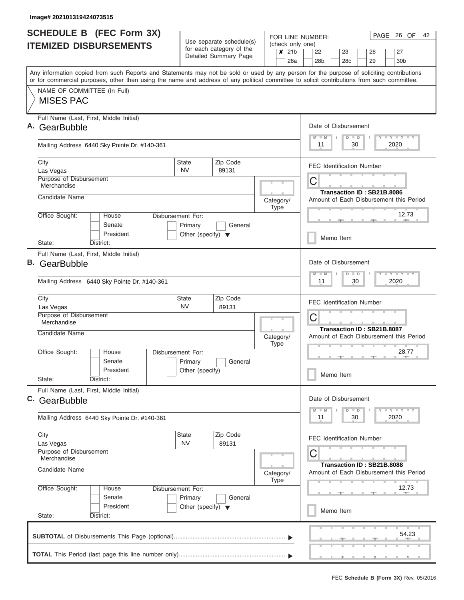| <b>SCHEDULE B (FEC Form 3X)</b><br><b>ITEMIZED DISBURSEMENTS</b>                                                                                                                                                                                                                        |                                                                      | Use separate schedule(s)                          | FOR LINE NUMBER:<br>(check only one)       | PAGE 26 OF<br>42                                                                     |
|-----------------------------------------------------------------------------------------------------------------------------------------------------------------------------------------------------------------------------------------------------------------------------------------|----------------------------------------------------------------------|---------------------------------------------------|--------------------------------------------|--------------------------------------------------------------------------------------|
|                                                                                                                                                                                                                                                                                         |                                                                      | for each category of the<br>Detailed Summary Page | 21 <sub>b</sub><br>$\boldsymbol{x}$<br>28a | 22<br>23<br>27<br>26<br>28 <sub>b</sub><br>30 <sub>b</sub><br>28c<br>29              |
| Any information copied from such Reports and Statements may not be sold or used by any person for the purpose of soliciting contributions<br>or for commercial purposes, other than using the name and address of any political committee to solicit contributions from such committee. |                                                                      |                                                   |                                            |                                                                                      |
| NAME OF COMMITTEE (In Full)<br><b>MISES PAC</b>                                                                                                                                                                                                                                         |                                                                      |                                                   |                                            |                                                                                      |
| Full Name (Last, First, Middle Initial)<br>GearBubble                                                                                                                                                                                                                                   |                                                                      |                                                   |                                            | Date of Disbursement<br>Y LY LY LY<br>$M$ $M$<br>$D$ $D$                             |
| Mailing Address 6440 Sky Pointe Dr. #140-361                                                                                                                                                                                                                                            |                                                                      |                                                   |                                            | 30<br>2020<br>11                                                                     |
| City<br>Las Vegas                                                                                                                                                                                                                                                                       | <b>State</b><br><b>NV</b>                                            | Zip Code<br>89131                                 |                                            | <b>FEC Identification Number</b>                                                     |
| <b>Purpose of Disbursement</b><br>Merchandise                                                                                                                                                                                                                                           |                                                                      |                                                   |                                            | С<br>Transaction ID: SB21B.8086                                                      |
| Candidate Name                                                                                                                                                                                                                                                                          |                                                                      |                                                   | Category/<br><b>Type</b>                   | Amount of Each Disbursement this Period                                              |
| Office Sought:<br>House<br>Senate<br>President                                                                                                                                                                                                                                          | Disbursement For:<br>Primary<br>Other (specify) $\blacktriangledown$ | General                                           |                                            | 12.73<br>Memo Item                                                                   |
| District:<br>State:                                                                                                                                                                                                                                                                     |                                                                      |                                                   |                                            |                                                                                      |
| Full Name (Last, First, Middle Initial)<br><b>B.</b> GearBubble                                                                                                                                                                                                                         |                                                                      |                                                   |                                            | Date of Disbursement<br><b>TEY TEY TEY</b><br>$M - M$<br>$D$ $D$<br>2020<br>11<br>30 |
| Mailing Address 6440 Sky Pointe Dr. #140-361                                                                                                                                                                                                                                            |                                                                      | Zip Code                                          |                                            |                                                                                      |
| City<br>Las Vegas<br>Purpose of Disbursement                                                                                                                                                                                                                                            | State<br><b>NV</b>                                                   | 89131                                             |                                            | <b>FEC Identification Number</b>                                                     |
| Merchandise<br>Candidate Name                                                                                                                                                                                                                                                           |                                                                      |                                                   | Category/                                  | С<br>Transaction ID: SB21B.8087<br>Amount of Each Disbursement this Period           |
| Office Sought:<br>House<br>Senate                                                                                                                                                                                                                                                       | Disbursement For:<br>Primary                                         | General                                           | <b>Type</b>                                | 28.77                                                                                |
| President<br>State:<br>District:                                                                                                                                                                                                                                                        | Other (specify)                                                      |                                                   |                                            | Memo Item                                                                            |
| Full Name (Last, First, Middle Initial)<br>C. GearBubble                                                                                                                                                                                                                                |                                                                      |                                                   |                                            | Date of Disbursement<br>Y LY LY LY<br>$M$ $M$<br>$D$ $D$                             |
| Mailing Address 6440 Sky Pointe Dr. #140-361                                                                                                                                                                                                                                            |                                                                      |                                                   |                                            | 2020<br>11<br>30                                                                     |
| City<br>Las Vegas                                                                                                                                                                                                                                                                       | State<br><b>NV</b>                                                   | Zip Code<br>89131                                 |                                            | <b>FEC Identification Number</b>                                                     |
| Purpose of Disbursement<br>Merchandise<br>Candidate Name                                                                                                                                                                                                                                |                                                                      |                                                   | Category/<br><b>Type</b>                   | С<br>Transaction ID: SB21B.8088<br>Amount of Each Disbursement this Period           |
| Office Sought:<br>House<br>Senate                                                                                                                                                                                                                                                       | Disbursement For:<br>Primary                                         | General                                           |                                            | 12.73                                                                                |
| President<br>State:<br>District:                                                                                                                                                                                                                                                        | Other (specify) $\blacktriangledown$                                 |                                                   |                                            | Memo Item                                                                            |
|                                                                                                                                                                                                                                                                                         |                                                                      |                                                   |                                            | 54.23                                                                                |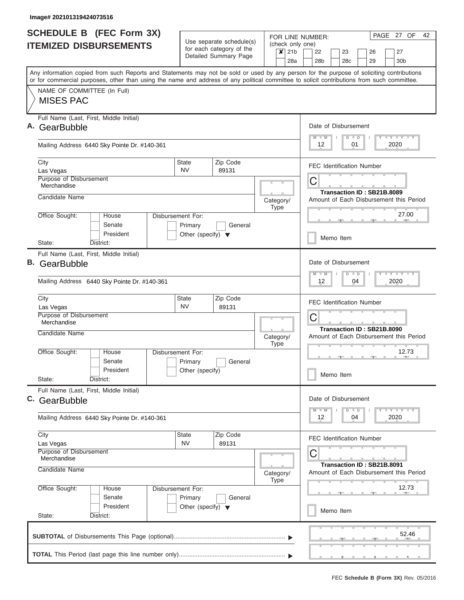|    | <b>SCHEDULE B (FEC Form 3X)</b><br><b>ITEMIZED DISBURSEMENTS</b>                                                                                                                                                                                                                        |                                                                      | Use separate schedule(s)<br>for each category of the | (check only one)         |                        | FOR LINE NUMBER:                 |                            |          | PAGE 27 OF<br>42                        |
|----|-----------------------------------------------------------------------------------------------------------------------------------------------------------------------------------------------------------------------------------------------------------------------------------------|----------------------------------------------------------------------|------------------------------------------------------|--------------------------|------------------------|----------------------------------|----------------------------|----------|-----------------------------------------|
|    |                                                                                                                                                                                                                                                                                         |                                                                      | Detailed Summary Page                                | $\boldsymbol{x}$         | 21 <sub>b</sub><br>28a | 22<br>28 <sub>b</sub>            | 23<br>28c                  | 26<br>29 | 27<br>30 <sub>b</sub>                   |
|    | Any information copied from such Reports and Statements may not be sold or used by any person for the purpose of soliciting contributions<br>or for commercial purposes, other than using the name and address of any political committee to solicit contributions from such committee. |                                                                      |                                                      |                          |                        |                                  |                            |          |                                         |
|    | NAME OF COMMITTEE (In Full)<br><b>MISES PAC</b>                                                                                                                                                                                                                                         |                                                                      |                                                      |                          |                        |                                  |                            |          |                                         |
| Α. | Full Name (Last, First, Middle Initial)<br>GearBubble                                                                                                                                                                                                                                   |                                                                      |                                                      |                          |                        | Date of Disbursement<br>$M$ $M$  | $D$ $D$                    |          | <b>TY TY TY</b>                         |
|    | Mailing Address 6440 Sky Pointe Dr. #140-361                                                                                                                                                                                                                                            |                                                                      |                                                      |                          |                        | 12                               | 01                         |          | 2020                                    |
|    | City<br>Las Vegas                                                                                                                                                                                                                                                                       | State<br><b>NV</b>                                                   | Zip Code<br>89131                                    |                          |                        | <b>FEC Identification Number</b> |                            |          |                                         |
|    | Purpose of Disbursement<br>Merchandise                                                                                                                                                                                                                                                  |                                                                      |                                                      |                          |                        | С                                | Transaction ID: SB21B.8089 |          |                                         |
|    | Candidate Name                                                                                                                                                                                                                                                                          |                                                                      |                                                      | Category/<br><b>Type</b> |                        |                                  |                            |          | Amount of Each Disbursement this Period |
|    | Office Sought:<br>House<br>Senate<br>President                                                                                                                                                                                                                                          | Disbursement For:<br>Primary<br>Other (specify) $\blacktriangledown$ | General                                              |                          |                        |                                  |                            |          | 27.00                                   |
|    | District:<br>State:                                                                                                                                                                                                                                                                     |                                                                      |                                                      |                          |                        | Memo Item                        |                            |          |                                         |
| В. | Full Name (Last, First, Middle Initial)<br>GearBubble                                                                                                                                                                                                                                   |                                                                      |                                                      |                          |                        | Date of Disbursement<br>$M - M$  | $D$ $D$                    |          | $T = Y - T - Y - T - Y$                 |
|    | Mailing Address 6440 Sky Pointe Dr. #140-361                                                                                                                                                                                                                                            |                                                                      |                                                      |                          |                        | 12 <sup>2</sup>                  | 04                         |          | 2020                                    |
|    | City<br>Las Vegas                                                                                                                                                                                                                                                                       | State<br><b>NV</b>                                                   | Zip Code<br>89131                                    |                          |                        | <b>FEC Identification Number</b> |                            |          |                                         |
|    | Purpose of Disbursement<br>Merchandise                                                                                                                                                                                                                                                  |                                                                      |                                                      |                          |                        | C<br>Transaction ID: SB21B.8090  |                            |          |                                         |
|    | Candidate Name                                                                                                                                                                                                                                                                          |                                                                      |                                                      | Category/<br><b>Type</b> |                        |                                  |                            |          | Amount of Each Disbursement this Period |
|    | Office Sought:<br>House<br>Senate                                                                                                                                                                                                                                                       | Disbursement For:<br>Primary                                         | General                                              |                          |                        |                                  |                            |          | 12.73                                   |
|    | President<br>State:<br>District:                                                                                                                                                                                                                                                        | Other (specify)                                                      |                                                      |                          |                        | Memo Item                        |                            |          |                                         |
|    | Full Name (Last, First, Middle Initial)<br>C. GearBubble                                                                                                                                                                                                                                |                                                                      |                                                      |                          |                        | Date of Disbursement             |                            |          |                                         |
|    | Mailing Address 6440 Sky Pointe Dr. #140-361                                                                                                                                                                                                                                            |                                                                      |                                                      |                          |                        | $M$ $M$<br>12                    | $D$ $D$<br>04              |          | <b>LY LY LY</b><br>2020                 |
|    | City<br>Las Vegas                                                                                                                                                                                                                                                                       | State<br><b>NV</b>                                                   | Zip Code<br>89131                                    |                          |                        | <b>FEC Identification Number</b> |                            |          |                                         |
|    | Purpose of Disbursement<br>Merchandise<br>Candidate Name                                                                                                                                                                                                                                |                                                                      |                                                      | Category/<br><b>Type</b> |                        | С                                | Transaction ID: SB21B.8091 |          | Amount of Each Disbursement this Period |
|    | Office Sought:<br>House<br>Senate                                                                                                                                                                                                                                                       | Disbursement For:<br>Primary                                         | General                                              |                          |                        |                                  |                            |          | 12.73                                   |
|    | President<br>State:<br>District:                                                                                                                                                                                                                                                        | Other (specify) $\blacktriangledown$                                 |                                                      |                          |                        | Memo Item                        |                            |          |                                         |
|    |                                                                                                                                                                                                                                                                                         |                                                                      |                                                      |                          |                        |                                  |                            |          | 52.46                                   |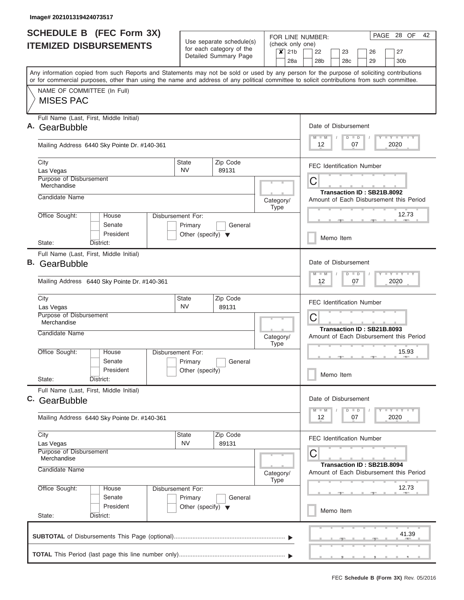| <b>SCHEDULE B</b> (FEC Form 3X)                                                                                                                                                                                                                                                         |                                                                      |                                                      |             |                                            | FOR LINE NUMBER:      |           |                                 |                                  | PAGE 28 OF                                | 42 |
|-----------------------------------------------------------------------------------------------------------------------------------------------------------------------------------------------------------------------------------------------------------------------------------------|----------------------------------------------------------------------|------------------------------------------------------|-------------|--------------------------------------------|-----------------------|-----------|---------------------------------|----------------------------------|-------------------------------------------|----|
| <b>ITEMIZED DISBURSEMENTS</b>                                                                                                                                                                                                                                                           |                                                                      | Use separate schedule(s)<br>for each category of the |             |                                            | (check only one)      |           |                                 |                                  |                                           |    |
|                                                                                                                                                                                                                                                                                         |                                                                      | Detailed Summary Page                                |             | $\boldsymbol{x}$<br>21 <sub>b</sub><br>28a | 22<br>28 <sub>b</sub> |           | 23<br>28c                       | 26<br>29                         | 27<br>30 <sub>b</sub>                     |    |
| Any information copied from such Reports and Statements may not be sold or used by any person for the purpose of soliciting contributions<br>or for commercial purposes, other than using the name and address of any political committee to solicit contributions from such committee. |                                                                      |                                                      |             |                                            |                       |           |                                 |                                  |                                           |    |
| NAME OF COMMITTEE (In Full)<br><b>MISES PAC</b>                                                                                                                                                                                                                                         |                                                                      |                                                      |             |                                            |                       |           |                                 |                                  |                                           |    |
| Full Name (Last, First, Middle Initial)<br>A. GearBubble                                                                                                                                                                                                                                |                                                                      |                                                      |             |                                            | $M$ $M$               |           | Date of Disbursement<br>$D$ $D$ |                                  | Y L Y L Y L Y                             |    |
| Mailing Address 6440 Sky Pointe Dr. #140-361                                                                                                                                                                                                                                            |                                                                      |                                                      |             |                                            | 12                    |           | 07                              |                                  | 2020                                      |    |
| City<br>Las Vegas                                                                                                                                                                                                                                                                       | <b>State</b><br><b>NV</b>                                            | Zip Code<br>89131                                    |             |                                            |                       |           |                                 | <b>FEC Identification Number</b> |                                           |    |
| Purpose of Disbursement<br>Merchandise                                                                                                                                                                                                                                                  |                                                                      |                                                      |             |                                            | C                     |           |                                 | Transaction ID: SB21B.8092       |                                           |    |
| Candidate Name                                                                                                                                                                                                                                                                          |                                                                      |                                                      |             | Category/<br><b>Type</b>                   |                       |           |                                 |                                  | Amount of Each Disbursement this Period   |    |
| Office Sought:<br>House<br>Senate<br>President                                                                                                                                                                                                                                          | Disbursement For:<br>Primary<br>Other (specify) $\blacktriangledown$ | General                                              |             |                                            |                       | Memo Item |                                 |                                  | 12.73<br><b>COLL</b>                      |    |
| State:<br>District:<br>Full Name (Last, First, Middle Initial)                                                                                                                                                                                                                          |                                                                      |                                                      |             |                                            |                       |           |                                 |                                  |                                           |    |
| <b>B.</b> GearBubble                                                                                                                                                                                                                                                                    |                                                                      |                                                      |             |                                            | $M - M$               |           | Date of Disbursement<br>$D$ $D$ |                                  | Y FY FY FY                                |    |
| Mailing Address 6440 Sky Pointe Dr. #140-361                                                                                                                                                                                                                                            |                                                                      |                                                      |             |                                            | 12                    |           | 07                              |                                  | 2020                                      |    |
| City<br>Las Vegas<br>Purpose of Disbursement                                                                                                                                                                                                                                            | State<br><b>NV</b>                                                   | Zip Code<br>89131                                    |             |                                            | C                     |           |                                 | <b>FEC Identification Number</b> |                                           |    |
| Merchandise<br>Candidate Name                                                                                                                                                                                                                                                           |                                                                      |                                                      | <b>Type</b> | Category/                                  |                       |           |                                 | Transaction ID: SB21B.8093       | Amount of Each Disbursement this Period   |    |
| Office Sought:<br>House<br>Senate                                                                                                                                                                                                                                                       | Disbursement For:<br>Primary                                         | General                                              |             |                                            |                       |           |                                 |                                  | 15.93<br><b>COLLECTIVE</b>                |    |
| President<br>State:<br>District:                                                                                                                                                                                                                                                        | Other (specify)                                                      |                                                      |             |                                            |                       | Memo Item |                                 |                                  |                                           |    |
| Full Name (Last, First, Middle Initial)<br>C. GearBubble                                                                                                                                                                                                                                |                                                                      |                                                      |             |                                            | $M - M$               |           | Date of Disbursement<br>$D$ $D$ |                                  | $Y$ $Y$ $Y$ $Y$ $Y$                       |    |
| Mailing Address 6440 Sky Pointe Dr. #140-361                                                                                                                                                                                                                                            |                                                                      |                                                      |             |                                            | 12                    |           | 07                              |                                  | 2020                                      |    |
| City<br>Las Vegas<br>Purpose of Disbursement                                                                                                                                                                                                                                            | State<br><b>NV</b>                                                   | Zip Code<br>89131                                    |             |                                            |                       |           |                                 | <b>FEC Identification Number</b> |                                           |    |
| Merchandise<br>Candidate Name                                                                                                                                                                                                                                                           |                                                                      |                                                      |             | Category/<br><b>Type</b>                   | C                     |           |                                 | Transaction ID: SB21B.8094       | Amount of Each Disbursement this Period   |    |
| Office Sought:<br>House<br>Senate                                                                                                                                                                                                                                                       | Disbursement For:<br>Primary                                         | General                                              |             |                                            |                       |           |                                 |                                  | 12.73                                     |    |
| President<br>State:<br>District:                                                                                                                                                                                                                                                        | Other (specify) $\blacktriangledown$                                 |                                                      |             |                                            |                       | Memo Item |                                 |                                  |                                           |    |
|                                                                                                                                                                                                                                                                                         |                                                                      |                                                      |             |                                            |                       |           |                                 |                                  | 41.39<br><u>, , , , , , , , , , , , ,</u> |    |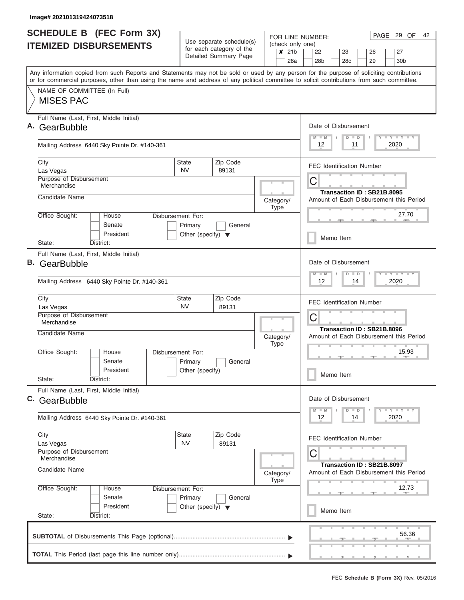| <b>SCHEDULE B (FEC Form 3X)</b><br><b>ITEMIZED DISBURSEMENTS</b>                                                                                                                                                                                                                        |                                                                      | Use separate schedule(s)                          | FOR LINE NUMBER:<br>(check only one)       | PAGE 29 OF<br>42                                                           |
|-----------------------------------------------------------------------------------------------------------------------------------------------------------------------------------------------------------------------------------------------------------------------------------------|----------------------------------------------------------------------|---------------------------------------------------|--------------------------------------------|----------------------------------------------------------------------------|
|                                                                                                                                                                                                                                                                                         |                                                                      | for each category of the<br>Detailed Summary Page | 21 <sub>b</sub><br>$\boldsymbol{x}$<br>28a | 27<br>22<br>23<br>26<br>28 <sub>b</sub><br>28c<br>29<br>30 <sub>b</sub>    |
| Any information copied from such Reports and Statements may not be sold or used by any person for the purpose of soliciting contributions<br>or for commercial purposes, other than using the name and address of any political committee to solicit contributions from such committee. |                                                                      |                                                   |                                            |                                                                            |
| NAME OF COMMITTEE (In Full)<br><b>MISES PAC</b>                                                                                                                                                                                                                                         |                                                                      |                                                   |                                            |                                                                            |
| Full Name (Last, First, Middle Initial)<br>Α.<br>GearBubble                                                                                                                                                                                                                             |                                                                      |                                                   |                                            | Date of Disbursement<br>Y LY LY LY<br>$M$ $M$<br>$D$ $D$                   |
| Mailing Address 6440 Sky Pointe Dr. #140-361                                                                                                                                                                                                                                            |                                                                      |                                                   |                                            | 2020<br>12<br>11                                                           |
| City<br>Las Vegas                                                                                                                                                                                                                                                                       | State<br><b>NV</b>                                                   | Zip Code<br>89131                                 |                                            | <b>FEC Identification Number</b>                                           |
| Purpose of Disbursement<br>Merchandise                                                                                                                                                                                                                                                  |                                                                      |                                                   |                                            | С<br>Transaction ID: SB21B.8095                                            |
| Candidate Name                                                                                                                                                                                                                                                                          |                                                                      |                                                   | Category/<br><b>Type</b>                   | Amount of Each Disbursement this Period                                    |
| Office Sought:<br>House<br>Senate<br>President                                                                                                                                                                                                                                          | Disbursement For:<br>Primary<br>Other (specify) $\blacktriangledown$ | General                                           |                                            | 27.70<br>Memo Item                                                         |
| District:<br>State:                                                                                                                                                                                                                                                                     |                                                                      |                                                   |                                            |                                                                            |
| Full Name (Last, First, Middle Initial)<br>В.<br>GearBubble                                                                                                                                                                                                                             |                                                                      |                                                   |                                            | Date of Disbursement<br>$T = Y - T - Y - T - Y$<br>$M - M$<br>$D$ $D$      |
| Mailing Address 6440 Sky Pointe Dr. #140-361                                                                                                                                                                                                                                            |                                                                      |                                                   |                                            | 12 <sup>2</sup><br>2020<br>14                                              |
| City<br>Las Vegas                                                                                                                                                                                                                                                                       | State<br><b>NV</b>                                                   | Zip Code<br>89131                                 |                                            | <b>FEC Identification Number</b>                                           |
| Purpose of Disbursement<br>Merchandise                                                                                                                                                                                                                                                  |                                                                      |                                                   |                                            | C<br>Transaction ID: SB21B.8096                                            |
| Candidate Name                                                                                                                                                                                                                                                                          |                                                                      |                                                   | Category/<br><b>Type</b>                   | Amount of Each Disbursement this Period                                    |
| Office Sought:<br>House<br>Senate                                                                                                                                                                                                                                                       | Disbursement For:<br>Primary                                         | General                                           |                                            | 15.93                                                                      |
| President<br>State:<br>District:                                                                                                                                                                                                                                                        | Other (specify)                                                      |                                                   |                                            | Memo Item                                                                  |
| Full Name (Last, First, Middle Initial)<br>C. GearBubble                                                                                                                                                                                                                                |                                                                      |                                                   |                                            | Date of Disbursement                                                       |
| Mailing Address 6440 Sky Pointe Dr. #140-361                                                                                                                                                                                                                                            |                                                                      |                                                   |                                            | $T$ $Y$ $Y$ $Y$ $T$<br>$M$ $M$<br>$D$ $D$<br>2020<br>12<br>14              |
| City<br>Las Vegas                                                                                                                                                                                                                                                                       | State<br><b>NV</b>                                                   | Zip Code<br>89131                                 |                                            | <b>FEC Identification Number</b>                                           |
| Purpose of Disbursement<br>Merchandise<br>Candidate Name                                                                                                                                                                                                                                |                                                                      |                                                   | Category/<br><b>Type</b>                   | С<br>Transaction ID: SB21B.8097<br>Amount of Each Disbursement this Period |
| Office Sought:<br>House<br>Senate                                                                                                                                                                                                                                                       | Disbursement For:<br>Primary                                         | General                                           |                                            | 12.73                                                                      |
| President                                                                                                                                                                                                                                                                               | Other (specify) $\blacktriangledown$                                 |                                                   |                                            | Memo Item                                                                  |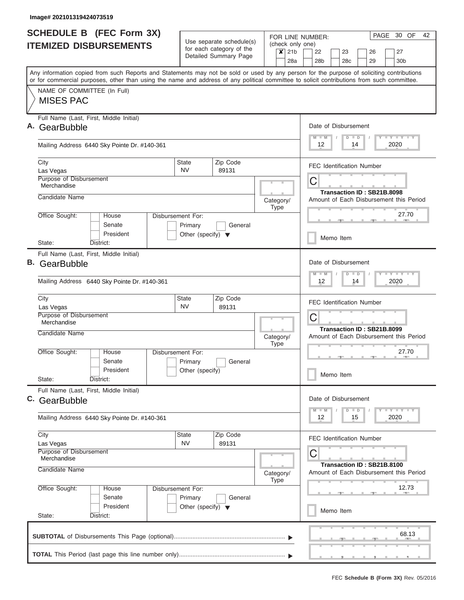|                               | <b>SCHEDULE B (FEC Form 3X)</b><br><b>ITEMIZED DISBURSEMENTS</b> |                                                                      | Use separate schedule(s)                          |                          |                                            | PAGE 30 OF<br>42<br>FOR LINE NUMBER:<br>(check only one)                                                                                                                                                                                                                                |
|-------------------------------|------------------------------------------------------------------|----------------------------------------------------------------------|---------------------------------------------------|--------------------------|--------------------------------------------|-----------------------------------------------------------------------------------------------------------------------------------------------------------------------------------------------------------------------------------------------------------------------------------------|
|                               |                                                                  |                                                                      | for each category of the<br>Detailed Summary Page |                          | 21 <sub>b</sub><br>$\boldsymbol{x}$<br>28a | 27<br>22<br>23<br>26<br>28 <sub>b</sub><br>28c<br>29<br>30 <sub>b</sub>                                                                                                                                                                                                                 |
|                               |                                                                  |                                                                      |                                                   |                          |                                            | Any information copied from such Reports and Statements may not be sold or used by any person for the purpose of soliciting contributions<br>or for commercial purposes, other than using the name and address of any political committee to solicit contributions from such committee. |
| <b>MISES PAC</b>              | NAME OF COMMITTEE (In Full)                                      |                                                                      |                                                   |                          |                                            |                                                                                                                                                                                                                                                                                         |
| Α.<br>GearBubble              | Full Name (Last, First, Middle Initial)                          |                                                                      |                                                   |                          |                                            | Date of Disbursement<br>Y LY LY LY<br>$M$ $M$<br>$D$ $D$                                                                                                                                                                                                                                |
|                               | Mailing Address 6440 Sky Pointe Dr. #140-361                     |                                                                      |                                                   |                          |                                            | 2020<br>12<br>14                                                                                                                                                                                                                                                                        |
| City<br>Las Vegas             |                                                                  | State<br><b>NV</b>                                                   | Zip Code<br>89131                                 |                          |                                            | <b>FEC Identification Number</b>                                                                                                                                                                                                                                                        |
| Merchandise                   | Purpose of Disbursement                                          |                                                                      |                                                   |                          |                                            | С<br>Transaction ID: SB21B.8098                                                                                                                                                                                                                                                         |
| Candidate Name                |                                                                  |                                                                      |                                                   | Category/<br><b>Type</b> |                                            | Amount of Each Disbursement this Period                                                                                                                                                                                                                                                 |
| Office Sought:                | House<br>Senate<br>President                                     | Disbursement For:<br>Primary<br>Other (specify) $\blacktriangledown$ | General                                           |                          |                                            | 27.70<br>Memo Item                                                                                                                                                                                                                                                                      |
| State:                        | District:                                                        |                                                                      |                                                   |                          |                                            |                                                                                                                                                                                                                                                                                         |
| В.<br>GearBubble              | Full Name (Last, First, Middle Initial)                          |                                                                      |                                                   |                          |                                            | Date of Disbursement<br>$T = Y - T - Y - T - Y$<br>$M - M$<br>$D$ $D$                                                                                                                                                                                                                   |
|                               | Mailing Address 6440 Sky Pointe Dr. #140-361                     |                                                                      |                                                   |                          |                                            | 12 <sup>2</sup><br>2020<br>14                                                                                                                                                                                                                                                           |
| City<br>Las Vegas             |                                                                  | State<br><b>NV</b>                                                   | Zip Code<br>89131                                 |                          |                                            | <b>FEC Identification Number</b>                                                                                                                                                                                                                                                        |
| Merchandise<br>Candidate Name | Purpose of Disbursement                                          |                                                                      |                                                   |                          |                                            | C<br>Transaction ID: SB21B.8099                                                                                                                                                                                                                                                         |
| Office Sought:                | House                                                            | Disbursement For:                                                    |                                                   | Category/<br><b>Type</b> |                                            | Amount of Each Disbursement this Period<br>27.70                                                                                                                                                                                                                                        |
|                               | Senate<br>President                                              | Primary<br>Other (specify)                                           | General                                           |                          |                                            | Memo Item                                                                                                                                                                                                                                                                               |
| State:                        | District:<br>Full Name (Last, First, Middle Initial)             |                                                                      |                                                   |                          |                                            |                                                                                                                                                                                                                                                                                         |
| C. GearBubble                 |                                                                  |                                                                      |                                                   |                          |                                            | Date of Disbursement<br>$D$ $D$<br>$T$ $Y$ $Y$ $Y$ $T$<br>$M$ $M$                                                                                                                                                                                                                       |
|                               | Mailing Address 6440 Sky Pointe Dr. #140-361                     |                                                                      |                                                   |                          |                                            | 2020<br>12<br>15                                                                                                                                                                                                                                                                        |
| City<br>Las Vegas             |                                                                  | State<br><b>NV</b>                                                   | Zip Code<br>89131                                 |                          |                                            | <b>FEC Identification Number</b>                                                                                                                                                                                                                                                        |
| Merchandise<br>Candidate Name | Purpose of Disbursement                                          |                                                                      |                                                   | Category/<br><b>Type</b> |                                            | С<br>Transaction ID: SB21B.8100<br>Amount of Each Disbursement this Period                                                                                                                                                                                                              |
| Office Sought:                | House<br>Senate                                                  | Disbursement For:<br>Primary                                         | General                                           |                          |                                            | 12.73                                                                                                                                                                                                                                                                                   |
|                               | President                                                        | Other (specify) $\blacktriangledown$                                 |                                                   |                          |                                            | Memo Item                                                                                                                                                                                                                                                                               |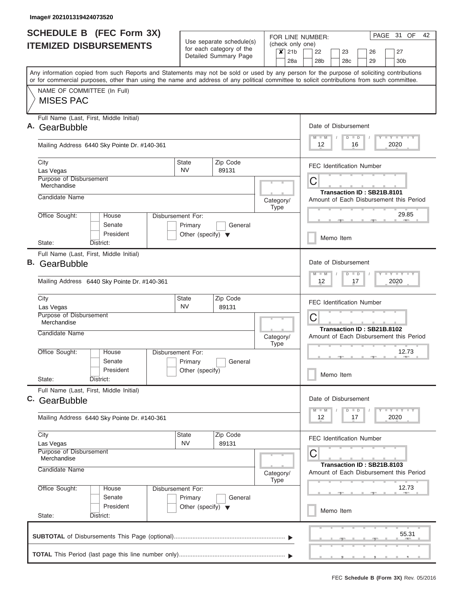|    | <b>SCHEDULE B</b> (FEC Form 3X)                                                                                                            |                                                 | Use separate schedule(s) |           |             |         |                  | FOR LINE NUMBER:     |                 |               |                                  |               | PAGE 31 OF                                                                                     |       | 42 |
|----|--------------------------------------------------------------------------------------------------------------------------------------------|-------------------------------------------------|--------------------------|-----------|-------------|---------|------------------|----------------------|-----------------|---------------|----------------------------------|---------------|------------------------------------------------------------------------------------------------|-------|----|
|    | <b>ITEMIZED DISBURSEMENTS</b>                                                                                                              |                                                 | for each category of the |           |             | $x$ 21b | (check only one) | 22                   | 23              |               |                                  | 26            | 27                                                                                             |       |    |
|    |                                                                                                                                            |                                                 | Detailed Summary Page    |           |             | 28a     |                  | 28 <sub>b</sub>      | 28 <sub>c</sub> |               |                                  | 29            | 30 <sub>b</sub>                                                                                |       |    |
|    | Any information copied from such Reports and Statements may not be sold or used by any person for the purpose of soliciting contributions  |                                                 |                          |           |             |         |                  |                      |                 |               |                                  |               |                                                                                                |       |    |
|    | or for commercial purposes, other than using the name and address of any political committee to solicit contributions from such committee. |                                                 |                          |           |             |         |                  |                      |                 |               |                                  |               |                                                                                                |       |    |
|    | NAME OF COMMITTEE (In Full)<br><b>MISES PAC</b>                                                                                            |                                                 |                          |           |             |         |                  |                      |                 |               |                                  |               |                                                                                                |       |    |
|    |                                                                                                                                            |                                                 |                          |           |             |         |                  |                      |                 |               |                                  |               |                                                                                                |       |    |
|    | Full Name (Last, First, Middle Initial)                                                                                                    |                                                 |                          |           |             |         |                  |                      |                 |               |                                  |               |                                                                                                |       |    |
| Α. | GearBubble                                                                                                                                 |                                                 |                          |           |             |         |                  | Date of Disbursement |                 |               |                                  |               |                                                                                                |       |    |
|    | Mailing Address 6440 Sky Pointe Dr. #140-361                                                                                               |                                                 |                          |           |             |         |                  | $M$ $M$<br>12        |                 | $D$ $D$<br>16 |                                  |               | Y I Y I Y I Y<br>2020                                                                          |       |    |
|    | City                                                                                                                                       | <b>State</b>                                    | Zip Code                 |           |             |         |                  |                      |                 |               | <b>FEC Identification Number</b> |               |                                                                                                |       |    |
|    | Las Vegas<br>Purpose of Disbursement                                                                                                       | <b>NV</b>                                       | 89131                    |           |             |         |                  |                      |                 |               |                                  |               |                                                                                                |       |    |
|    | Merchandise                                                                                                                                |                                                 |                          |           |             |         |                  | С                    |                 |               |                                  |               |                                                                                                |       |    |
|    | Candidate Name                                                                                                                             |                                                 |                          | Category/ |             |         |                  |                      |                 |               | Transaction ID: SB21B.8101       |               | Amount of Each Disbursement this Period                                                        |       |    |
|    |                                                                                                                                            |                                                 |                          |           | Type        |         |                  |                      |                 |               |                                  |               |                                                                                                |       |    |
|    | Office Sought:<br>House<br>Disbursement For:<br>Senate                                                                                     |                                                 |                          |           |             |         |                  |                      |                 |               |                                  |               | 29.85                                                                                          |       |    |
|    | President                                                                                                                                  | Primary<br>Other (specify) $\blacktriangledown$ | General                  |           |             |         |                  |                      |                 |               |                                  |               |                                                                                                |       |    |
|    | District:<br>State:                                                                                                                        |                                                 |                          |           |             |         |                  |                      | Memo Item       |               |                                  |               |                                                                                                |       |    |
|    | Full Name (Last, First, Middle Initial)                                                                                                    |                                                 |                          |           |             |         |                  |                      |                 |               |                                  |               |                                                                                                |       |    |
| В. | GearBubble                                                                                                                                 |                                                 |                          |           |             |         |                  | Date of Disbursement |                 |               |                                  |               |                                                                                                |       |    |
|    | Mailing Address 6440 Sky Pointe Dr. #140-361                                                                                               |                                                 |                          |           |             |         |                  | $M - M$<br>12        |                 | $D$ $D$<br>17 |                                  |               | $T$ $Y$ $T$ $Y$ $T$<br>2020                                                                    |       |    |
|    |                                                                                                                                            |                                                 |                          |           |             |         |                  |                      |                 |               |                                  |               |                                                                                                |       |    |
|    | City                                                                                                                                       | <b>State</b><br><b>NV</b>                       | Zip Code                 |           |             |         |                  |                      |                 |               | <b>FEC Identification Number</b> |               |                                                                                                |       |    |
|    | Las Vegas<br>Purpose of Disbursement                                                                                                       |                                                 | 89131                    |           |             |         |                  | С                    |                 |               |                                  |               |                                                                                                |       |    |
|    | Merchandise                                                                                                                                |                                                 |                          |           |             |         |                  |                      |                 |               | Transaction ID: SB21B.8102       |               |                                                                                                |       |    |
|    | Candidate Name                                                                                                                             |                                                 |                          | Category/ |             |         |                  |                      |                 |               |                                  |               | Amount of Each Disbursement this Period                                                        |       |    |
|    | Office Sought:<br>House<br><b>Disbursement For:</b>                                                                                        |                                                 |                          |           | <b>Type</b> |         |                  |                      |                 |               |                                  |               | 12.73                                                                                          |       |    |
|    | Senate                                                                                                                                     | Primary                                         | General                  |           |             |         |                  |                      |                 |               |                                  | $\rightarrow$ | $\frac{1}{2} \left( \frac{1}{2} \right) \left( \frac{1}{2} \right) \left( \frac{1}{2} \right)$ |       |    |
|    | President                                                                                                                                  | Other (specify)                                 |                          |           |             |         |                  |                      | Memo Item       |               |                                  |               |                                                                                                |       |    |
|    | State:<br>District:                                                                                                                        |                                                 |                          |           |             |         |                  |                      |                 |               |                                  |               |                                                                                                |       |    |
|    | Full Name (Last, First, Middle Initial)                                                                                                    |                                                 |                          |           |             |         |                  | Date of Disbursement |                 |               |                                  |               |                                                                                                |       |    |
|    | C. GearBubble                                                                                                                              |                                                 |                          |           |             |         |                  | $M - M$              |                 | $D$ $D$       |                                  |               | $T - Y$ $T - Y$ $T - Y$                                                                        |       |    |
|    | Mailing Address 6440 Sky Pointe Dr. #140-361                                                                                               |                                                 |                          |           |             |         |                  | 12                   |                 | 17            |                                  |               | 2020                                                                                           |       |    |
|    | City                                                                                                                                       | <b>State</b>                                    | Zip Code                 |           |             |         |                  |                      |                 |               | FEC Identification Number        |               |                                                                                                |       |    |
|    | Las Vegas<br>Purpose of Disbursement                                                                                                       | <b>NV</b>                                       | 89131                    |           |             |         |                  |                      |                 |               |                                  |               |                                                                                                |       |    |
|    | Merchandise                                                                                                                                |                                                 |                          |           |             |         |                  | С                    |                 |               |                                  |               |                                                                                                |       |    |
|    | Candidate Name                                                                                                                             |                                                 |                          | Category/ | Type        |         |                  |                      |                 |               | Transaction ID: SB21B.8103       |               | Amount of Each Disbursement this Period                                                        |       |    |
|    | Office Sought:<br>House<br>Disbursement For:                                                                                               |                                                 |                          |           |             |         |                  |                      |                 |               |                                  |               | 12.73                                                                                          |       |    |
|    | Senate<br>President                                                                                                                        | Primary                                         | General                  |           |             |         |                  |                      |                 |               |                                  |               |                                                                                                |       |    |
|    | State:<br>District:                                                                                                                        | Other (specify) $\blacktriangledown$            |                          |           |             |         |                  |                      | Memo Item       |               |                                  |               |                                                                                                |       |    |
|    |                                                                                                                                            |                                                 |                          |           |             |         |                  |                      |                 |               |                                  |               |                                                                                                |       |    |
|    |                                                                                                                                            |                                                 |                          |           |             |         |                  |                      |                 |               |                                  |               |                                                                                                | 55.31 |    |
|    |                                                                                                                                            |                                                 |                          |           |             |         |                  |                      |                 |               | ___                              |               |                                                                                                |       |    |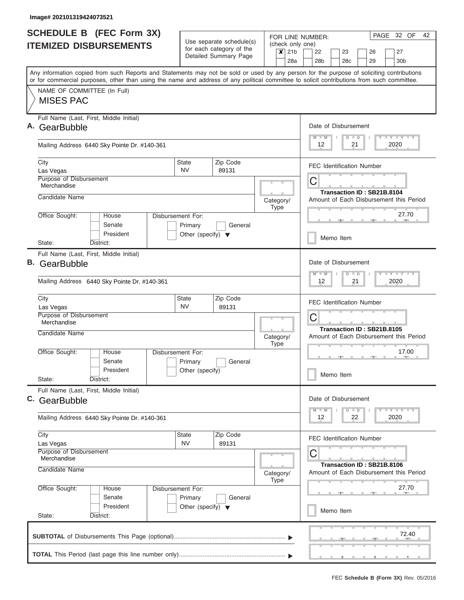|    | <b>SCHEDULE B (FEC Form 3X)</b><br><b>ITEMIZED DISBURSEMENTS</b>                                                                                                                                                                                                                        |                                                 | Use separate schedule(s)                          | (check only one)                                  | FOR LINE NUMBER:                             |           |    |                            | PAGE 32 OF            | 42 |
|----|-----------------------------------------------------------------------------------------------------------------------------------------------------------------------------------------------------------------------------------------------------------------------------------------|-------------------------------------------------|---------------------------------------------------|---------------------------------------------------|----------------------------------------------|-----------|----|----------------------------|-----------------------|----|
|    |                                                                                                                                                                                                                                                                                         |                                                 | for each category of the<br>Detailed Summary Page | $\overline{\mathbf{x}}$<br>21 <sub>b</sub><br>28a | 22<br>28 <sub>b</sub>                        | 23<br>28c |    | 26<br>29                   | 27<br>30 <sub>b</sub> |    |
|    | Any information copied from such Reports and Statements may not be sold or used by any person for the purpose of soliciting contributions<br>or for commercial purposes, other than using the name and address of any political committee to solicit contributions from such committee. |                                                 |                                                   |                                                   |                                              |           |    |                            |                       |    |
|    | NAME OF COMMITTEE (In Full)<br><b>MISES PAC</b>                                                                                                                                                                                                                                         |                                                 |                                                   |                                                   |                                              |           |    |                            |                       |    |
|    | Full Name (Last, First, Middle Initial)<br>GearBubble                                                                                                                                                                                                                                   |                                                 |                                                   |                                                   | Date of Disbursement<br>$M - M$              | $D$ $D$   |    |                            | Y I Y I Y I Y         |    |
|    | Mailing Address 6440 Sky Pointe Dr. #140-361                                                                                                                                                                                                                                            |                                                 |                                                   |                                                   | 12                                           |           | 21 |                            | 2020                  |    |
|    | City<br>Las Vegas                                                                                                                                                                                                                                                                       | <b>State</b><br><b>NV</b>                       | Zip Code<br>89131                                 |                                                   | <b>FEC Identification Number</b>             |           |    |                            |                       |    |
|    | Purpose of Disbursement<br>Merchandise<br>Candidate Name                                                                                                                                                                                                                                |                                                 |                                                   |                                                   | C                                            |           |    | Transaction ID: SB21B.8104 |                       |    |
|    | Office Sought:<br>House                                                                                                                                                                                                                                                                 | Disbursement For:                               |                                                   | Category/<br><b>Type</b>                          | Amount of Each Disbursement this Period      |           |    |                            | 27.70                 |    |
|    | Senate<br>President                                                                                                                                                                                                                                                                     | Primary<br>Other (specify) $\blacktriangledown$ | General                                           |                                                   |                                              | Memo Item |    |                            |                       |    |
| В. | State:<br>District:<br>Full Name (Last, First, Middle Initial)<br>GearBubble                                                                                                                                                                                                            |                                                 |                                                   |                                                   | Date of Disbursement                         |           |    |                            |                       |    |
|    | Mailing Address 6440 Sky Pointe Dr. #140-361                                                                                                                                                                                                                                            |                                                 |                                                   |                                                   | $M - M$<br>12                                | $D$ $D$   | 21 |                            | Y FY FY FY<br>2020    |    |
|    | City<br>Las Vegas                                                                                                                                                                                                                                                                       | State<br><b>NV</b>                              | Zip Code<br>89131                                 |                                                   | <b>FEC Identification Number</b>             |           |    |                            |                       |    |
|    | Purpose of Disbursement<br>Merchandise<br>Candidate Name                                                                                                                                                                                                                                |                                                 |                                                   |                                                   | C                                            |           |    | Transaction ID: SB21B.8105 |                       |    |
|    | Office Sought:<br>House                                                                                                                                                                                                                                                                 | Disbursement For:                               |                                                   | Category/<br><b>Type</b>                          | Amount of Each Disbursement this Period      |           |    |                            | 17.00                 |    |
|    | Senate<br>President<br>State:<br>District:                                                                                                                                                                                                                                              | Primary<br>Other (specify)                      | General                                           |                                                   |                                              | Memo Item |    |                            |                       |    |
|    | Full Name (Last, First, Middle Initial)<br>C. GearBubble                                                                                                                                                                                                                                |                                                 |                                                   |                                                   | Date of Disbursement                         |           |    |                            |                       |    |
|    | Mailing Address 6440 Sky Pointe Dr. #140-361                                                                                                                                                                                                                                            |                                                 |                                                   |                                                   | $M - M$<br>12                                | $D$ $D$   | 22 |                            | <b>LYLYLY</b><br>2020 |    |
|    | City<br>Las Vegas                                                                                                                                                                                                                                                                       | State<br><b>NV</b>                              | Zip Code<br>89131                                 |                                                   | <b>FEC Identification Number</b>             |           |    |                            |                       |    |
|    | Purpose of Disbursement<br>Merchandise<br>Candidate Name                                                                                                                                                                                                                                |                                                 |                                                   | Category/<br><b>Type</b>                          | C<br>Amount of Each Disbursement this Period |           |    | Transaction ID: SB21B.8106 |                       |    |
|    | Office Sought:<br>House<br>Senate                                                                                                                                                                                                                                                       | Disbursement For:<br>Primary                    | General                                           |                                                   |                                              |           |    |                            | 27.70                 |    |
|    | President<br>State:<br>District:                                                                                                                                                                                                                                                        | Other (specify) $\blacktriangledown$            |                                                   |                                                   |                                              | Memo Item |    |                            |                       |    |
|    |                                                                                                                                                                                                                                                                                         |                                                 |                                                   |                                                   |                                              |           |    |                            | 72.40                 |    |
|    |                                                                                                                                                                                                                                                                                         |                                                 |                                                   |                                                   |                                              |           |    |                            |                       |    |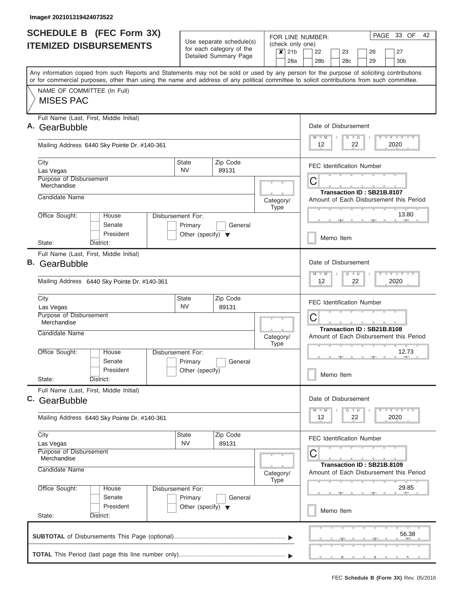| <b>SCHEDULE B</b> (FEC Form 3X)                                                                                                            |                                                 |                                                      |                          |                                     | PAGE 33 OF<br>42<br>FOR LINE NUMBER:                                           |  |  |  |  |  |  |  |  |  |  |
|--------------------------------------------------------------------------------------------------------------------------------------------|-------------------------------------------------|------------------------------------------------------|--------------------------|-------------------------------------|--------------------------------------------------------------------------------|--|--|--|--|--|--|--|--|--|--|
| <b>ITEMIZED DISBURSEMENTS</b>                                                                                                              |                                                 | Use separate schedule(s)<br>for each category of the |                          |                                     | (check only one)                                                               |  |  |  |  |  |  |  |  |  |  |
|                                                                                                                                            |                                                 | Detailed Summary Page                                |                          | $\boldsymbol{x}$<br>21 <sub>b</sub> | 22<br>23<br>27<br>26<br>28a<br>28 <sub>b</sub><br>28c<br>29<br>30 <sub>b</sub> |  |  |  |  |  |  |  |  |  |  |
| Any information copied from such Reports and Statements may not be sold or used by any person for the purpose of soliciting contributions  |                                                 |                                                      |                          |                                     |                                                                                |  |  |  |  |  |  |  |  |  |  |
| or for commercial purposes, other than using the name and address of any political committee to solicit contributions from such committee. |                                                 |                                                      |                          |                                     |                                                                                |  |  |  |  |  |  |  |  |  |  |
| NAME OF COMMITTEE (In Full)<br><b>MISES PAC</b>                                                                                            |                                                 |                                                      |                          |                                     |                                                                                |  |  |  |  |  |  |  |  |  |  |
|                                                                                                                                            |                                                 |                                                      |                          |                                     |                                                                                |  |  |  |  |  |  |  |  |  |  |
| Full Name (Last, First, Middle Initial)<br>A. GearBubble                                                                                   |                                                 |                                                      |                          |                                     | Date of Disbursement                                                           |  |  |  |  |  |  |  |  |  |  |
|                                                                                                                                            |                                                 |                                                      |                          |                                     | Y FY FY FY<br>$M$ $M$<br>$D$ $D$                                               |  |  |  |  |  |  |  |  |  |  |
| Mailing Address 6440 Sky Pointe Dr. #140-361                                                                                               |                                                 |                                                      |                          |                                     | 2020<br>12<br>22                                                               |  |  |  |  |  |  |  |  |  |  |
| City<br>Las Vegas                                                                                                                          | <b>State</b><br><b>NV</b>                       | Zip Code<br>89131                                    |                          |                                     | <b>FEC Identification Number</b>                                               |  |  |  |  |  |  |  |  |  |  |
| Purpose of Disbursement                                                                                                                    |                                                 |                                                      |                          |                                     | C                                                                              |  |  |  |  |  |  |  |  |  |  |
| Merchandise<br>Candidate Name                                                                                                              |                                                 |                                                      |                          |                                     | Transaction ID: SB21B.8107                                                     |  |  |  |  |  |  |  |  |  |  |
|                                                                                                                                            |                                                 |                                                      |                          | Category/<br><b>Type</b>            | Amount of Each Disbursement this Period                                        |  |  |  |  |  |  |  |  |  |  |
| Office Sought:<br>House                                                                                                                    | Disbursement For:                               |                                                      |                          |                                     | 13.80<br><b>COLLECTION</b>                                                     |  |  |  |  |  |  |  |  |  |  |
| Senate<br>President                                                                                                                        | Primary<br>Other (specify) $\blacktriangledown$ | General                                              |                          |                                     |                                                                                |  |  |  |  |  |  |  |  |  |  |
| State:<br>District:                                                                                                                        |                                                 |                                                      |                          |                                     | Memo Item                                                                      |  |  |  |  |  |  |  |  |  |  |
| Full Name (Last, First, Middle Initial)<br><b>B.</b> GearBubble                                                                            |                                                 |                                                      |                          |                                     | Date of Disbursement                                                           |  |  |  |  |  |  |  |  |  |  |
|                                                                                                                                            |                                                 |                                                      |                          |                                     | Y FY FY FY<br>$D$ $D$<br>$M - M$                                               |  |  |  |  |  |  |  |  |  |  |
| Mailing Address 6440 Sky Pointe Dr. #140-361                                                                                               |                                                 |                                                      |                          |                                     | 22<br>2020<br>12                                                               |  |  |  |  |  |  |  |  |  |  |
| City<br>Las Vegas                                                                                                                          | State<br><b>NV</b>                              | Zip Code<br>89131                                    |                          |                                     | <b>FEC Identification Number</b>                                               |  |  |  |  |  |  |  |  |  |  |
| Purpose of Disbursement                                                                                                                    |                                                 |                                                      |                          |                                     | C                                                                              |  |  |  |  |  |  |  |  |  |  |
| Merchandise<br>Candidate Name                                                                                                              |                                                 |                                                      |                          |                                     | Transaction ID: SB21B.8108                                                     |  |  |  |  |  |  |  |  |  |  |
|                                                                                                                                            |                                                 |                                                      | Category/<br><b>Type</b> |                                     | Amount of Each Disbursement this Period                                        |  |  |  |  |  |  |  |  |  |  |
| Office Sought:<br>House<br>Senate                                                                                                          | Disbursement For:                               |                                                      |                          |                                     | 12.73<br><b>COLLECTION</b>                                                     |  |  |  |  |  |  |  |  |  |  |
| President                                                                                                                                  | Primary<br>Other (specify)                      | General                                              |                          |                                     | Memo Item                                                                      |  |  |  |  |  |  |  |  |  |  |
| State:<br>District:                                                                                                                        |                                                 |                                                      |                          |                                     |                                                                                |  |  |  |  |  |  |  |  |  |  |
| Full Name (Last, First, Middle Initial)<br>C. GearBubble                                                                                   |                                                 |                                                      |                          |                                     | Date of Disbursement                                                           |  |  |  |  |  |  |  |  |  |  |
|                                                                                                                                            |                                                 |                                                      |                          |                                     | $Y$ $Y$ $Y$ $Y$ $Y$<br>$D$ $D$<br>$M$ $M$                                      |  |  |  |  |  |  |  |  |  |  |
| Mailing Address 6440 Sky Pointe Dr. #140-361                                                                                               |                                                 |                                                      |                          |                                     | 2020<br>12<br>22                                                               |  |  |  |  |  |  |  |  |  |  |
| City<br>Las Vegas                                                                                                                          | State<br><b>NV</b>                              | Zip Code<br>89131                                    |                          |                                     | <b>FEC Identification Number</b>                                               |  |  |  |  |  |  |  |  |  |  |
| Purpose of Disbursement<br>Merchandise                                                                                                     |                                                 |                                                      |                          |                                     | C                                                                              |  |  |  |  |  |  |  |  |  |  |
| Candidate Name                                                                                                                             |                                                 |                                                      |                          | Category/                           | Transaction ID: SB21B.8109<br>Amount of Each Disbursement this Period          |  |  |  |  |  |  |  |  |  |  |
| Office Sought:<br>House                                                                                                                    | Disbursement For:                               |                                                      |                          | <b>Type</b>                         | 29.85                                                                          |  |  |  |  |  |  |  |  |  |  |
| Senate<br>President                                                                                                                        | Primary                                         | General                                              |                          |                                     |                                                                                |  |  |  |  |  |  |  |  |  |  |
| State:<br>District:                                                                                                                        | Other (specify) $\blacktriangledown$            |                                                      |                          |                                     | Memo Item                                                                      |  |  |  |  |  |  |  |  |  |  |
|                                                                                                                                            |                                                 |                                                      |                          |                                     |                                                                                |  |  |  |  |  |  |  |  |  |  |
|                                                                                                                                            |                                                 |                                                      |                          |                                     | 56.38                                                                          |  |  |  |  |  |  |  |  |  |  |
|                                                                                                                                            |                                                 |                                                      |                          |                                     |                                                                                |  |  |  |  |  |  |  |  |  |  |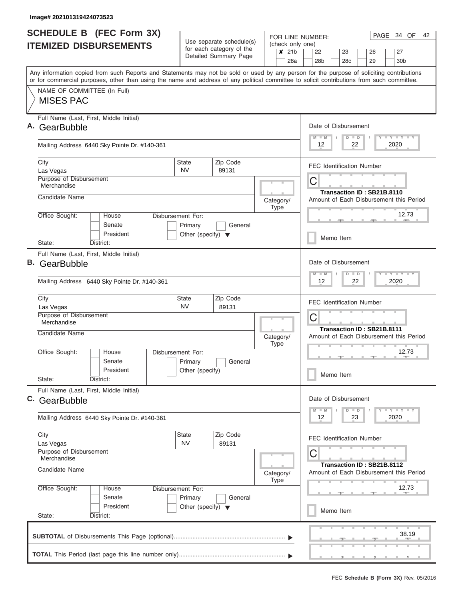| <b>SCHEDULE B (FEC Form 3X)</b><br><b>ITEMIZED DISBURSEMENTS</b> |                                                                                                                                                                                                                                                                                         |                                                 | Use separate schedule(s)                          |  | (check only one)         | PAGE<br>34 OF<br>42<br>FOR LINE NUMBER:                                                           |  |  |  |  |  |  |  |  |  |
|------------------------------------------------------------------|-----------------------------------------------------------------------------------------------------------------------------------------------------------------------------------------------------------------------------------------------------------------------------------------|-------------------------------------------------|---------------------------------------------------|--|--------------------------|---------------------------------------------------------------------------------------------------|--|--|--|--|--|--|--|--|--|
|                                                                  |                                                                                                                                                                                                                                                                                         |                                                 | for each category of the<br>Detailed Summary Page |  |                          | 21 <sub>b</sub><br>22<br>23<br>26<br>27<br>28a<br>28 <sub>b</sub><br>29<br>30 <sub>b</sub><br>28c |  |  |  |  |  |  |  |  |  |
|                                                                  | Any information copied from such Reports and Statements may not be sold or used by any person for the purpose of soliciting contributions<br>or for commercial purposes, other than using the name and address of any political committee to solicit contributions from such committee. |                                                 |                                                   |  |                          |                                                                                                   |  |  |  |  |  |  |  |  |  |
|                                                                  | NAME OF COMMITTEE (In Full)<br><b>MISES PAC</b>                                                                                                                                                                                                                                         |                                                 |                                                   |  |                          |                                                                                                   |  |  |  |  |  |  |  |  |  |
|                                                                  | Full Name (Last, First, Middle Initial)<br>GearBubble                                                                                                                                                                                                                                   |                                                 |                                                   |  |                          | Date of Disbursement<br>Y I Y I Y I Y<br>$M - M$<br>$D$ $D$                                       |  |  |  |  |  |  |  |  |  |
|                                                                  | Mailing Address 6440 Sky Pointe Dr. #140-361                                                                                                                                                                                                                                            |                                                 |                                                   |  |                          | 12<br>2020<br>22                                                                                  |  |  |  |  |  |  |  |  |  |
|                                                                  | City<br>Las Vegas                                                                                                                                                                                                                                                                       | <b>State</b><br><b>NV</b>                       | Zip Code<br>89131                                 |  |                          | <b>FEC Identification Number</b>                                                                  |  |  |  |  |  |  |  |  |  |
|                                                                  | Purpose of Disbursement<br>Merchandise<br>Candidate Name                                                                                                                                                                                                                                |                                                 |                                                   |  |                          | C<br>Transaction ID: SB21B.8110                                                                   |  |  |  |  |  |  |  |  |  |
|                                                                  | Office Sought:<br>House                                                                                                                                                                                                                                                                 | Disbursement For:                               |                                                   |  | Category/<br><b>Type</b> | Amount of Each Disbursement this Period<br>12.73                                                  |  |  |  |  |  |  |  |  |  |
|                                                                  | Senate<br>President                                                                                                                                                                                                                                                                     | Primary<br>Other (specify) $\blacktriangledown$ | General                                           |  |                          | Memo Item                                                                                         |  |  |  |  |  |  |  |  |  |
|                                                                  | State:<br>District:<br>Full Name (Last, First, Middle Initial)                                                                                                                                                                                                                          |                                                 |                                                   |  |                          |                                                                                                   |  |  |  |  |  |  |  |  |  |
| В.                                                               | GearBubble                                                                                                                                                                                                                                                                              |                                                 |                                                   |  |                          | Date of Disbursement<br><b>TEY TEY TEY</b><br>$M - M$<br>$D$ $D$                                  |  |  |  |  |  |  |  |  |  |
|                                                                  | Mailing Address 6440 Sky Pointe Dr. #140-361                                                                                                                                                                                                                                            |                                                 |                                                   |  |                          | 2020<br>12<br>22                                                                                  |  |  |  |  |  |  |  |  |  |
|                                                                  | City<br>Las Vegas                                                                                                                                                                                                                                                                       | State<br><b>NV</b>                              | Zip Code<br>89131                                 |  |                          | <b>FEC Identification Number</b>                                                                  |  |  |  |  |  |  |  |  |  |
|                                                                  | Purpose of Disbursement<br>Merchandise                                                                                                                                                                                                                                                  |                                                 |                                                   |  |                          | C<br>Transaction ID: SB21B.8111                                                                   |  |  |  |  |  |  |  |  |  |
|                                                                  | Candidate Name                                                                                                                                                                                                                                                                          |                                                 |                                                   |  | Category/<br><b>Type</b> | Amount of Each Disbursement this Period                                                           |  |  |  |  |  |  |  |  |  |
|                                                                  | Office Sought:<br>House<br>Senate<br>President                                                                                                                                                                                                                                          | Disbursement For:<br>Primary<br>Other (specify) | General                                           |  |                          | 12.73                                                                                             |  |  |  |  |  |  |  |  |  |
|                                                                  | State:<br>District:                                                                                                                                                                                                                                                                     |                                                 |                                                   |  |                          | Memo Item                                                                                         |  |  |  |  |  |  |  |  |  |
|                                                                  | Full Name (Last, First, Middle Initial)<br>C. GearBubble                                                                                                                                                                                                                                |                                                 |                                                   |  |                          | Date of Disbursement<br><b>LYLYLY</b>                                                             |  |  |  |  |  |  |  |  |  |
|                                                                  | Mailing Address 6440 Sky Pointe Dr. #140-361                                                                                                                                                                                                                                            |                                                 |                                                   |  |                          | $M - M$<br>$D$ $D$<br>2020<br>12<br>23                                                            |  |  |  |  |  |  |  |  |  |
|                                                                  | City<br>Las Vegas                                                                                                                                                                                                                                                                       | State<br><b>NV</b>                              | Zip Code<br>89131                                 |  |                          | <b>FEC Identification Number</b>                                                                  |  |  |  |  |  |  |  |  |  |
|                                                                  | Purpose of Disbursement<br>Merchandise<br>Candidate Name                                                                                                                                                                                                                                |                                                 |                                                   |  | Category/                | C<br>Transaction ID: SB21B.8112<br>Amount of Each Disbursement this Period                        |  |  |  |  |  |  |  |  |  |
|                                                                  | Office Sought:<br>House<br>Senate                                                                                                                                                                                                                                                       | Disbursement For:<br>Primary                    | General                                           |  | <b>Type</b>              | 12.73                                                                                             |  |  |  |  |  |  |  |  |  |
|                                                                  | President<br>State:<br>District:                                                                                                                                                                                                                                                        | Other (specify) $\blacktriangledown$            |                                                   |  |                          | Memo Item                                                                                         |  |  |  |  |  |  |  |  |  |
|                                                                  |                                                                                                                                                                                                                                                                                         |                                                 |                                                   |  |                          | 38.19                                                                                             |  |  |  |  |  |  |  |  |  |
|                                                                  |                                                                                                                                                                                                                                                                                         |                                                 |                                                   |  |                          |                                                                                                   |  |  |  |  |  |  |  |  |  |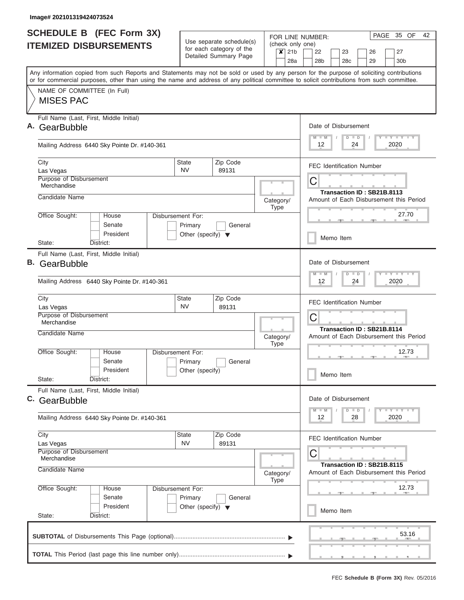| <b>SCHEDULE B (FEC Form 3X)</b><br><b>ITEMIZED DISBURSEMENTS</b> |                                                                                                                                                                                                                                                                                         |                                                                      | Use separate schedule(s)                          | (check only one)                    | PAGE 35 OF<br>42<br>FOR LINE NUMBER:                                           |  |  |  |  |  |  |  |  |  |  |
|------------------------------------------------------------------|-----------------------------------------------------------------------------------------------------------------------------------------------------------------------------------------------------------------------------------------------------------------------------------------|----------------------------------------------------------------------|---------------------------------------------------|-------------------------------------|--------------------------------------------------------------------------------|--|--|--|--|--|--|--|--|--|--|
|                                                                  |                                                                                                                                                                                                                                                                                         |                                                                      | for each category of the<br>Detailed Summary Page | 21 <sub>b</sub><br>$\boldsymbol{x}$ | 27<br>22<br>23<br>26<br>28a<br>28 <sub>b</sub><br>28c<br>29<br>30 <sub>b</sub> |  |  |  |  |  |  |  |  |  |  |
|                                                                  | Any information copied from such Reports and Statements may not be sold or used by any person for the purpose of soliciting contributions<br>or for commercial purposes, other than using the name and address of any political committee to solicit contributions from such committee. |                                                                      |                                                   |                                     |                                                                                |  |  |  |  |  |  |  |  |  |  |
|                                                                  | NAME OF COMMITTEE (In Full)<br><b>MISES PAC</b>                                                                                                                                                                                                                                         |                                                                      |                                                   |                                     |                                                                                |  |  |  |  |  |  |  |  |  |  |
| Α.                                                               | Full Name (Last, First, Middle Initial)<br>GearBubble                                                                                                                                                                                                                                   |                                                                      |                                                   |                                     | Date of Disbursement<br><b>TY TY TY</b><br>$M$ $M$<br>$D$ $D$                  |  |  |  |  |  |  |  |  |  |  |
|                                                                  | Mailing Address 6440 Sky Pointe Dr. #140-361                                                                                                                                                                                                                                            |                                                                      |                                                   |                                     | 2020<br>12<br>24                                                               |  |  |  |  |  |  |  |  |  |  |
|                                                                  | City<br>Las Vegas                                                                                                                                                                                                                                                                       | State<br><b>NV</b>                                                   | Zip Code<br>89131                                 |                                     | <b>FEC Identification Number</b>                                               |  |  |  |  |  |  |  |  |  |  |
|                                                                  | Purpose of Disbursement<br>Merchandise                                                                                                                                                                                                                                                  |                                                                      |                                                   |                                     | С<br>Transaction ID: SB21B.8113                                                |  |  |  |  |  |  |  |  |  |  |
|                                                                  | Candidate Name                                                                                                                                                                                                                                                                          |                                                                      |                                                   | Category/<br><b>Type</b>            | Amount of Each Disbursement this Period                                        |  |  |  |  |  |  |  |  |  |  |
|                                                                  | Office Sought:<br>House<br>Senate<br>President                                                                                                                                                                                                                                          | Disbursement For:<br>Primary<br>Other (specify) $\blacktriangledown$ | General                                           |                                     | 27.70<br>Memo Item                                                             |  |  |  |  |  |  |  |  |  |  |
|                                                                  | District:<br>State:                                                                                                                                                                                                                                                                     |                                                                      |                                                   |                                     |                                                                                |  |  |  |  |  |  |  |  |  |  |
| В.                                                               | Full Name (Last, First, Middle Initial)<br>GearBubble                                                                                                                                                                                                                                   |                                                                      |                                                   |                                     | Date of Disbursement<br>$T = Y - T - Y - T - Y$<br>$M - M$<br>$D$ $D$          |  |  |  |  |  |  |  |  |  |  |
|                                                                  | Mailing Address 6440 Sky Pointe Dr. #140-361                                                                                                                                                                                                                                            |                                                                      | 12 <sup>2</sup><br>2020<br>24                     |                                     |                                                                                |  |  |  |  |  |  |  |  |  |  |
|                                                                  | City<br>Las Vegas                                                                                                                                                                                                                                                                       | State<br><b>NV</b>                                                   | Zip Code<br>89131                                 |                                     | <b>FEC Identification Number</b>                                               |  |  |  |  |  |  |  |  |  |  |
|                                                                  | Purpose of Disbursement<br>Merchandise                                                                                                                                                                                                                                                  |                                                                      |                                                   |                                     | C<br>Transaction ID: SB21B.8114                                                |  |  |  |  |  |  |  |  |  |  |
|                                                                  | Candidate Name                                                                                                                                                                                                                                                                          |                                                                      |                                                   | Category/<br><b>Type</b>            | Amount of Each Disbursement this Period                                        |  |  |  |  |  |  |  |  |  |  |
|                                                                  | Office Sought:<br>House<br>Senate                                                                                                                                                                                                                                                       | Disbursement For:<br>Primary                                         | General                                           |                                     | 12.73                                                                          |  |  |  |  |  |  |  |  |  |  |
|                                                                  | President<br>State:<br>District:                                                                                                                                                                                                                                                        | Other (specify)                                                      |                                                   |                                     | Memo Item                                                                      |  |  |  |  |  |  |  |  |  |  |
|                                                                  | Full Name (Last, First, Middle Initial)<br>C. GearBubble                                                                                                                                                                                                                                |                                                                      |                                                   |                                     | Date of Disbursement                                                           |  |  |  |  |  |  |  |  |  |  |
|                                                                  | Mailing Address 6440 Sky Pointe Dr. #140-361                                                                                                                                                                                                                                            |                                                                      |                                                   |                                     | $D$ $D$<br><b>LY LY LY</b><br>$M$ $M$<br>2020<br>12<br>28                      |  |  |  |  |  |  |  |  |  |  |
|                                                                  | City<br>Las Vegas                                                                                                                                                                                                                                                                       | State<br><b>NV</b>                                                   | Zip Code<br>89131                                 |                                     | <b>FEC Identification Number</b>                                               |  |  |  |  |  |  |  |  |  |  |
|                                                                  | Purpose of Disbursement<br>Merchandise<br>Candidate Name                                                                                                                                                                                                                                |                                                                      |                                                   | Category/<br><b>Type</b>            | С<br>Transaction ID: SB21B.8115<br>Amount of Each Disbursement this Period     |  |  |  |  |  |  |  |  |  |  |
|                                                                  | Office Sought:<br>House<br>Senate                                                                                                                                                                                                                                                       | Disbursement For:<br>Primary                                         | General                                           |                                     | 12.73                                                                          |  |  |  |  |  |  |  |  |  |  |
|                                                                  | President                                                                                                                                                                                                                                                                               | Other (specify) $\blacktriangledown$                                 |                                                   |                                     | Memo Item                                                                      |  |  |  |  |  |  |  |  |  |  |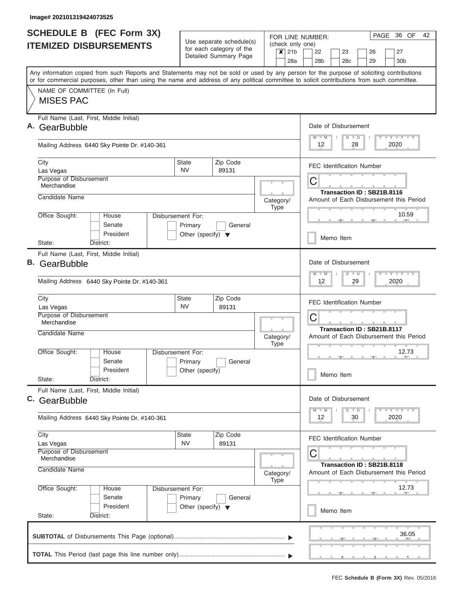|    | <b>SCHEDULE B</b> (FEC Form 3X)                                                                                                                                                                                                                                                         |                                                                      | Use separate schedule(s)                          | FOR LINE NUMBER:                                               | PAGE 36 OF<br>42                                                                                               |  |  |  |  |  |  |  |
|----|-----------------------------------------------------------------------------------------------------------------------------------------------------------------------------------------------------------------------------------------------------------------------------------------|----------------------------------------------------------------------|---------------------------------------------------|----------------------------------------------------------------|----------------------------------------------------------------------------------------------------------------|--|--|--|--|--|--|--|
|    | <b>ITEMIZED DISBURSEMENTS</b>                                                                                                                                                                                                                                                           |                                                                      | for each category of the<br>Detailed Summary Page | (check only one)<br>21 <sub>b</sub><br>$\boldsymbol{x}$<br>28a | 22<br>23<br>27<br>26<br>28 <sub>b</sub><br>28 <sub>c</sub><br>29<br>30 <sub>b</sub>                            |  |  |  |  |  |  |  |
|    | Any information copied from such Reports and Statements may not be sold or used by any person for the purpose of soliciting contributions<br>or for commercial purposes, other than using the name and address of any political committee to solicit contributions from such committee. |                                                                      |                                                   |                                                                |                                                                                                                |  |  |  |  |  |  |  |
|    | NAME OF COMMITTEE (In Full)<br><b>MISES PAC</b>                                                                                                                                                                                                                                         |                                                                      |                                                   |                                                                |                                                                                                                |  |  |  |  |  |  |  |
|    | Full Name (Last, First, Middle Initial)<br>GearBubble                                                                                                                                                                                                                                   |                                                                      |                                                   |                                                                | Date of Disbursement<br>Y LY LY LY<br>$M - M$<br>$D$ $D$                                                       |  |  |  |  |  |  |  |
|    | Mailing Address 6440 Sky Pointe Dr. #140-361                                                                                                                                                                                                                                            |                                                                      |                                                   |                                                                | 12<br>2020<br>28                                                                                               |  |  |  |  |  |  |  |
|    | City<br>Las Vegas                                                                                                                                                                                                                                                                       | <b>State</b><br><b>NV</b>                                            | Zip Code<br>89131                                 |                                                                | <b>FEC Identification Number</b>                                                                               |  |  |  |  |  |  |  |
|    | Purpose of Disbursement<br>Merchandise                                                                                                                                                                                                                                                  |                                                                      |                                                   |                                                                | C<br>Transaction ID: SB21B.8116                                                                                |  |  |  |  |  |  |  |
|    | Candidate Name                                                                                                                                                                                                                                                                          |                                                                      |                                                   | Category/<br><b>Type</b>                                       | Amount of Each Disbursement this Period                                                                        |  |  |  |  |  |  |  |
|    | Office Sought:<br>House<br>Senate<br>President                                                                                                                                                                                                                                          | Disbursement For:<br>Primary<br>Other (specify) $\blacktriangledown$ | General                                           |                                                                | 10.59                                                                                                          |  |  |  |  |  |  |  |
|    | District:<br>State:                                                                                                                                                                                                                                                                     |                                                                      |                                                   |                                                                | Memo Item                                                                                                      |  |  |  |  |  |  |  |
| В. | Full Name (Last, First, Middle Initial)<br>GearBubble<br>Mailing Address 6440 Sky Pointe Dr. #140-361                                                                                                                                                                                   |                                                                      |                                                   |                                                                | Date of Disbursement<br>$-1 - Y - 1 - Y - 1 - Y$<br>$M - M$<br>$D$ $D$<br>29<br>2020<br>12                     |  |  |  |  |  |  |  |
|    | City<br>Las Vegas                                                                                                                                                                                                                                                                       | State<br><b>NV</b>                                                   | Zip Code<br>89131                                 |                                                                | <b>FEC Identification Number</b><br>C<br>Transaction ID: SB21B.8117<br>Amount of Each Disbursement this Period |  |  |  |  |  |  |  |
|    | Purpose of Disbursement<br>Merchandise<br>Candidate Name                                                                                                                                                                                                                                |                                                                      |                                                   | Category/                                                      |                                                                                                                |  |  |  |  |  |  |  |
|    | Office Sought:<br>House<br>Senate                                                                                                                                                                                                                                                       | Disbursement For:<br>Primary                                         | General                                           | <b>Type</b>                                                    | 12.73                                                                                                          |  |  |  |  |  |  |  |
|    | President<br>State:<br>District:                                                                                                                                                                                                                                                        | Other (specify)                                                      |                                                   |                                                                | Memo Item                                                                                                      |  |  |  |  |  |  |  |
|    | Full Name (Last, First, Middle Initial)<br>C. GearBubble                                                                                                                                                                                                                                |                                                                      |                                                   |                                                                | Date of Disbursement                                                                                           |  |  |  |  |  |  |  |
|    | Mailing Address 6440 Sky Pointe Dr. #140-361                                                                                                                                                                                                                                            |                                                                      |                                                   |                                                                | $Y - Y - Y - Y - I$<br>$M - M$<br>$D$ $D$<br>2020<br>12<br>30                                                  |  |  |  |  |  |  |  |
|    | City<br>Las Vegas                                                                                                                                                                                                                                                                       | State<br><b>NV</b>                                                   | Zip Code<br>89131                                 |                                                                | <b>FEC Identification Number</b>                                                                               |  |  |  |  |  |  |  |
|    | Purpose of Disbursement<br>Merchandise<br>Candidate Name                                                                                                                                                                                                                                |                                                                      |                                                   | Category/<br><b>Type</b>                                       | С<br>Transaction ID: SB21B.8118<br>Amount of Each Disbursement this Period                                     |  |  |  |  |  |  |  |
|    | Office Sought:<br>House<br>Senate                                                                                                                                                                                                                                                       | Disbursement For:<br>Primary                                         | General                                           |                                                                | 12.73                                                                                                          |  |  |  |  |  |  |  |
|    | President<br>State:<br>District:                                                                                                                                                                                                                                                        | Other (specify) $\blacktriangledown$                                 |                                                   |                                                                | Memo Item                                                                                                      |  |  |  |  |  |  |  |
|    |                                                                                                                                                                                                                                                                                         |                                                                      |                                                   |                                                                | 36.05                                                                                                          |  |  |  |  |  |  |  |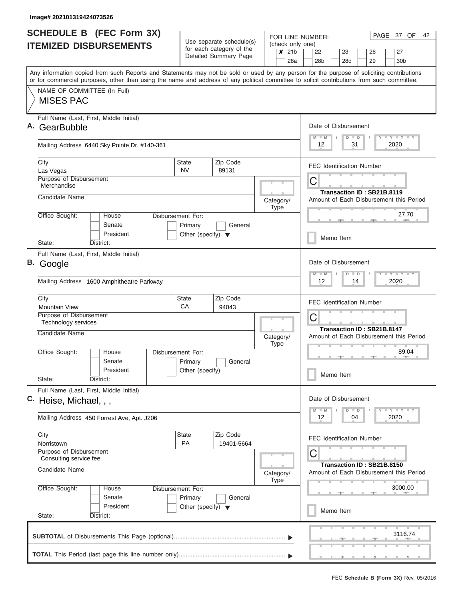| <b>SCHEDULE B</b> (FEC Form 3X)<br><b>ITEMIZED DISBURSEMENTS</b>                                                                                                                                                                                                                        |                                                                      | Use separate schedule(s)                          | FOR LINE NUMBER:<br>(check only one)       | 42<br>PAGE 37 OF                                                                                                            |  |  |  |  |  |  |  |  |  |
|-----------------------------------------------------------------------------------------------------------------------------------------------------------------------------------------------------------------------------------------------------------------------------------------|----------------------------------------------------------------------|---------------------------------------------------|--------------------------------------------|-----------------------------------------------------------------------------------------------------------------------------|--|--|--|--|--|--|--|--|--|
|                                                                                                                                                                                                                                                                                         |                                                                      | for each category of the<br>Detailed Summary Page | $\boldsymbol{x}$<br>21 <sub>b</sub><br>28a | 27<br>22<br>23<br>26<br>28 <sub>b</sub><br>28 <sub>c</sub><br>29<br>30 <sub>b</sub>                                         |  |  |  |  |  |  |  |  |  |
| Any information copied from such Reports and Statements may not be sold or used by any person for the purpose of soliciting contributions<br>or for commercial purposes, other than using the name and address of any political committee to solicit contributions from such committee. |                                                                      |                                                   |                                            |                                                                                                                             |  |  |  |  |  |  |  |  |  |
| NAME OF COMMITTEE (In Full)<br><b>MISES PAC</b>                                                                                                                                                                                                                                         |                                                                      |                                                   |                                            |                                                                                                                             |  |  |  |  |  |  |  |  |  |
| Full Name (Last, First, Middle Initial)<br>GearBubble                                                                                                                                                                                                                                   |                                                                      |                                                   |                                            | Date of Disbursement<br>Y L Y L Y L Y<br>$M - M$<br>$D$ $D$                                                                 |  |  |  |  |  |  |  |  |  |
| Mailing Address 6440 Sky Pointe Dr. #140-361                                                                                                                                                                                                                                            |                                                                      |                                                   |                                            | $12 \overline{ }$<br>2020<br>31                                                                                             |  |  |  |  |  |  |  |  |  |
| City<br>Las Vegas                                                                                                                                                                                                                                                                       | State<br><b>NV</b>                                                   | Zip Code<br>89131                                 |                                            | <b>FEC Identification Number</b>                                                                                            |  |  |  |  |  |  |  |  |  |
| Purpose of Disbursement<br>Merchandise<br>Candidate Name                                                                                                                                                                                                                                |                                                                      |                                                   |                                            | С<br>Transaction ID: SB21B.8119                                                                                             |  |  |  |  |  |  |  |  |  |
| Office Sought:<br>House                                                                                                                                                                                                                                                                 | Disbursement For:                                                    |                                                   | Category/<br><b>Type</b>                   | Amount of Each Disbursement this Period<br>27.70                                                                            |  |  |  |  |  |  |  |  |  |
| Senate<br>President                                                                                                                                                                                                                                                                     | Primary<br>Other (specify) $\blacktriangledown$                      | General                                           |                                            | Memo Item                                                                                                                   |  |  |  |  |  |  |  |  |  |
| State:<br>District:<br>Full Name (Last, First, Middle Initial)                                                                                                                                                                                                                          |                                                                      |                                                   |                                            |                                                                                                                             |  |  |  |  |  |  |  |  |  |
| В.<br>Google                                                                                                                                                                                                                                                                            |                                                                      |                                                   |                                            | Date of Disbursement<br>$T$ $Y$ $T$ $Y$ $T$<br>$M - M$<br>$D$ $D$                                                           |  |  |  |  |  |  |  |  |  |
| Mailing Address 1600 Amphitheatre Parkway                                                                                                                                                                                                                                               |                                                                      | 12 <sup>°</sup><br>14<br>2020                     |                                            |                                                                                                                             |  |  |  |  |  |  |  |  |  |
| City<br><b>Mountain View</b>                                                                                                                                                                                                                                                            | State<br>CA                                                          | Zip Code<br>94043                                 |                                            | <b>FEC Identification Number</b><br>C<br>Transaction ID: SB21B.8147                                                         |  |  |  |  |  |  |  |  |  |
| Purpose of Disbursement<br>Technology services                                                                                                                                                                                                                                          |                                                                      |                                                   |                                            |                                                                                                                             |  |  |  |  |  |  |  |  |  |
| Candidate Name                                                                                                                                                                                                                                                                          |                                                                      |                                                   | Category/<br><b>Type</b>                   | Amount of Each Disbursement this Period                                                                                     |  |  |  |  |  |  |  |  |  |
| Office Sought:<br>House<br>Senate<br>President                                                                                                                                                                                                                                          | Disbursement For:<br>Primary<br>Other (specify)                      | General                                           |                                            | 89.04<br>Memo Item                                                                                                          |  |  |  |  |  |  |  |  |  |
| State:<br>District:                                                                                                                                                                                                                                                                     |                                                                      |                                                   |                                            |                                                                                                                             |  |  |  |  |  |  |  |  |  |
| Full Name (Last, First, Middle Initial)<br>C. Heise, Michael, , ,                                                                                                                                                                                                                       |                                                                      |                                                   |                                            | Date of Disbursement<br>$\mathbf{I}$ $\mathbf{Y}$ $\mathbf{I}$ $\mathbf{Y}$ $\mathbf{I}$ $\mathbf{Y}$<br>$M$ $M$<br>$D$ $D$ |  |  |  |  |  |  |  |  |  |
| Mailing Address 450 Forrest Ave, Apt. J206                                                                                                                                                                                                                                              |                                                                      |                                                   |                                            | 2020<br>12<br>04                                                                                                            |  |  |  |  |  |  |  |  |  |
| City<br>Norristown                                                                                                                                                                                                                                                                      | State<br><b>PA</b>                                                   | Zip Code<br>19401-5664                            |                                            | <b>FEC Identification Number</b>                                                                                            |  |  |  |  |  |  |  |  |  |
| Purpose of Disbursement<br>Consulting service fee                                                                                                                                                                                                                                       |                                                                      |                                                   |                                            | C<br>Transaction ID: SB21B.8150                                                                                             |  |  |  |  |  |  |  |  |  |
| Candidate Name                                                                                                                                                                                                                                                                          |                                                                      |                                                   | Category/<br><b>Type</b>                   | Amount of Each Disbursement this Period                                                                                     |  |  |  |  |  |  |  |  |  |
| Office Sought:<br>House<br>Senate                                                                                                                                                                                                                                                       | Disbursement For:<br>Primary<br>Other (specify) $\blacktriangledown$ | General                                           |                                            | 3000.00                                                                                                                     |  |  |  |  |  |  |  |  |  |
| President<br>State:<br>District:                                                                                                                                                                                                                                                        |                                                                      | Memo Item                                         |                                            |                                                                                                                             |  |  |  |  |  |  |  |  |  |
|                                                                                                                                                                                                                                                                                         |                                                                      |                                                   |                                            | 3116.74                                                                                                                     |  |  |  |  |  |  |  |  |  |
|                                                                                                                                                                                                                                                                                         |                                                                      |                                                   |                                            | __                                                                                                                          |  |  |  |  |  |  |  |  |  |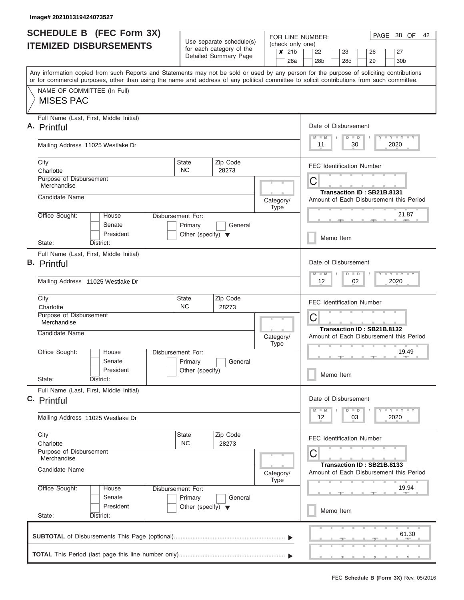| FOR LINE NUMBER:<br>Use separate schedule(s)<br>(check only one)<br><b>ITEMIZED DISBURSEMENTS</b><br>for each category of the<br>21 <sub>b</sub><br>$\boldsymbol{x}$<br>22<br>Detailed Summary Page<br>28a<br>28 <sub>b</sub><br>Any information copied from such Reports and Statements may not be sold or used by any person for the purpose of soliciting contributions<br>or for commercial purposes, other than using the name and address of any political committee to solicit contributions from such committee.<br>NAME OF COMMITTEE (In Full)<br><b>MISES PAC</b><br>Full Name (Last, First, Middle Initial)<br>$M$ $M$<br>11<br>Mailing Address 11025 Westlake Dr<br>Zip Code<br>City<br><b>State</b><br><b>NC</b><br>Charlotte<br>28273<br><b>Purpose of Disbursement</b><br>C<br>Merchandise<br>Candidate Name<br>Category/<br><b>Type</b><br>Office Sought:<br>House<br>Disbursement For:<br>Senate<br>General<br>Primary<br>President<br>Other (specify) $\blacktriangledown$<br>Memo Item<br>State:<br>District:<br>Full Name (Last, First, Middle Initial)<br>$M - M$<br>12<br>Mailing Address 11025 Westlake Dr<br>City<br>State<br>Zip Code<br><b>NC</b><br>Charlotte<br>28273<br>Purpose of Disbursement<br>C<br>Merchandise |                                                                                                                              |  |  |  |  |  |  |  |  |  |  |
|--------------------------------------------------------------------------------------------------------------------------------------------------------------------------------------------------------------------------------------------------------------------------------------------------------------------------------------------------------------------------------------------------------------------------------------------------------------------------------------------------------------------------------------------------------------------------------------------------------------------------------------------------------------------------------------------------------------------------------------------------------------------------------------------------------------------------------------------------------------------------------------------------------------------------------------------------------------------------------------------------------------------------------------------------------------------------------------------------------------------------------------------------------------------------------------------------------------------------------------------------|------------------------------------------------------------------------------------------------------------------------------|--|--|--|--|--|--|--|--|--|--|
|                                                                                                                                                                                                                                                                                                                                                                                                                                                                                                                                                                                                                                                                                                                                                                                                                                                                                                                                                                                                                                                                                                                                                                                                                                                  | 26<br>27                                                                                                                     |  |  |  |  |  |  |  |  |  |  |
| A. Printful                                                                                                                                                                                                                                                                                                                                                                                                                                                                                                                                                                                                                                                                                                                                                                                                                                                                                                                                                                                                                                                                                                                                                                                                                                      | 23<br>28c<br>29<br>30 <sub>b</sub>                                                                                           |  |  |  |  |  |  |  |  |  |  |
|                                                                                                                                                                                                                                                                                                                                                                                                                                                                                                                                                                                                                                                                                                                                                                                                                                                                                                                                                                                                                                                                                                                                                                                                                                                  |                                                                                                                              |  |  |  |  |  |  |  |  |  |  |
|                                                                                                                                                                                                                                                                                                                                                                                                                                                                                                                                                                                                                                                                                                                                                                                                                                                                                                                                                                                                                                                                                                                                                                                                                                                  |                                                                                                                              |  |  |  |  |  |  |  |  |  |  |
|                                                                                                                                                                                                                                                                                                                                                                                                                                                                                                                                                                                                                                                                                                                                                                                                                                                                                                                                                                                                                                                                                                                                                                                                                                                  | Date of Disbursement                                                                                                         |  |  |  |  |  |  |  |  |  |  |
|                                                                                                                                                                                                                                                                                                                                                                                                                                                                                                                                                                                                                                                                                                                                                                                                                                                                                                                                                                                                                                                                                                                                                                                                                                                  | <b>LY LY LY</b><br>$D$ $D$<br>30<br>2020                                                                                     |  |  |  |  |  |  |  |  |  |  |
|                                                                                                                                                                                                                                                                                                                                                                                                                                                                                                                                                                                                                                                                                                                                                                                                                                                                                                                                                                                                                                                                                                                                                                                                                                                  | <b>FEC Identification Number</b>                                                                                             |  |  |  |  |  |  |  |  |  |  |
|                                                                                                                                                                                                                                                                                                                                                                                                                                                                                                                                                                                                                                                                                                                                                                                                                                                                                                                                                                                                                                                                                                                                                                                                                                                  |                                                                                                                              |  |  |  |  |  |  |  |  |  |  |
|                                                                                                                                                                                                                                                                                                                                                                                                                                                                                                                                                                                                                                                                                                                                                                                                                                                                                                                                                                                                                                                                                                                                                                                                                                                  | Transaction ID: SB21B.8131<br>Amount of Each Disbursement this Period                                                        |  |  |  |  |  |  |  |  |  |  |
|                                                                                                                                                                                                                                                                                                                                                                                                                                                                                                                                                                                                                                                                                                                                                                                                                                                                                                                                                                                                                                                                                                                                                                                                                                                  | 21.87                                                                                                                        |  |  |  |  |  |  |  |  |  |  |
| <b>B.</b> Printful                                                                                                                                                                                                                                                                                                                                                                                                                                                                                                                                                                                                                                                                                                                                                                                                                                                                                                                                                                                                                                                                                                                                                                                                                               |                                                                                                                              |  |  |  |  |  |  |  |  |  |  |
|                                                                                                                                                                                                                                                                                                                                                                                                                                                                                                                                                                                                                                                                                                                                                                                                                                                                                                                                                                                                                                                                                                                                                                                                                                                  | Date of Disbursement<br>$\overline{Y}$ $\overline{Y}$ $\overline{Y}$ $\overline{Y}$ $\overline{Y}$ $\overline{Y}$<br>$D$ $D$ |  |  |  |  |  |  |  |  |  |  |
|                                                                                                                                                                                                                                                                                                                                                                                                                                                                                                                                                                                                                                                                                                                                                                                                                                                                                                                                                                                                                                                                                                                                                                                                                                                  | 02<br>2020                                                                                                                   |  |  |  |  |  |  |  |  |  |  |
|                                                                                                                                                                                                                                                                                                                                                                                                                                                                                                                                                                                                                                                                                                                                                                                                                                                                                                                                                                                                                                                                                                                                                                                                                                                  | <b>FEC Identification Number</b><br>Transaction ID: SB21B.8132<br>Amount of Each Disbursement this Period<br>19.49           |  |  |  |  |  |  |  |  |  |  |
| Candidate Name<br>Category/<br><b>Type</b>                                                                                                                                                                                                                                                                                                                                                                                                                                                                                                                                                                                                                                                                                                                                                                                                                                                                                                                                                                                                                                                                                                                                                                                                       |                                                                                                                              |  |  |  |  |  |  |  |  |  |  |
| Office Sought:<br>Disbursement For:<br>House<br>Senate<br>General<br>Primary                                                                                                                                                                                                                                                                                                                                                                                                                                                                                                                                                                                                                                                                                                                                                                                                                                                                                                                                                                                                                                                                                                                                                                     |                                                                                                                              |  |  |  |  |  |  |  |  |  |  |
| President<br>Other (specify)<br>State:<br>District:                                                                                                                                                                                                                                                                                                                                                                                                                                                                                                                                                                                                                                                                                                                                                                                                                                                                                                                                                                                                                                                                                                                                                                                              | Memo Item                                                                                                                    |  |  |  |  |  |  |  |  |  |  |
| Full Name (Last, First, Middle Initial)<br>C. Printful                                                                                                                                                                                                                                                                                                                                                                                                                                                                                                                                                                                                                                                                                                                                                                                                                                                                                                                                                                                                                                                                                                                                                                                           | Date of Disbursement                                                                                                         |  |  |  |  |  |  |  |  |  |  |
| $M$ $M$<br>12<br>Mailing Address 11025 Westlake Dr                                                                                                                                                                                                                                                                                                                                                                                                                                                                                                                                                                                                                                                                                                                                                                                                                                                                                                                                                                                                                                                                                                                                                                                               | <b>TEY TEY TEY</b><br>$D$ $D$<br>2020<br>03                                                                                  |  |  |  |  |  |  |  |  |  |  |
| Zip Code<br>City<br><b>State</b><br><b>NC</b><br>28273<br>Charlotte                                                                                                                                                                                                                                                                                                                                                                                                                                                                                                                                                                                                                                                                                                                                                                                                                                                                                                                                                                                                                                                                                                                                                                              | <b>FEC Identification Number</b>                                                                                             |  |  |  |  |  |  |  |  |  |  |
| <b>Purpose of Disbursement</b><br>С<br>Merchandise                                                                                                                                                                                                                                                                                                                                                                                                                                                                                                                                                                                                                                                                                                                                                                                                                                                                                                                                                                                                                                                                                                                                                                                               | Transaction ID: SB21B.8133                                                                                                   |  |  |  |  |  |  |  |  |  |  |
| Candidate Name<br>Category/<br><b>Type</b>                                                                                                                                                                                                                                                                                                                                                                                                                                                                                                                                                                                                                                                                                                                                                                                                                                                                                                                                                                                                                                                                                                                                                                                                       | Amount of Each Disbursement this Period                                                                                      |  |  |  |  |  |  |  |  |  |  |
| Office Sought:<br>Disbursement For:<br>House<br>Senate<br>Primary<br>General<br>President                                                                                                                                                                                                                                                                                                                                                                                                                                                                                                                                                                                                                                                                                                                                                                                                                                                                                                                                                                                                                                                                                                                                                        | 19.94                                                                                                                        |  |  |  |  |  |  |  |  |  |  |
| Other (specify) $\blacktriangledown$<br>Memo Item<br>State:<br>District:                                                                                                                                                                                                                                                                                                                                                                                                                                                                                                                                                                                                                                                                                                                                                                                                                                                                                                                                                                                                                                                                                                                                                                         |                                                                                                                              |  |  |  |  |  |  |  |  |  |  |
|                                                                                                                                                                                                                                                                                                                                                                                                                                                                                                                                                                                                                                                                                                                                                                                                                                                                                                                                                                                                                                                                                                                                                                                                                                                  | 61.30                                                                                                                        |  |  |  |  |  |  |  |  |  |  |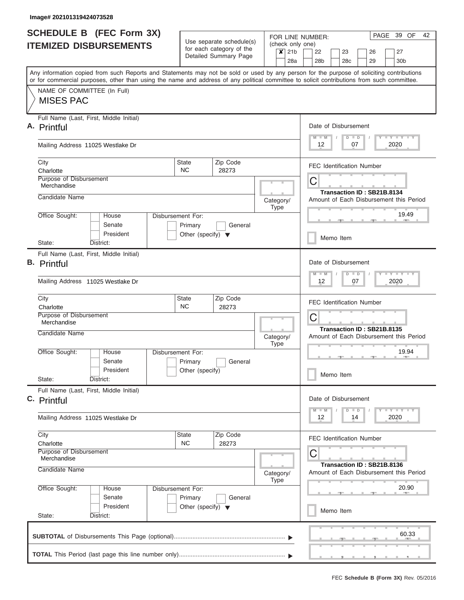|                               | <b>SCHEDULE B</b> (FEC Form 3X)                                                                                                                                                                                                                                                         |                                                                      |                                                                               |                          |                   | PAGE 39 OF<br>42<br>FOR LINE NUMBER:                                  |                                                                                                                             |  |  |  |  |  |  |  |  |  |
|-------------------------------|-----------------------------------------------------------------------------------------------------------------------------------------------------------------------------------------------------------------------------------------------------------------------------------------|----------------------------------------------------------------------|-------------------------------------------------------------------------------|--------------------------|-------------------|-----------------------------------------------------------------------|-----------------------------------------------------------------------------------------------------------------------------|--|--|--|--|--|--|--|--|--|
| <b>ITEMIZED DISBURSEMENTS</b> |                                                                                                                                                                                                                                                                                         |                                                                      | Use separate schedule(s)<br>for each category of the<br>Detailed Summary Page |                          | $x$ 21b           |                                                                       | (check only one)<br>22<br>23<br>26<br>27                                                                                    |  |  |  |  |  |  |  |  |  |
|                               |                                                                                                                                                                                                                                                                                         |                                                                      |                                                                               |                          |                   | 28a                                                                   | 28 <sub>b</sub><br>28c<br>29<br>30 <sub>b</sub>                                                                             |  |  |  |  |  |  |  |  |  |
|                               | Any information copied from such Reports and Statements may not be sold or used by any person for the purpose of soliciting contributions<br>or for commercial purposes, other than using the name and address of any political committee to solicit contributions from such committee. |                                                                      |                                                                               |                          |                   |                                                                       |                                                                                                                             |  |  |  |  |  |  |  |  |  |
|                               | NAME OF COMMITTEE (In Full)<br><b>MISES PAC</b>                                                                                                                                                                                                                                         |                                                                      |                                                                               |                          |                   |                                                                       |                                                                                                                             |  |  |  |  |  |  |  |  |  |
|                               | Full Name (Last, First, Middle Initial)<br>A. Printful                                                                                                                                                                                                                                  |                                                                      |                                                                               |                          |                   |                                                                       | Date of Disbursement                                                                                                        |  |  |  |  |  |  |  |  |  |
|                               | Mailing Address 11025 Westlake Dr                                                                                                                                                                                                                                                       |                                                                      |                                                                               |                          |                   |                                                                       | <b>LY LY LY</b><br>$M$ $M$<br>$D$ $D$<br>2020<br>12<br>07                                                                   |  |  |  |  |  |  |  |  |  |
|                               | City<br>Charlotte                                                                                                                                                                                                                                                                       | State<br>NC.                                                         | Zip Code<br>28273                                                             |                          |                   |                                                                       | <b>FEC Identification Number</b>                                                                                            |  |  |  |  |  |  |  |  |  |
|                               | Purpose of Disbursement<br>Merchandise                                                                                                                                                                                                                                                  |                                                                      |                                                                               |                          |                   |                                                                       | C                                                                                                                           |  |  |  |  |  |  |  |  |  |
|                               | Candidate Name                                                                                                                                                                                                                                                                          |                                                                      |                                                                               |                          | Category/<br>Type |                                                                       | Transaction ID: SB21B.8134<br>Amount of Each Disbursement this Period<br>19.49<br><b>Allen</b>                              |  |  |  |  |  |  |  |  |  |
|                               | Office Sought:<br>House<br>Senate<br>President                                                                                                                                                                                                                                          | Disbursement For:<br>Primary<br>Other (specify) $\blacktriangledown$ | General                                                                       |                          |                   |                                                                       |                                                                                                                             |  |  |  |  |  |  |  |  |  |
|                               | State:<br>District:                                                                                                                                                                                                                                                                     |                                                                      |                                                                               |                          |                   |                                                                       | Memo Item                                                                                                                   |  |  |  |  |  |  |  |  |  |
|                               | Full Name (Last, First, Middle Initial)<br><b>B.</b> Printful                                                                                                                                                                                                                           |                                                                      |                                                                               |                          |                   |                                                                       | Date of Disbursement<br>$-1 - Y - 1 - Y - 1 - Y$<br>$M - M$<br>$D$ $D$                                                      |  |  |  |  |  |  |  |  |  |
|                               | Mailing Address 11025 Westlake Dr                                                                                                                                                                                                                                                       |                                                                      |                                                                               |                          |                   |                                                                       |                                                                                                                             |  |  |  |  |  |  |  |  |  |
|                               | City<br>Charlotte                                                                                                                                                                                                                                                                       | State<br><b>NC</b>                                                   | Zip Code<br>28273                                                             |                          |                   |                                                                       | <b>FEC Identification Number</b>                                                                                            |  |  |  |  |  |  |  |  |  |
|                               | Purpose of Disbursement<br>Merchandise                                                                                                                                                                                                                                                  |                                                                      |                                                                               |                          |                   |                                                                       | C                                                                                                                           |  |  |  |  |  |  |  |  |  |
|                               | Candidate Name                                                                                                                                                                                                                                                                          |                                                                      |                                                                               | Category/<br><b>Type</b> |                   | Transaction ID: SB21B.8135<br>Amount of Each Disbursement this Period |                                                                                                                             |  |  |  |  |  |  |  |  |  |
|                               | Office Sought:<br>House<br>Senate                                                                                                                                                                                                                                                       | Disbursement For:<br>Primary                                         | General                                                                       |                          |                   |                                                                       | 19.94                                                                                                                       |  |  |  |  |  |  |  |  |  |
|                               | President<br>State:<br>District:                                                                                                                                                                                                                                                        | Other (specify)                                                      |                                                                               |                          |                   |                                                                       | Memo Item                                                                                                                   |  |  |  |  |  |  |  |  |  |
|                               | Full Name (Last, First, Middle Initial)<br>C. Printful                                                                                                                                                                                                                                  |                                                                      |                                                                               |                          |                   |                                                                       | Date of Disbursement                                                                                                        |  |  |  |  |  |  |  |  |  |
|                               | Mailing Address 11025 Westlake Dr                                                                                                                                                                                                                                                       |                                                                      |                                                                               |                          |                   |                                                                       | $\mathbf{I}$ $\mathbf{Y}$ $\mathbf{I}$ $\mathbf{Y}$ $\mathbf{I}$ $\mathbf{Y}$<br>$M - M$<br>$\Box$<br>D<br>2020<br>12<br>14 |  |  |  |  |  |  |  |  |  |
|                               | City<br>Charlotte                                                                                                                                                                                                                                                                       | State<br><b>NC</b>                                                   | Zip Code<br>28273                                                             |                          |                   |                                                                       | <b>FEC Identification Number</b>                                                                                            |  |  |  |  |  |  |  |  |  |
|                               | Purpose of Disbursement<br>Merchandise                                                                                                                                                                                                                                                  |                                                                      |                                                                               |                          |                   |                                                                       | С<br>Transaction ID: SB21B.8136                                                                                             |  |  |  |  |  |  |  |  |  |
|                               | Candidate Name<br>Office Sought:                                                                                                                                                                                                                                                        |                                                                      |                                                                               |                          | Category/<br>Type |                                                                       | Amount of Each Disbursement this Period<br>20.90                                                                            |  |  |  |  |  |  |  |  |  |
|                               | House<br>Senate<br>President                                                                                                                                                                                                                                                            | Disbursement For:<br>Primary<br>Other (specify) $\blacktriangledown$ | General                                                                       |                          |                   |                                                                       |                                                                                                                             |  |  |  |  |  |  |  |  |  |
|                               | State:<br>District:                                                                                                                                                                                                                                                                     |                                                                      |                                                                               |                          |                   |                                                                       | Memo Item                                                                                                                   |  |  |  |  |  |  |  |  |  |
|                               |                                                                                                                                                                                                                                                                                         |                                                                      |                                                                               |                          |                   |                                                                       | 60.33                                                                                                                       |  |  |  |  |  |  |  |  |  |
|                               |                                                                                                                                                                                                                                                                                         |                                                                      |                                                                               |                          |                   |                                                                       |                                                                                                                             |  |  |  |  |  |  |  |  |  |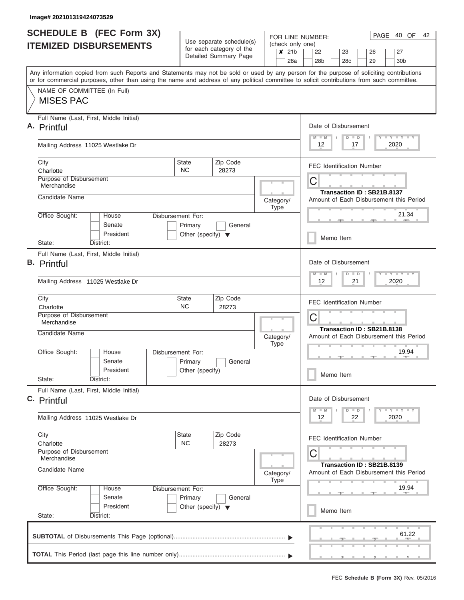|                               | <b>SCHEDULE B</b> (FEC Form 3X)                                                                                                                                                                                                                                                         |                                                 |                                                      |                   | PAGE 40 OF<br>42<br>FOR LINE NUMBER:                                  |                                                                                                                         |  |  |  |  |  |  |  |  |  |  |
|-------------------------------|-----------------------------------------------------------------------------------------------------------------------------------------------------------------------------------------------------------------------------------------------------------------------------------------|-------------------------------------------------|------------------------------------------------------|-------------------|-----------------------------------------------------------------------|-------------------------------------------------------------------------------------------------------------------------|--|--|--|--|--|--|--|--|--|--|
| <b>ITEMIZED DISBURSEMENTS</b> |                                                                                                                                                                                                                                                                                         |                                                 | Use separate schedule(s)<br>for each category of the | $x$ 21b           |                                                                       | (check only one)<br>22<br>23<br>26<br>27                                                                                |  |  |  |  |  |  |  |  |  |  |
|                               |                                                                                                                                                                                                                                                                                         |                                                 | Detailed Summary Page                                |                   | 28a                                                                   | 28 <sub>b</sub><br>28c<br>29<br>30 <sub>b</sub>                                                                         |  |  |  |  |  |  |  |  |  |  |
|                               | Any information copied from such Reports and Statements may not be sold or used by any person for the purpose of soliciting contributions<br>or for commercial purposes, other than using the name and address of any political committee to solicit contributions from such committee. |                                                 |                                                      |                   |                                                                       |                                                                                                                         |  |  |  |  |  |  |  |  |  |  |
|                               | NAME OF COMMITTEE (In Full)<br><b>MISES PAC</b>                                                                                                                                                                                                                                         |                                                 |                                                      |                   |                                                                       |                                                                                                                         |  |  |  |  |  |  |  |  |  |  |
|                               | Full Name (Last, First, Middle Initial)                                                                                                                                                                                                                                                 |                                                 |                                                      |                   |                                                                       |                                                                                                                         |  |  |  |  |  |  |  |  |  |  |
|                               | A. Printful                                                                                                                                                                                                                                                                             |                                                 |                                                      |                   |                                                                       | Date of Disbursement<br><b>LY LY LY</b><br>$M$ $M$<br>$D$ $D$                                                           |  |  |  |  |  |  |  |  |  |  |
|                               | Mailing Address 11025 Westlake Dr                                                                                                                                                                                                                                                       |                                                 |                                                      |                   |                                                                       | 2020<br>12<br>17                                                                                                        |  |  |  |  |  |  |  |  |  |  |
|                               | City<br>Charlotte                                                                                                                                                                                                                                                                       | State<br>NC.                                    | Zip Code<br>28273                                    |                   |                                                                       | <b>FEC Identification Number</b>                                                                                        |  |  |  |  |  |  |  |  |  |  |
|                               | Purpose of Disbursement<br>Merchandise                                                                                                                                                                                                                                                  |                                                 |                                                      |                   |                                                                       | C                                                                                                                       |  |  |  |  |  |  |  |  |  |  |
|                               | Candidate Name                                                                                                                                                                                                                                                                          |                                                 |                                                      | Category/         |                                                                       | Transaction ID: SB21B.8137<br>Amount of Each Disbursement this Period                                                   |  |  |  |  |  |  |  |  |  |  |
|                               | Office Sought:<br>House                                                                                                                                                                                                                                                                 | Disbursement For:                               |                                                      | Type              |                                                                       | 21.34                                                                                                                   |  |  |  |  |  |  |  |  |  |  |
|                               | Senate<br>President                                                                                                                                                                                                                                                                     | Primary<br>Other (specify) $\blacktriangledown$ | General                                              |                   |                                                                       | <b>COLLECTIVE</b>                                                                                                       |  |  |  |  |  |  |  |  |  |  |
|                               | State:<br>District:                                                                                                                                                                                                                                                                     |                                                 |                                                      |                   |                                                                       | Memo Item                                                                                                               |  |  |  |  |  |  |  |  |  |  |
|                               | Full Name (Last, First, Middle Initial)<br><b>B.</b> Printful                                                                                                                                                                                                                           |                                                 |                                                      |                   |                                                                       | Date of Disbursement                                                                                                    |  |  |  |  |  |  |  |  |  |  |
|                               | Mailing Address 11025 Westlake Dr                                                                                                                                                                                                                                                       |                                                 |                                                      |                   |                                                                       | $-1 - Y - 1 - Y - 1 - Y$<br>$M - M$<br>$D$ $D$<br>12<br>21<br>2020                                                      |  |  |  |  |  |  |  |  |  |  |
|                               | City<br>Charlotte                                                                                                                                                                                                                                                                       | State<br><b>NC</b>                              | Zip Code<br>28273                                    |                   |                                                                       | <b>FEC Identification Number</b>                                                                                        |  |  |  |  |  |  |  |  |  |  |
|                               | Purpose of Disbursement<br>Merchandise                                                                                                                                                                                                                                                  |                                                 |                                                      |                   |                                                                       | C                                                                                                                       |  |  |  |  |  |  |  |  |  |  |
|                               | Candidate Name                                                                                                                                                                                                                                                                          |                                                 | Category/<br><b>Type</b>                             |                   | Transaction ID: SB21B.8138<br>Amount of Each Disbursement this Period |                                                                                                                         |  |  |  |  |  |  |  |  |  |  |
|                               | Office Sought:<br>House<br>Senate                                                                                                                                                                                                                                                       | Disbursement For:<br>Primary                    |                                                      |                   | 19.94                                                                 |                                                                                                                         |  |  |  |  |  |  |  |  |  |  |
|                               | President<br>State:<br>District:                                                                                                                                                                                                                                                        | Other (specify)                                 | General                                              |                   |                                                                       | Memo Item                                                                                                               |  |  |  |  |  |  |  |  |  |  |
|                               | Full Name (Last, First, Middle Initial)<br>C. Printful                                                                                                                                                                                                                                  |                                                 |                                                      |                   |                                                                       | Date of Disbursement                                                                                                    |  |  |  |  |  |  |  |  |  |  |
|                               | Mailing Address 11025 Westlake Dr                                                                                                                                                                                                                                                       |                                                 |                                                      |                   |                                                                       | $\mathbf{I}$ $\mathbf{Y}$ $\mathbf{I}$ $\mathbf{Y}$ $\mathbf{I}$ $\mathbf{Y}$<br>$M - M$<br>$D$ $D$<br>2020<br>12<br>22 |  |  |  |  |  |  |  |  |  |  |
|                               |                                                                                                                                                                                                                                                                                         |                                                 |                                                      |                   |                                                                       |                                                                                                                         |  |  |  |  |  |  |  |  |  |  |
|                               | City<br>Charlotte                                                                                                                                                                                                                                                                       | State<br><b>NC</b>                              | Zip Code<br>28273                                    |                   |                                                                       | <b>FEC Identification Number</b>                                                                                        |  |  |  |  |  |  |  |  |  |  |
|                               | Purpose of Disbursement<br>Merchandise                                                                                                                                                                                                                                                  |                                                 |                                                      |                   |                                                                       | С<br>Transaction ID: SB21B.8139                                                                                         |  |  |  |  |  |  |  |  |  |  |
|                               | Candidate Name                                                                                                                                                                                                                                                                          |                                                 |                                                      | Category/<br>Type |                                                                       | Amount of Each Disbursement this Period                                                                                 |  |  |  |  |  |  |  |  |  |  |
|                               | Office Sought:<br>House<br>Senate                                                                                                                                                                                                                                                       | Disbursement For:<br>Primary                    | General                                              |                   |                                                                       | 19.94                                                                                                                   |  |  |  |  |  |  |  |  |  |  |
|                               | President<br>State:<br>District:                                                                                                                                                                                                                                                        | Other (specify) $\blacktriangledown$            |                                                      |                   |                                                                       | Memo Item                                                                                                               |  |  |  |  |  |  |  |  |  |  |
|                               |                                                                                                                                                                                                                                                                                         |                                                 |                                                      |                   |                                                                       | 61.22                                                                                                                   |  |  |  |  |  |  |  |  |  |  |
|                               |                                                                                                                                                                                                                                                                                         |                                                 |                                                      |                   |                                                                       |                                                                                                                         |  |  |  |  |  |  |  |  |  |  |
|                               |                                                                                                                                                                                                                                                                                         |                                                 |                                                      |                   |                                                                       |                                                                                                                         |  |  |  |  |  |  |  |  |  |  |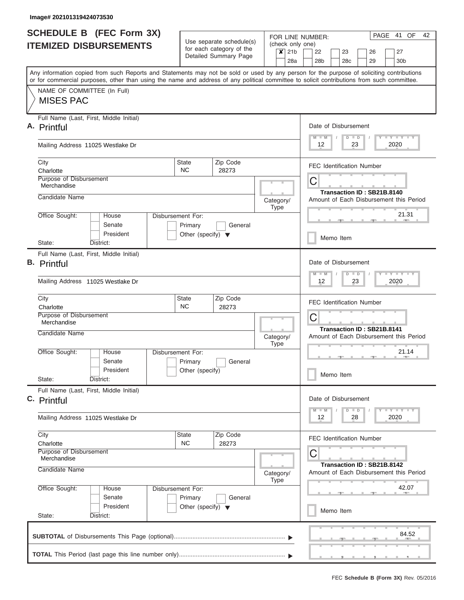|                               | <b>SCHEDULE B</b> (FEC Form 3X)                                                                                                                                                                                                                                                         |                                                 |                                                                               |  |                          | PAGE 41 OF<br>42<br>FOR LINE NUMBER: |                                                                                                                             |  |  |  |  |  |  |  |  |  |
|-------------------------------|-----------------------------------------------------------------------------------------------------------------------------------------------------------------------------------------------------------------------------------------------------------------------------------------|-------------------------------------------------|-------------------------------------------------------------------------------|--|--------------------------|--------------------------------------|-----------------------------------------------------------------------------------------------------------------------------|--|--|--|--|--|--|--|--|--|
| <b>ITEMIZED DISBURSEMENTS</b> |                                                                                                                                                                                                                                                                                         |                                                 | Use separate schedule(s)<br>for each category of the<br>Detailed Summary Page |  |                          | $x$ 21b<br>28a                       | (check only one)<br>22<br>23<br>26<br>27<br>28 <sub>b</sub><br>28c<br>29<br>30 <sub>b</sub>                                 |  |  |  |  |  |  |  |  |  |
|                               | Any information copied from such Reports and Statements may not be sold or used by any person for the purpose of soliciting contributions<br>or for commercial purposes, other than using the name and address of any political committee to solicit contributions from such committee. |                                                 |                                                                               |  |                          |                                      |                                                                                                                             |  |  |  |  |  |  |  |  |  |
|                               | NAME OF COMMITTEE (In Full)<br><b>MISES PAC</b>                                                                                                                                                                                                                                         |                                                 |                                                                               |  |                          |                                      |                                                                                                                             |  |  |  |  |  |  |  |  |  |
|                               | Full Name (Last, First, Middle Initial)<br>A. Printful                                                                                                                                                                                                                                  |                                                 |                                                                               |  |                          |                                      | Date of Disbursement                                                                                                        |  |  |  |  |  |  |  |  |  |
|                               | Mailing Address 11025 Westlake Dr                                                                                                                                                                                                                                                       |                                                 |                                                                               |  |                          |                                      | <b>LY LY LY</b><br>$M$ $M$<br>$D$ $D$<br>2020<br>12<br>23                                                                   |  |  |  |  |  |  |  |  |  |
|                               | City<br>Charlotte                                                                                                                                                                                                                                                                       | State<br>NC.                                    | Zip Code<br>28273                                                             |  |                          |                                      | <b>FEC Identification Number</b>                                                                                            |  |  |  |  |  |  |  |  |  |
|                               | Purpose of Disbursement<br>Merchandise<br>Candidate Name                                                                                                                                                                                                                                |                                                 |                                                                               |  |                          |                                      | C<br>Transaction ID: SB21B.8140                                                                                             |  |  |  |  |  |  |  |  |  |
|                               | Office Sought:<br>House                                                                                                                                                                                                                                                                 | Disbursement For:                               |                                                                               |  | Category/<br>Type        |                                      | Amount of Each Disbursement this Period<br>21.31                                                                            |  |  |  |  |  |  |  |  |  |
|                               | Senate<br>President                                                                                                                                                                                                                                                                     | Primary<br>Other (specify) $\blacktriangledown$ | General                                                                       |  |                          |                                      | <b>COLLECTIVE</b><br>Memo Item                                                                                              |  |  |  |  |  |  |  |  |  |
|                               | State:<br>District:<br>Full Name (Last, First, Middle Initial)                                                                                                                                                                                                                          |                                                 |                                                                               |  |                          |                                      | Date of Disbursement                                                                                                        |  |  |  |  |  |  |  |  |  |
|                               | <b>B.</b> Printful<br>Mailing Address 11025 Westlake Dr                                                                                                                                                                                                                                 |                                                 |                                                                               |  |                          |                                      | $-1 - Y - 1 - Y - 1 - Y$<br>$M - M$<br>$D$ $D$<br>12<br>23<br>2020<br><b>FEC Identification Number</b>                      |  |  |  |  |  |  |  |  |  |
|                               | City<br>Charlotte                                                                                                                                                                                                                                                                       | State<br><b>NC</b>                              | Zip Code<br>28273                                                             |  |                          |                                      |                                                                                                                             |  |  |  |  |  |  |  |  |  |
|                               | Purpose of Disbursement<br>Merchandise                                                                                                                                                                                                                                                  |                                                 |                                                                               |  |                          | C<br>Transaction ID: SB21B.8141      |                                                                                                                             |  |  |  |  |  |  |  |  |  |
|                               | Candidate Name                                                                                                                                                                                                                                                                          |                                                 |                                                                               |  | Category/<br><b>Type</b> |                                      | Amount of Each Disbursement this Period                                                                                     |  |  |  |  |  |  |  |  |  |
|                               | Office Sought:<br>House<br>Senate<br>President                                                                                                                                                                                                                                          | Disbursement For:<br>Primary<br>Other (specify) | General                                                                       |  |                          |                                      | 21.14                                                                                                                       |  |  |  |  |  |  |  |  |  |
|                               | State:<br>District:<br>Full Name (Last, First, Middle Initial)                                                                                                                                                                                                                          |                                                 |                                                                               |  |                          |                                      | Memo Item                                                                                                                   |  |  |  |  |  |  |  |  |  |
|                               | C. Printful                                                                                                                                                                                                                                                                             |                                                 |                                                                               |  |                          |                                      | Date of Disbursement<br>$\mathbf{I}$ $\mathbf{Y}$ $\mathbf{I}$ $\mathbf{Y}$ $\mathbf{I}$ $\mathbf{Y}$<br>$M - M$<br>$D$ $D$ |  |  |  |  |  |  |  |  |  |
|                               | Mailing Address 11025 Westlake Dr                                                                                                                                                                                                                                                       |                                                 |                                                                               |  |                          |                                      | 2020<br>12<br>28                                                                                                            |  |  |  |  |  |  |  |  |  |
|                               | City<br>Charlotte<br>Purpose of Disbursement                                                                                                                                                                                                                                            | State<br><b>NC</b>                              | Zip Code<br>28273                                                             |  |                          |                                      | <b>FEC Identification Number</b>                                                                                            |  |  |  |  |  |  |  |  |  |
|                               | Merchandise<br>Candidate Name                                                                                                                                                                                                                                                           |                                                 |                                                                               |  | Category/                |                                      | С<br>Transaction ID: SB21B.8142<br>Amount of Each Disbursement this Period                                                  |  |  |  |  |  |  |  |  |  |
|                               | Office Sought:<br>House<br>Senate                                                                                                                                                                                                                                                       | Disbursement For:<br>Primary                    | General                                                                       |  | Type                     |                                      | 42.07                                                                                                                       |  |  |  |  |  |  |  |  |  |
|                               | President<br>State:<br>District:                                                                                                                                                                                                                                                        | Other (specify) $\blacktriangledown$            |                                                                               |  |                          |                                      | Memo Item                                                                                                                   |  |  |  |  |  |  |  |  |  |
|                               |                                                                                                                                                                                                                                                                                         |                                                 |                                                                               |  |                          |                                      | 84.52                                                                                                                       |  |  |  |  |  |  |  |  |  |
|                               |                                                                                                                                                                                                                                                                                         |                                                 |                                                                               |  |                          |                                      |                                                                                                                             |  |  |  |  |  |  |  |  |  |